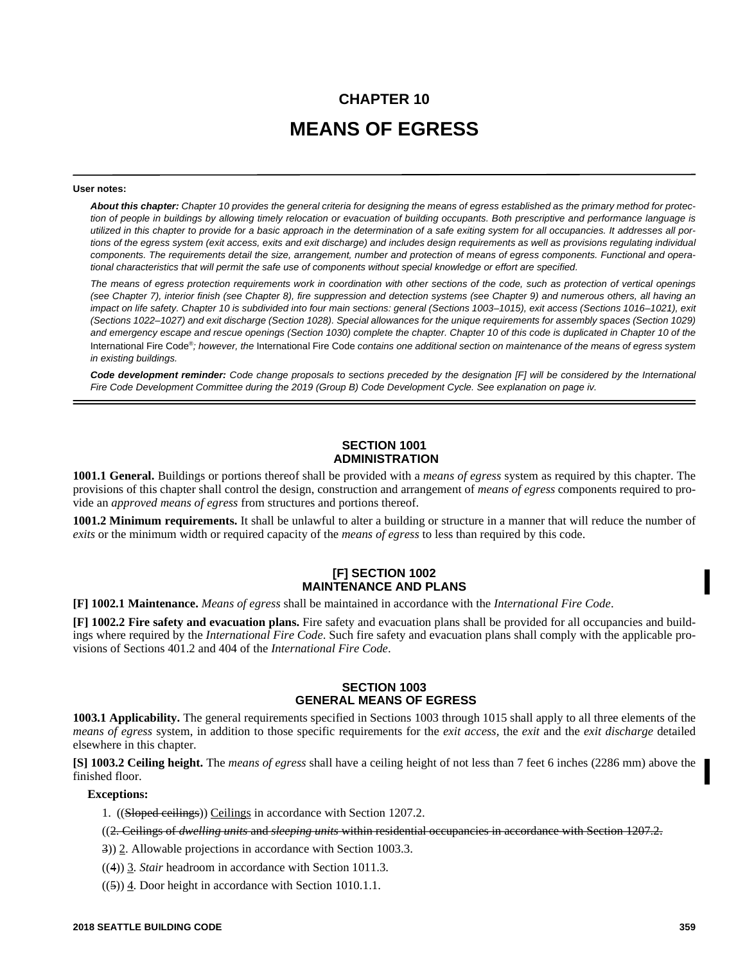# **CHAPTER 10 MEANS OF EGRESS**

#### **User notes:**

*About this chapter: Chapter 10 provides the general criteria for designing the means of egress established as the primary method for protection of people in buildings by allowing timely relocation or evacuation of building occupants. Both prescriptive and performance language is utilized in this chapter to provide for a basic approach in the determination of a safe exiting system for all occupancies. It addresses all portions of the egress system (exit access, exits and exit discharge) and includes design requirements as well as provisions regulating individual components. The requirements detail the size, arrangement, number and protection of means of egress components. Functional and operational characteristics that will permit the safe use of components without special knowledge or effort are specified.* 

*The means of egress protection requirements work in coordination with other sections of the code, such as protection of vertical openings (see Chapter 7), interior finish (see Chapter 8), fire suppression and detection systems (see Chapter 9) and numerous others, all having an impact on life safety. Chapter 10 is subdivided into four main sections: general (Sections 1003–1015), exit access (Sections 1016–1021), exit (Sections 1022–1027) and exit discharge (Section 1028). Special allowances for the unique requirements for assembly spaces (Section 1029) and emergency escape and rescue openings (Section 1030) complete the chapter. Chapter 10 of this code is duplicated in Chapter 10 of the* International Fire Code® *; however, the* International Fire Code *contains one additional section on maintenance of the means of egress system in existing buildings.*

*Code development reminder: Code change proposals to sections preceded by the designation [F] will be considered by the International Fire Code Development Committee during the 2019 (Group B) Code Development Cycle. See explanation on page iv.*

# **SECTION 1001 ADMINISTRATION**

**1001.1 General.** Buildings or portions thereof shall be provided with a *means of egress* system as required by this chapter. The provisions of this chapter shall control the design, construction and arrangement of *means of egress* components required to provide an *approved means of egress* from structures and portions thereof.

**1001.2 Minimum requirements.** It shall be unlawful to alter a building or structure in a manner that will reduce the number of *exits* or the minimum width or required capacity of the *means of egress* to less than required by this code.

# **[F] SECTION 1002 MAINTENANCE AND PLANS**

**[F] 1002.1 Maintenance.** *Means of egress* shall be maintained in accordance with the *International Fire Code*.

**[F] 1002.2 Fire safety and evacuation plans.** Fire safety and evacuation plans shall be provided for all occupancies and buildings where required by the *International Fire Code*. Such fire safety and evacuation plans shall comply with the applicable provisions of Sections 401.2 and 404 of the *International Fire Code*.

# **SECTION 1003 GENERAL MEANS OF EGRESS**

**1003.1 Applicability.** The general requirements specified in Sections 1003 through 1015 shall apply to all three elements of the *means of egress* system, in addition to those specific requirements for the *exit access,* the *exit* and the *exit discharge* detailed elsewhere in this chapter.

**[S] 1003.2 Ceiling height.** The *means of egress* shall have a ceiling height of not less than 7 feet 6 inches (2286 mm) above the finished floor.

#### **Exceptions:**

1. ((Sloped ceilings)) Ceilings in accordance with Section 1207.2.

((2. Ceilings of *dwelling units* and *sleeping units* within residential occupancies in accordance with Section 1207.2.

3)) 2. Allowable projections in accordance with Section 1003.3.

((4)) 3. *Stair* headroom in accordance with Section 1011.3.

 $((\frac{5}{2}))$  4. Door height in accordance with Section 1010.1.1.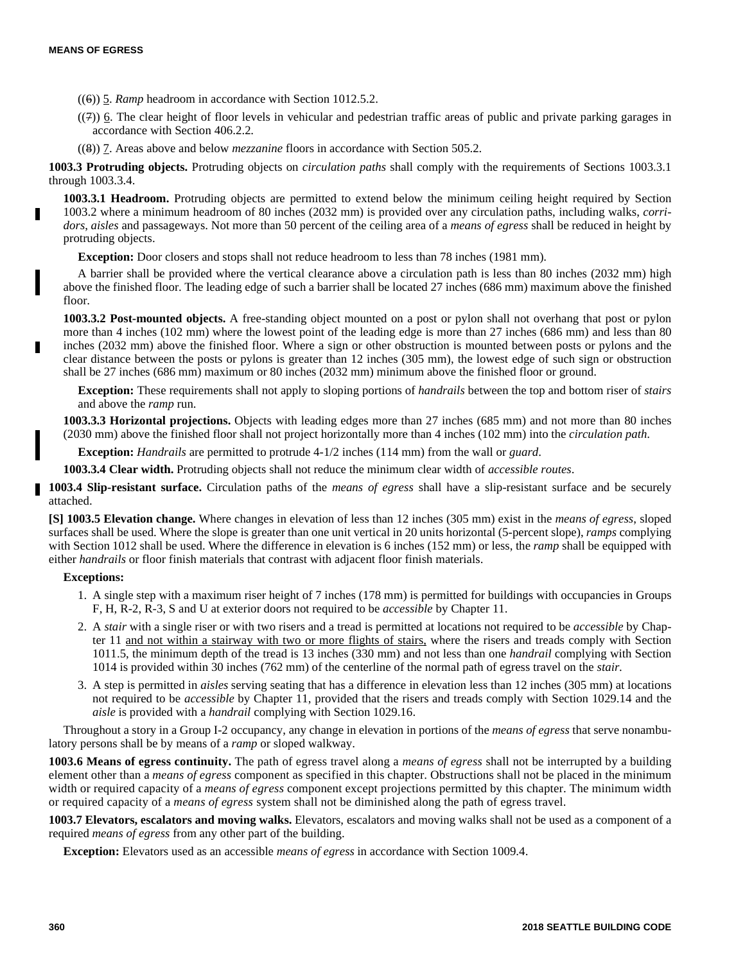- ((6)) 5. *Ramp* headroom in accordance with Section 1012.5.2.
- $((7))$  6. The clear height of floor levels in vehicular and pedestrian traffic areas of public and private parking garages in accordance with Section 406.2.2.
- ((8)) 7. Areas above and below *mezzanine* floors in accordance with Section 505.2.

**1003.3 Protruding objects.** Protruding objects on *circulation paths* shall comply with the requirements of Sections 1003.3.1 through 1003.3.4.

**1003.3.1 Headroom.** Protruding objects are permitted to extend below the minimum ceiling height required by Section 1003.2 where a minimum headroom of 80 inches (2032 mm) is provided over any circulation paths, including walks, *corridors*, *aisles* and passageways. Not more than 50 percent of the ceiling area of a *means of egress* shall be reduced in height by protruding objects.

**Exception:** Door closers and stops shall not reduce headroom to less than 78 inches (1981 mm).

A barrier shall be provided where the vertical clearance above a circulation path is less than 80 inches (2032 mm) high above the finished floor. The leading edge of such a barrier shall be located 27 inches (686 mm) maximum above the finished floor.

**1003.3.2 Post-mounted objects.** A free-standing object mounted on a post or pylon shall not overhang that post or pylon more than 4 inches (102 mm) where the lowest point of the leading edge is more than 27 inches (686 mm) and less than 80 inches (2032 mm) above the finished floor. Where a sign or other obstruction is mounted between posts or pylons and the clear distance between the posts or pylons is greater than 12 inches (305 mm), the lowest edge of such sign or obstruction shall be 27 inches (686 mm) maximum or 80 inches (2032 mm) minimum above the finished floor or ground.

**Exception:** These requirements shall not apply to sloping portions of *handrails* between the top and bottom riser of *stairs* and above the *ramp* run.

**1003.3.3 Horizontal projections.** Objects with leading edges more than 27 inches (685 mm) and not more than 80 inches (2030 mm) above the finished floor shall not project horizontally more than 4 inches (102 mm) into the *circulation path*.

**Exception:** *Handrails* are permitted to protrude 4-1/2 inches (114 mm) from the wall or *guard*.

**1003.3.4 Clear width.** Protruding objects shall not reduce the minimum clear width of *accessible routes*.

**1003.4 Slip-resistant surface.** Circulation paths of the *means of egress* shall have a slip-resistant surface and be securely attached.

**[S] 1003.5 Elevation change.** Where changes in elevation of less than 12 inches (305 mm) exist in the *means of egress*, sloped surfaces shall be used. Where the slope is greater than one unit vertical in 20 units horizontal (5-percent slope), *ramps* complying with Section 1012 shall be used. Where the difference in elevation is 6 inches (152 mm) or less, the *ramp* shall be equipped with either *handrails* or floor finish materials that contrast with adjacent floor finish materials.

#### **Exceptions:**

- 1. A single step with a maximum riser height of 7 inches (178 mm) is permitted for buildings with occupancies in Groups F, H, R-2, R-3, S and U at exterior doors not required to be *accessible* by Chapter 11.
- 2. A *stair* with a single riser or with two risers and a tread is permitted at locations not required to be *accessible* by Chapter 11 and not within a stairway with two or more flights of stairs, where the risers and treads comply with Section 1011.5, the minimum depth of the tread is 13 inches (330 mm) and not less than one *handrail* complying with Section 1014 is provided within 30 inches (762 mm) of the centerline of the normal path of egress travel on the *stair*.
- 3. A step is permitted in *aisles* serving seating that has a difference in elevation less than 12 inches (305 mm) at locations not required to be *accessible* by Chapter 11, provided that the risers and treads comply with Section 1029.14 and the *aisle* is provided with a *handrail* complying with Section 1029.16.

Throughout a story in a Group I-2 occupancy, any change in elevation in portions of the *means of egress* that serve nonambulatory persons shall be by means of a *ramp* or sloped walkway.

**1003.6 Means of egress continuity.** The path of egress travel along a *means of egress* shall not be interrupted by a building element other than a *means of egress* component as specified in this chapter. Obstructions shall not be placed in the minimum width or required capacity of a *means of egress* component except projections permitted by this chapter. The minimum width or required capacity of a *means of egress* system shall not be diminished along the path of egress travel.

**1003.7 Elevators, escalators and moving walks.** Elevators, escalators and moving walks shall not be used as a component of a required *means of egress* from any other part of the building.

**Exception:** Elevators used as an accessible *means of egress* in accordance with Section 1009.4.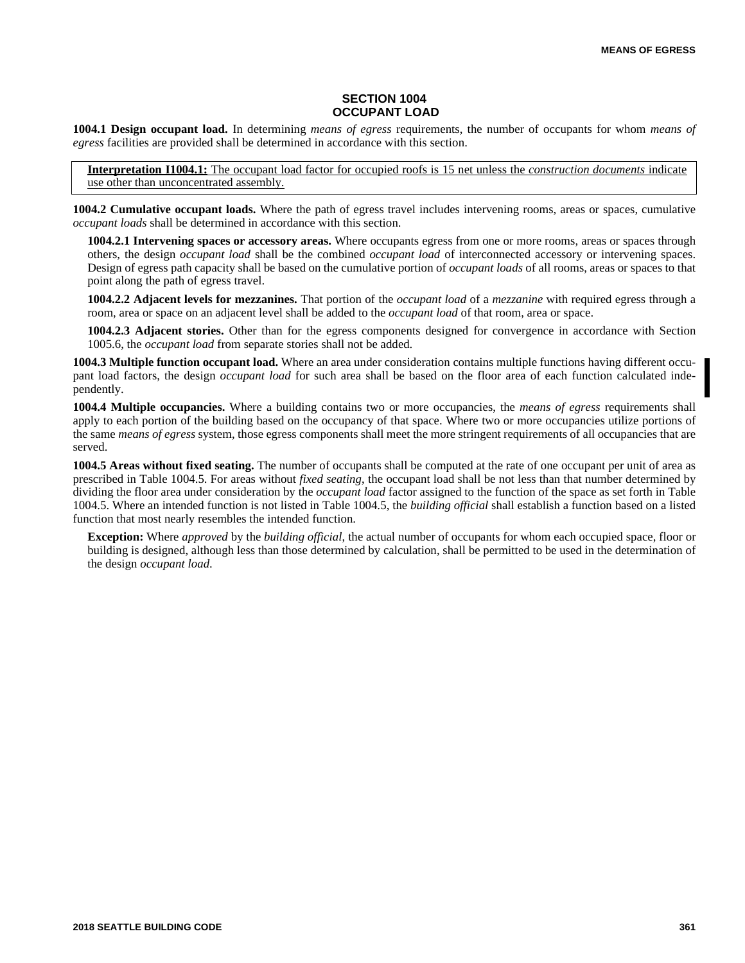# **SECTION 1004 OCCUPANT LOAD**

**1004.1 Design occupant load.** In determining *means of egress* requirements, the number of occupants for whom *means of egress* facilities are provided shall be determined in accordance with this section.

**Interpretation I1004.1:** The occupant load factor for occupied roofs is 15 net unless the *construction documents* indicate use other than unconcentrated assembly.

**1004.2 Cumulative occupant loads.** Where the path of egress travel includes intervening rooms, areas or spaces, cumulative *occupant loads* shall be determined in accordance with this section.

**1004.2.1 Intervening spaces or accessory areas.** Where occupants egress from one or more rooms, areas or spaces through others, the design *occupant load* shall be the combined *occupant load* of interconnected accessory or intervening spaces. Design of egress path capacity shall be based on the cumulative portion of *occupant loads* of all rooms, areas or spaces to that point along the path of egress travel.

**1004.2.2 Adjacent levels for mezzanines.** That portion of the *occupant load* of a *mezzanine* with required egress through a room, area or space on an adjacent level shall be added to the *occupant load* of that room, area or space.

**1004.2.3 Adjacent stories.** Other than for the egress components designed for convergence in accordance with Section 1005.6, the *occupant load* from separate stories shall not be added.

**1004.3 Multiple function occupant load.** Where an area under consideration contains multiple functions having different occupant load factors, the design *occupant load* for such area shall be based on the floor area of each function calculated independently.

**1004.4 Multiple occupancies.** Where a building contains two or more occupancies, the *means of egress* requirements shall apply to each portion of the building based on the occupancy of that space. Where two or more occupancies utilize portions of the same *means of egress* system, those egress components shall meet the more stringent requirements of all occupancies that are served.

**1004.5 Areas without fixed seating.** The number of occupants shall be computed at the rate of one occupant per unit of area as prescribed in Table 1004.5. For areas without *fixed seating*, the occupant load shall be not less than that number determined by dividing the floor area under consideration by the *occupant load* factor assigned to the function of the space as set forth in Table 1004.5. Where an intended function is not listed in Table 1004.5, the *building official* shall establish a function based on a listed function that most nearly resembles the intended function.

**Exception:** Where *approved* by the *building official*, the actual number of occupants for whom each occupied space, floor or building is designed, although less than those determined by calculation, shall be permitted to be used in the determination of the design *occupant load*.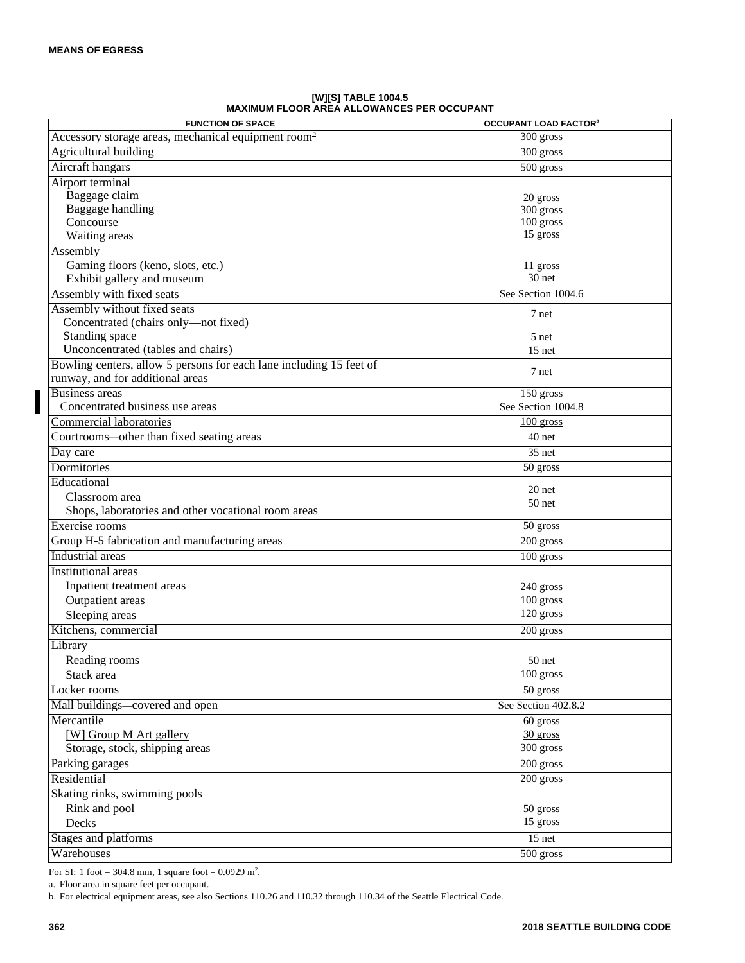| <b>FUNCTION OF SPACE</b>                                            | <b>OCCUPANT LOAD FACTOR®</b> |
|---------------------------------------------------------------------|------------------------------|
| Accessory storage areas, mechanical equipment room <sup>b</sup>     | 300 gross                    |
| <b>Agricultural building</b>                                        | 300 gross                    |
| Aircraft hangars                                                    | $\overline{500}$ gross       |
| Airport terminal                                                    |                              |
| Baggage claim                                                       | 20 gross                     |
| Baggage handling                                                    | 300 gross                    |
| Concourse                                                           | 100 gross                    |
| Waiting areas                                                       | 15 gross                     |
| Assembly                                                            |                              |
| Gaming floors (keno, slots, etc.)                                   | 11 gross                     |
| Exhibit gallery and museum                                          | 30 net                       |
| Assembly with fixed seats                                           | See Section 1004.6           |
| Assembly without fixed seats                                        | 7 net                        |
| Concentrated (chairs only-not fixed)                                |                              |
| Standing space                                                      | 5 net                        |
| Unconcentrated (tables and chairs)                                  | $15$ net                     |
| Bowling centers, allow 5 persons for each lane including 15 feet of | 7 net                        |
| runway, and for additional areas                                    |                              |
| Business areas                                                      | 150 gross                    |
| Concentrated business use areas                                     | See Section 1004.8           |
| Commercial laboratories                                             | $100$ gross                  |
| Courtrooms-other than fixed seating areas                           | 40 net                       |
| Day care                                                            | $\overline{35}$ net          |
| Dormitories                                                         | 50 gross                     |
| Educational                                                         |                              |
| Classroom area                                                      | 20 net                       |
| Shops, laboratories and other vocational room areas                 | $50$ net                     |
| Exercise rooms                                                      | 50 gross                     |
| Group H-5 fabrication and manufacturing areas                       | 200 gross                    |
| Industrial areas                                                    | 100 gross                    |
| Institutional areas                                                 |                              |
| Inpatient treatment areas                                           | 240 gross                    |
| Outpatient areas                                                    | 100 gross                    |
| Sleeping areas                                                      | 120 gross                    |
| Kitchens, commercial                                                | 200 gross                    |
| Library                                                             |                              |
| Reading rooms                                                       | $50$ net                     |
| Stack area                                                          | 100 gross                    |
| Locker rooms                                                        | 50 gross                     |
|                                                                     | See Section 402.8.2          |
| Mall buildings-covered and open<br>Mercantile                       |                              |
|                                                                     | 60 gross                     |
| [W] Group M Art gallery                                             | $30$ gross<br>300 gross      |
| Storage, stock, shipping areas                                      |                              |
| Parking garages                                                     | 200 gross                    |
| Residential                                                         | 200 gross                    |
| Skating rinks, swimming pools                                       |                              |
| Rink and pool                                                       | 50 gross                     |
| Decks                                                               | 15 gross                     |
| Stages and platforms                                                | 15 net                       |
| Warehouses                                                          | 500 gross                    |

**[W][S] TABLE 1004.5 MAXIMUM FLOOR AREA ALLOWANCES PER OCCUPANT**

For SI: 1 foot = 304.8 mm, 1 square foot =  $0.0929$  m<sup>2</sup>.

a. Floor area in square feet per occupant.

b. For electrical equipment areas, see also Sections 110.26 and 110.32 through 110.34 of the Seattle Electrical Code.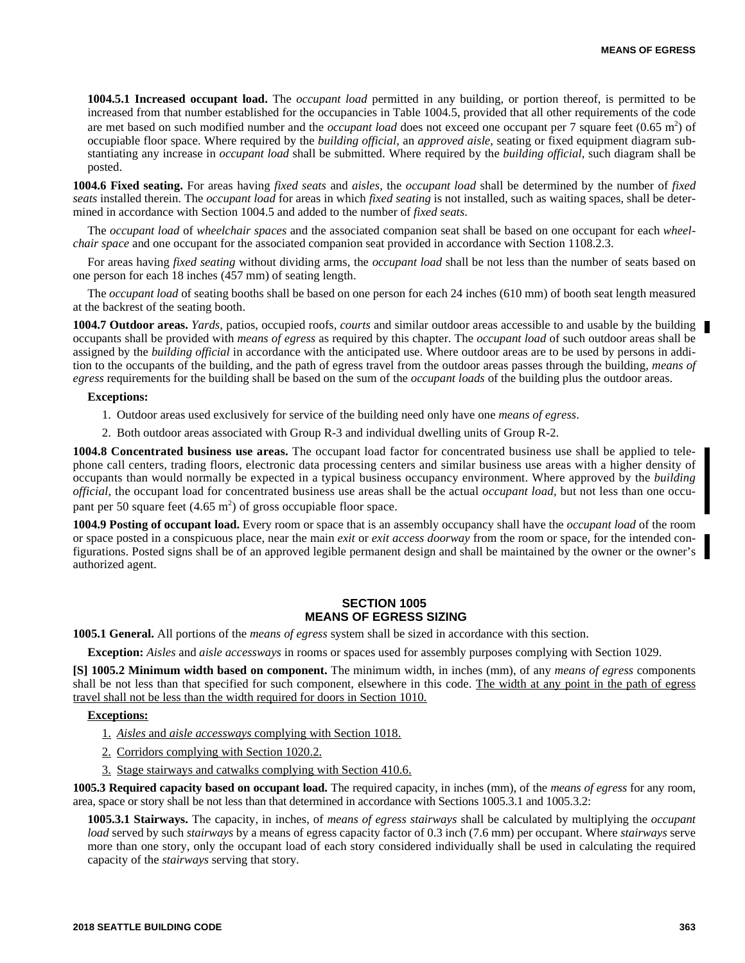**1004.5.1 Increased occupant load.** The *occupant load* permitted in any building, or portion thereof, is permitted to be increased from that number established for the occupancies in Table 1004.5, provided that all other requirements of the code are met based on such modified number and the *occupant load* does not exceed one occupant per 7 square feet (0.65 m<sup>2</sup>) of occupiable floor space. Where required by the *building official*, an *approved aisle*, seating or fixed equipment diagram substantiating any increase in *occupant load* shall be submitted. Where required by the *building official*, such diagram shall be posted.

**1004.6 Fixed seating.** For areas having *fixed seats* and *aisles*, the *occupant load* shall be determined by the number of *fixed seats* installed therein. The *occupant load* for areas in which *fixed seating* is not installed, such as waiting spaces, shall be determined in accordance with Section 1004.5 and added to the number of *fixed seats*.

The *occupant load* of *wheelchair spaces* and the associated companion seat shall be based on one occupant for each *wheelchair space* and one occupant for the associated companion seat provided in accordance with Section 1108.2.3.

For areas having *fixed seating* without dividing arms, the *occupant load* shall be not less than the number of seats based on one person for each 18 inches (457 mm) of seating length.

The *occupant load* of seating booths shall be based on one person for each 24 inches (610 mm) of booth seat length measured at the backrest of the seating booth.

**1004.7 Outdoor areas.** *Yards*, patios, occupied roofs, *courts* and similar outdoor areas accessible to and usable by the building occupants shall be provided with *means of egress* as required by this chapter. The *occupant load* of such outdoor areas shall be assigned by the *building official* in accordance with the anticipated use. Where outdoor areas are to be used by persons in addition to the occupants of the building, and the path of egress travel from the outdoor areas passes through the building, *means of egress* requirements for the building shall be based on the sum of the *occupant loads* of the building plus the outdoor areas.

#### **Exceptions:**

- 1. Outdoor areas used exclusively for service of the building need only have one *means of egress*.
- 2. Both outdoor areas associated with Group R-3 and individual dwelling units of Group R-2.

**1004.8 Concentrated business use areas.** The occupant load factor for concentrated business use shall be applied to telephone call centers, trading floors, electronic data processing centers and similar business use areas with a higher density of occupants than would normally be expected in a typical business occupancy environment. Where approved by the *building official*, the occupant load for concentrated business use areas shall be the actual *occupant load*, but not less than one occupant per 50 square feet  $(4.65 \text{ m}^2)$  of gross occupiable floor space.

**1004.9 Posting of occupant load.** Every room or space that is an assembly occupancy shall have the *occupant load* of the room or space posted in a conspicuous place, near the main *exit* or *exit access doorway* from the room or space, for the intended configurations. Posted signs shall be of an approved legible permanent design and shall be maintained by the owner or the owner's authorized agent.

# **SECTION 1005 MEANS OF EGRESS SIZING**

**1005.1 General.** All portions of the *means of egress* system shall be sized in accordance with this section.

**Exception:** *Aisles* and *aisle accessways* in rooms or spaces used for assembly purposes complying with Section 1029.

**[S] 1005.2 Minimum width based on component.** The minimum width, in inches (mm), of any *means of egress* components shall be not less than that specified for such component, elsewhere in this code. The width at any point in the path of egress travel shall not be less than the width required for doors in Section 1010.

# **Exceptions:**

- 1. *Aisles* and *aisle accessways* complying with Section 1018.
- 2. Corridors complying with Section 1020.2.
- 3. Stage stairways and catwalks complying with Section 410.6.

**1005.3 Required capacity based on occupant load.** The required capacity, in inches (mm), of the *means of egress* for any room, area, space or story shall be not less than that determined in accordance with Sections 1005.3.1 and 1005.3.2:

**1005.3.1 Stairways.** The capacity, in inches, of *means of egress stairways* shall be calculated by multiplying the *occupant load* served by such *stairways* by a means of egress capacity factor of 0.3 inch (7.6 mm) per occupant. Where *stairways* serve more than one story, only the occupant load of each story considered individually shall be used in calculating the required capacity of the *stairways* serving that story.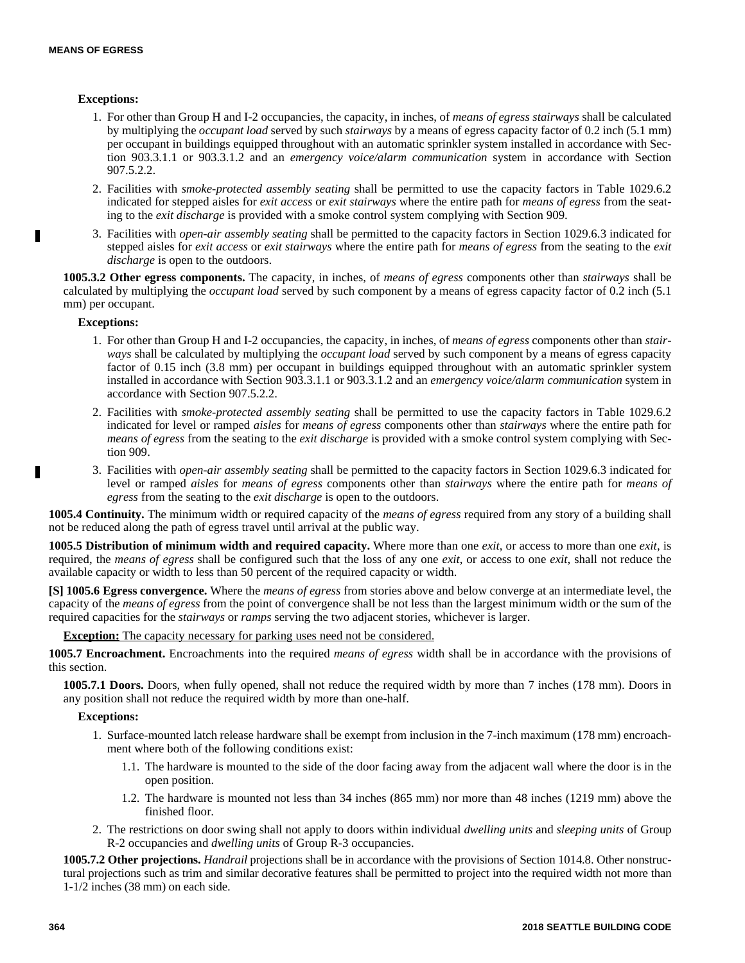# **Exceptions:**

- 1. For other than Group H and I-2 occupancies, the capacity, in inches, of *means of egress stairways* shall be calculated by multiplying the *occupant load* served by such *stairways* by a means of egress capacity factor of 0.2 inch (5.1 mm) per occupant in buildings equipped throughout with an automatic sprinkler system installed in accordance with Section 903.3.1.1 or 903.3.1.2 and an *emergency voice/alarm communication* system in accordance with Section 907.5.2.2.
- 2. Facilities with *smoke-protected assembly seating* shall be permitted to use the capacity factors in Table 1029.6.2 indicated for stepped aisles for *exit access* or *exit stairways* where the entire path for *means of egress* from the seating to the *exit discharge* is provided with a smoke control system complying with Section 909.
- 3. Facilities with *open-air assembly seating* shall be permitted to the capacity factors in Section 1029.6.3 indicated for stepped aisles for *exit access* or *exit stairways* where the entire path for *means of egress* from the seating to the *exit discharge* is open to the outdoors.

**1005.3.2 Other egress components.** The capacity, in inches, of *means of egress* components other than *stairways* shall be calculated by multiplying the *occupant load* served by such component by a means of egress capacity factor of 0.2 inch (5.1 mm) per occupant.

## **Exceptions:**

- 1. For other than Group H and I-2 occupancies, the capacity, in inches, of *means of egress* components other than *stairways* shall be calculated by multiplying the *occupant load* served by such component by a means of egress capacity factor of 0.15 inch (3.8 mm) per occupant in buildings equipped throughout with an automatic sprinkler system installed in accordance with Section 903.3.1.1 or 903.3.1.2 and an *emergency voice/alarm communication* system in accordance with Section 907.5.2.2.
- 2. Facilities with *smoke-protected assembly seating* shall be permitted to use the capacity factors in Table 1029.6.2 indicated for level or ramped *aisles* for *means of egress* components other than *stairways* where the entire path for *means of egress* from the seating to the *exit discharge* is provided with a smoke control system complying with Section 909.
- 3. Facilities with *open-air assembly seating* shall be permitted to the capacity factors in Section 1029.6.3 indicated for level or ramped *aisles* for *means of egress* components other than *stairways* where the entire path for *means of egress* from the seating to the *exit discharge* is open to the outdoors.

**1005.4 Continuity.** The minimum width or required capacity of the *means of egress* required from any story of a building shall not be reduced along the path of egress travel until arrival at the public way.

**1005.5 Distribution of minimum width and required capacity.** Where more than one *exit*, or access to more than one *exit*, is required, the *means of egress* shall be configured such that the loss of any one *exit*, or access to one *exit*, shall not reduce the available capacity or width to less than 50 percent of the required capacity or width.

**[S] 1005.6 Egress convergence.** Where the *means of egress* from stories above and below converge at an intermediate level, the capacity of the *means of egress* from the point of convergence shall be not less than the largest minimum width or the sum of the required capacities for the *stairways* or *ramps* serving the two adjacent stories, whichever is larger.

**Exception:** The capacity necessary for parking uses need not be considered.

**1005.7 Encroachment.** Encroachments into the required *means of egress* width shall be in accordance with the provisions of this section.

**1005.7.1 Doors.** Doors, when fully opened, shall not reduce the required width by more than 7 inches (178 mm). Doors in any position shall not reduce the required width by more than one-half.

## **Exceptions:**

- 1. Surface-mounted latch release hardware shall be exempt from inclusion in the 7-inch maximum (178 mm) encroachment where both of the following conditions exist:
	- 1.1. The hardware is mounted to the side of the door facing away from the adjacent wall where the door is in the open position.
	- 1.2. The hardware is mounted not less than 34 inches (865 mm) nor more than 48 inches (1219 mm) above the finished floor.
- 2. The restrictions on door swing shall not apply to doors within individual *dwelling units* and *sleeping units* of Group R-2 occupancies and *dwelling units* of Group R-3 occupancies.

**1005.7.2 Other projections.** *Handrail* projections shall be in accordance with the provisions of Section 1014.8. Other nonstructural projections such as trim and similar decorative features shall be permitted to project into the required width not more than 1-1/2 inches (38 mm) on each side.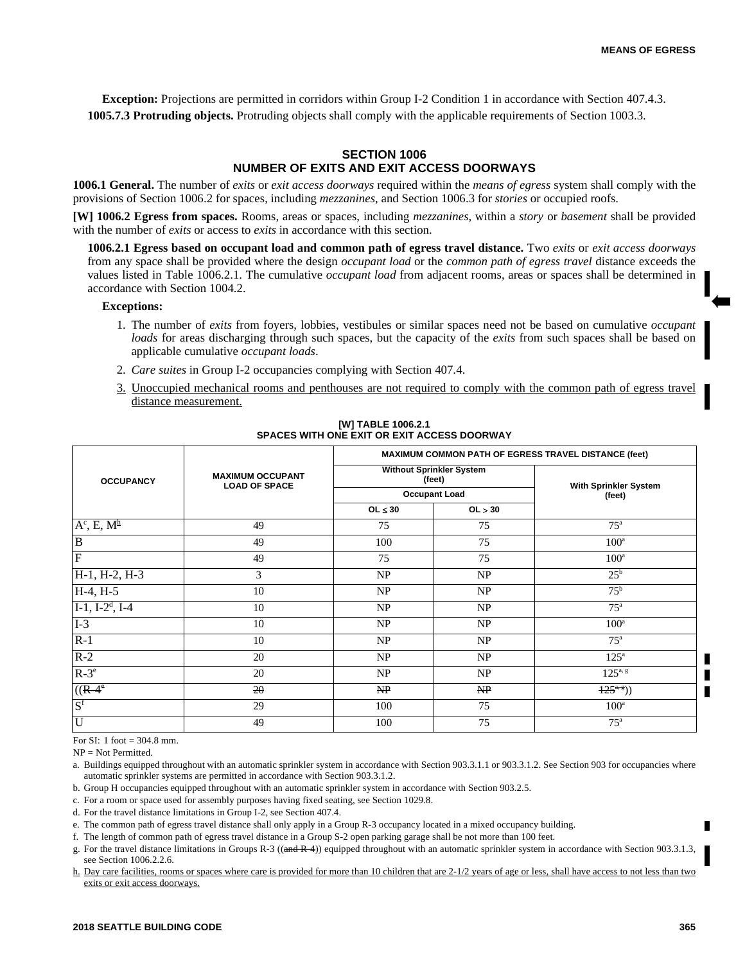**Exception:** Projections are permitted in corridors within Group I-2 Condition 1 in accordance with Section 407.4.3. **1005.7.3 Protruding objects.** Protruding objects shall comply with the applicable requirements of Section 1003.3.

# **SECTION 1006 NUMBER OF EXITS AND EXIT ACCESS DOORWAYS**

**1006.1 General.** The number of *exits* or *exit access doorways* required within the *means of egress* system shall comply with the provisions of Section 1006.2 for spaces, including *mezzanines*, and Section 1006.3 for *stories* or occupied roofs.

**[W] 1006.2 Egress from spaces.** Rooms, areas or spaces, including *mezzanines*, within a *story* or *basement* shall be provided with the number of *exits* or access to *exits* in accordance with this section.

**1006.2.1 Egress based on occupant load and common path of egress travel distance.** Two *exits* or *exit access doorways* from any space shall be provided where the design *occupant load* or the *common path of egress travel* distance exceeds the values listed in Table 1006.2.1. The cumulative *occupant load* from adjacent rooms, areas or spaces shall be determined in accordance with Section 1004.2.

## **Exceptions:**

- 1. The number of *exits* from foyers, lobbies, vestibules or similar spaces need not be based on cumulative *occupant loads* for areas discharging through such spaces, but the capacity of the *exits* from such spaces shall be based on applicable cumulative *occupant loads*.
- 2. *Care suites* in Group I-2 occupancies complying with Section 407.4.
- 3. Unoccupied mechanical rooms and penthouses are not required to comply with the common path of egress travel distance measurement.

|                                |                                                 | MAXIMUM COMMON PATH OF EGRESS TRAVEL DISTANCE (feet) |                                           |                          |  |
|--------------------------------|-------------------------------------------------|------------------------------------------------------|-------------------------------------------|--------------------------|--|
| <b>OCCUPANCY</b>               | <b>MAXIMUM OCCUPANT</b><br><b>LOAD OF SPACE</b> |                                                      | <b>Without Sprinkler System</b><br>(feet) | With Sprinkler System    |  |
|                                |                                                 | <b>Occupant Load</b>                                 |                                           | (feet)                   |  |
|                                |                                                 | $OL \leq 30$                                         | OL > 30                                   |                          |  |
| $A^c$ , E, $M^{\underline{h}}$ | 49                                              | 75                                                   | 75                                        | 75 <sup>a</sup>          |  |
| $\overline{B}$                 | 49                                              | 100                                                  | 75                                        | $100^a$                  |  |
| $\overline{F}$                 | 49                                              | 75                                                   | 75                                        | $100^a$                  |  |
| H-1, H-2, H-3                  | 3                                               | NP                                                   | NP                                        | $25^{\rm b}$             |  |
| $H-4, H-5$                     | 10                                              | NP                                                   | NP                                        | $75^{\rm b}$             |  |
| $I-1$ , $I-2^d$ , $I-4$        | 10                                              | NP                                                   | NP                                        | $75^{\circ}$             |  |
| $I-3$                          | 10                                              | NP                                                   | NP                                        | $100^a$                  |  |
| $R-1$                          | 10                                              | NP                                                   | NP                                        | $75^{\circ}$             |  |
| $R-2$                          | 20                                              | NP                                                   | NP                                        | $125^{\circ}$            |  |
| $R-3^e$                        | 20                                              | NP                                                   | NP                                        | $125^{a, g}$             |  |
| $((R\text{-}4)$ <sup>e</sup>   | 20                                              | NP                                                   | NP                                        | $\frac{125^{a}}{25^{a}}$ |  |
| S <sup>f</sup>                 | 29                                              | 100                                                  | 75                                        | $100^{\rm a}$            |  |
| $\overline{U}$                 | 49                                              | 100                                                  | 75                                        | $75^{\mathrm{a}}$        |  |

## **[W] TABLE 1006.2.1 SPACES WITH ONE EXIT OR EXIT ACCESS DOORWAY**

For SI: 1 foot = 304.8 mm.

 $NP = Not Permitted$ 

a. Buildings equipped throughout with an automatic sprinkler system in accordance with Section 903.3.1.1 or 903.3.1.2. See Section 903 for occupancies where automatic sprinkler systems are permitted in accordance with Section 903.3.1.2.

b. Group H occupancies equipped throughout with an automatic sprinkler system in accordance with Section 903.2.5.

c. For a room or space used for assembly purposes having fixed seating, see Section 1029.8.

d. For the travel distance limitations in Group I-2, see Section 407.4.

e. The common path of egress travel distance shall only apply in a Group R-3 occupancy located in a mixed occupancy building.

f. The length of common path of egress travel distance in a Group S-2 open parking garage shall be not more than 100 feet.

g. For the travel distance limitations in Groups R-3 ((and R-4)) equipped throughout with an automatic sprinkler system in accordance with Section 903.3.1.3, see Section 1006.2.2.6.

h. Day care facilities, rooms or spaces where care is provided for more than 10 children that are 2-1/2 years of age or less, shall have access to not less than two exits or exit access doorways.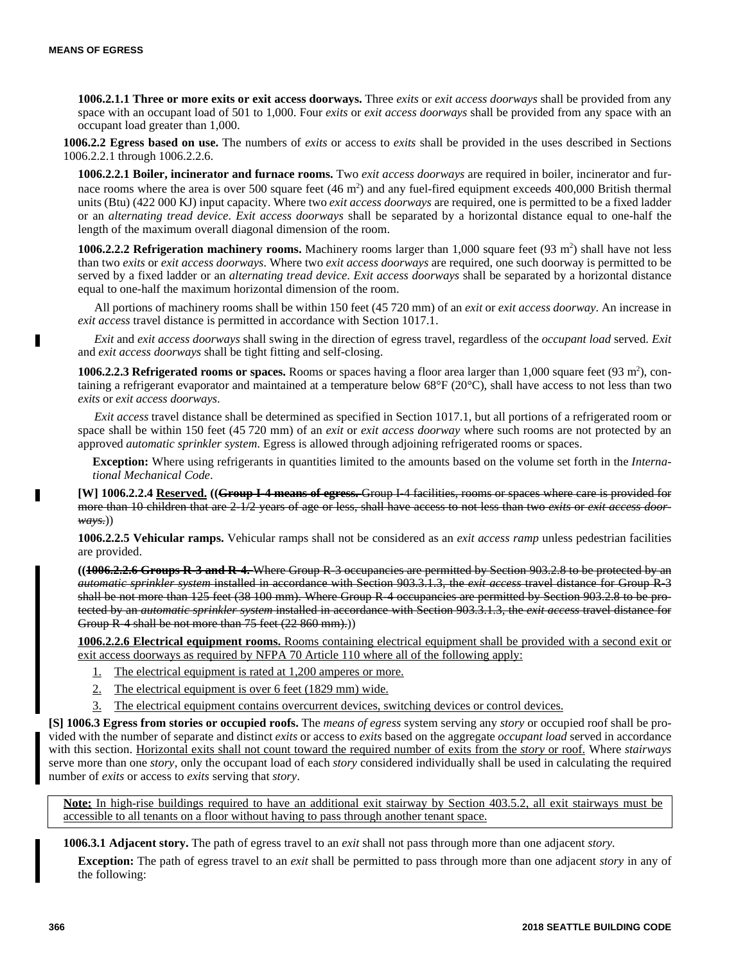п

**1006.2.1.1 Three or more exits or exit access doorways.** Three *exits* or *exit access doorways* shall be provided from any space with an occupant load of 501 to 1,000. Four *exits* or *exit access doorways* shall be provided from any space with an occupant load greater than 1,000.

**1006.2.2 Egress based on use.** The numbers of *exits* or access to *exits* shall be provided in the uses described in Sections 1006.2.2.1 through 1006.2.2.6.

**1006.2.2.1 Boiler, incinerator and furnace rooms.** Two *exit access doorways* are required in boiler, incinerator and furnace rooms where the area is over 500 square feet  $(46 \text{ m}^2)$  and any fuel-fired equipment exceeds 400,000 British thermal units (Btu) (422 000 KJ) input capacity. Where two *exit access doorways* are required, one is permitted to be a fixed ladder or an *alternating tread device*. *Exit access doorways* shall be separated by a horizontal distance equal to one-half the length of the maximum overall diagonal dimension of the room.

1006.2.2.2 Refrigeration machinery rooms. Machinery rooms larger than  $1,000$  square feet  $(93 \text{ m}^2)$  shall have not less than two *exits* or *exit access doorways*. Where two *exit access doorways* are required, one such doorway is permitted to be served by a fixed ladder or an *alternating tread device*. *Exit access doorways* shall be separated by a horizontal distance equal to one-half the maximum horizontal dimension of the room.

All portions of machinery rooms shall be within 150 feet (45 720 mm) of an *exit* or *exit access doorway*. An increase in *exit access* travel distance is permitted in accordance with Section 1017.1.

*Exit* and *exit access doorways* shall swing in the direction of egress travel, regardless of the *occupant load* served. *Exit* and *exit access doorways* shall be tight fitting and self-closing.

**1006.2.2.3 Refrigerated rooms or spaces.** Rooms or spaces having a floor area larger than  $1,000$  square feet  $(93 \text{ m}^2)$ , containing a refrigerant evaporator and maintained at a temperature below  $68^{\circ}F(20^{\circ}C)$ , shall have access to not less than two *exits* or *exit access doorways*.

*Exit access* travel distance shall be determined as specified in Section 1017.1, but all portions of a refrigerated room or space shall be within 150 feet (45 720 mm) of an *exit* or *exit access doorway* where such rooms are not protected by an approved *automatic sprinkler system*. Egress is allowed through adjoining refrigerated rooms or spaces.

**Exception:** Where using refrigerants in quantities limited to the amounts based on the volume set forth in the *International Mechanical Code*.

**[W] 1006.2.2.4 Reserved. ((Group I-4 means of egress.** Group I-4 facilities, rooms or spaces where care is provided for more than 10 children that are 2-1/2 years of age or less, shall have access to not less than two *exits* or *exit access doorways*.))

**1006.2.2.5 Vehicular ramps.** Vehicular ramps shall not be considered as an *exit access ramp* unless pedestrian facilities are provided.

**((1006.2.2.6 Groups R-3 and R-4.** Where Group R-3 occupancies are permitted by Section 903.2.8 to be protected by an *automatic sprinkler system* installed in accordance with Section 903.3.1.3, the *exit access* travel distance for Group R-3 shall be not more than 125 feet (38 100 mm). Where Group R-4 occupancies are permitted by Section 903.2.8 to be protected by an *automatic sprinkler system* installed in accordance with Section 903.3.1.3, the *exit access* travel distance for Group R-4 shall be not more than 75 feet (22 860 mm).))

**1006.2.2.6 Electrical equipment rooms.** Rooms containing electrical equipment shall be provided with a second exit or exit access doorways as required by NFPA 70 Article 110 where all of the following apply:

- 1. The electrical equipment is rated at 1,200 amperes or more.
- 2. The electrical equipment is over 6 feet (1829 mm) wide.
- 3. The electrical equipment contains overcurrent devices, switching devices or control devices.

**[S] 1006.3 Egress from stories or occupied roofs.** The *means of egress* system serving any *story* or occupied roof shall be provided with the number of separate and distinct *exits* or access to *exits* based on the aggregate *occupant load* served in accordance with this section. Horizontal exits shall not count toward the required number of exits from the *story* or roof. Where *stairways* serve more than one *story*, only the occupant load of each *story* considered individually shall be used in calculating the required number of *exits* or access to *exits* serving that *story*.

**Note:** In high-rise buildings required to have an additional exit stairway by Section 403.5.2, all exit stairways must be accessible to all tenants on a floor without having to pass through another tenant space.

**1006.3.1 Adjacent story.** The path of egress travel to an *exit* shall not pass through more than one adjacent *story.*

**Exception:** The path of egress travel to an *exit* shall be permitted to pass through more than one adjacent *story* in any of the following: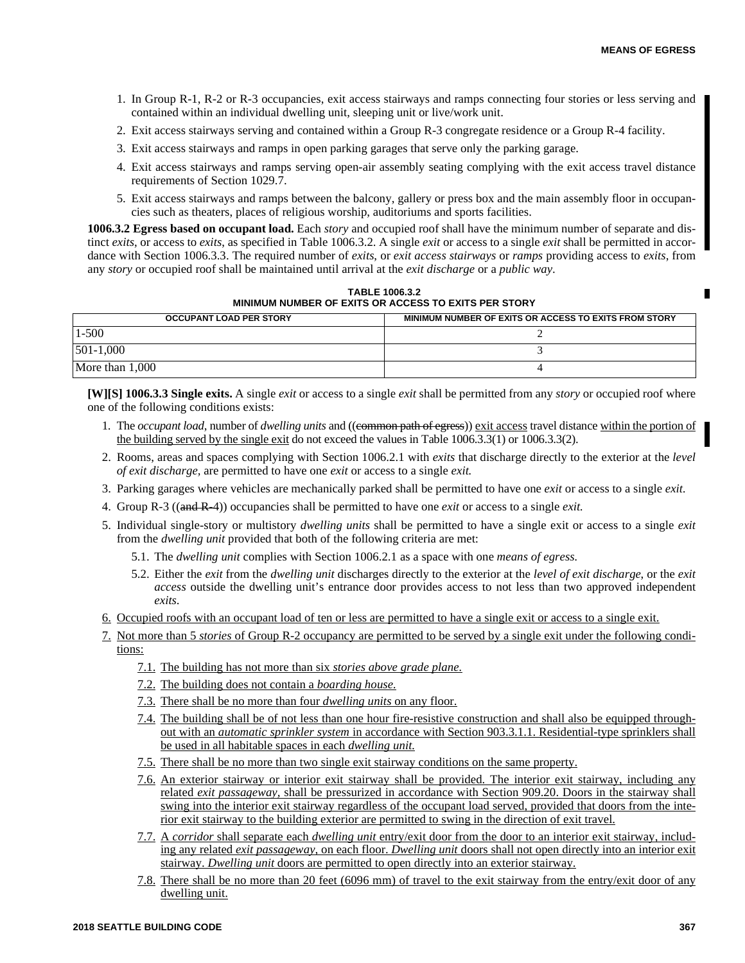- 1. In Group R-1, R-2 or R-3 occupancies, exit access stairways and ramps connecting four stories or less serving and contained within an individual dwelling unit, sleeping unit or live/work unit.
- 2. Exit access stairways serving and contained within a Group R-3 congregate residence or a Group R-4 facility.
- 3. Exit access stairways and ramps in open parking garages that serve only the parking garage.
- 4. Exit access stairways and ramps serving open-air assembly seating complying with the exit access travel distance requirements of Section 1029.7.
- 5. Exit access stairways and ramps between the balcony, gallery or press box and the main assembly floor in occupancies such as theaters, places of religious worship, auditoriums and sports facilities.

**1006.3.2 Egress based on occupant load.** Each *story* and occupied roof shall have the minimum number of separate and distinct *exits*, or access to *exits*, as specified in Table 1006.3.2. A single *exit* or access to a single *exit* shall be permitted in accordance with Section 1006.3.3. The required number of *exits*, or *exit access stairways* or *ramps* providing access to *exits*, from any *story* or occupied roof shall be maintained until arrival at the *exit discharge* or a *public way*.

| MINIMUM NUMBER OF EXITS OR ACCESS TO EXITS PER STORY                                    |  |  |  |
|-----------------------------------------------------------------------------------------|--|--|--|
| MINIMUM NUMBER OF EXITS OR ACCESS TO EXITS FROM STORY<br><b>OCCUPANT LOAD PER STORY</b> |  |  |  |
| $-500$                                                                                  |  |  |  |
| 501-1.000                                                                               |  |  |  |
| More than 1,000                                                                         |  |  |  |

**TABLE 1006.3.2**

**[W][S] 1006.3.3 Single exits.** A single *exit* or access to a single *exit* shall be permitted from any *story* or occupied roof where one of the following conditions exists:

- 1. The *occupant load*, number of *dwelling units* and ((common path of egress)) exit access travel distance within the portion of the building served by the single exit do not exceed the values in Table 1006.3.3(1) or 1006.3.3(2).
- 2. Rooms, areas and spaces complying with Section 1006.2.1 with *exits* that discharge directly to the exterior at the *level of exit discharge,* are permitted to have one *exit* or access to a single *exit.*
- 3. Parking garages where vehicles are mechanically parked shall be permitted to have one *exit* or access to a single *exit.*
- 4. Group R-3 ((and R-4)) occupancies shall be permitted to have one *exit* or access to a single *exit.*
- 5. Individual single-story or multistory *dwelling units* shall be permitted to have a single exit or access to a single *exit* from the *dwelling unit* provided that both of the following criteria are met:
	- 5.1. The *dwelling unit* complies with Section 1006.2.1 as a space with one *means of egress.*
	- 5.2. Either the *exit* from the *dwelling unit* discharges directly to the exterior at the *level of exit discharge*, or the *exit access* outside the dwelling unit's entrance door provides access to not less than two approved independent *exits*.
- 6. Occupied roofs with an occupant load of ten or less are permitted to have a single exit or access to a single exit.
- 7. Not more than 5 *stories* of Group R-2 occupancy are permitted to be served by a single exit under the following conditions:
	- 7.1. The building has not more than six *stories above grade plane.*
	- 7.2. The building does not contain a *boarding house.*
	- 7.3. There shall be no more than four *dwelling units* on any floor.
	- 7.4. The building shall be of not less than one hour fire-resistive construction and shall also be equipped throughout with an *automatic sprinkler system* in accordance with Section 903.3.1.1. Residential-type sprinklers shall be used in all habitable spaces in each *dwelling unit.*
	- 7.5. There shall be no more than two single exit stairway conditions on the same property.
	- 7.6. An exterior stairway or interior exit stairway shall be provided. The interior exit stairway, including any related *exit passageway,* shall be pressurized in accordance with Section 909.20. Doors in the stairway shall swing into the interior exit stairway regardless of the occupant load served, provided that doors from the interior exit stairway to the building exterior are permitted to swing in the direction of exit travel.
	- 7.7. A *corridor* shall separate each *dwelling unit* entry/exit door from the door to an interior exit stairway, including any related *exit passageway,* on each floor. *Dwelling unit* doors shall not open directly into an interior exit stairway. *Dwelling unit* doors are permitted to open directly into an exterior stairway.
	- 7.8. There shall be no more than 20 feet (6096 mm) of travel to the exit stairway from the entry/exit door of any dwelling unit.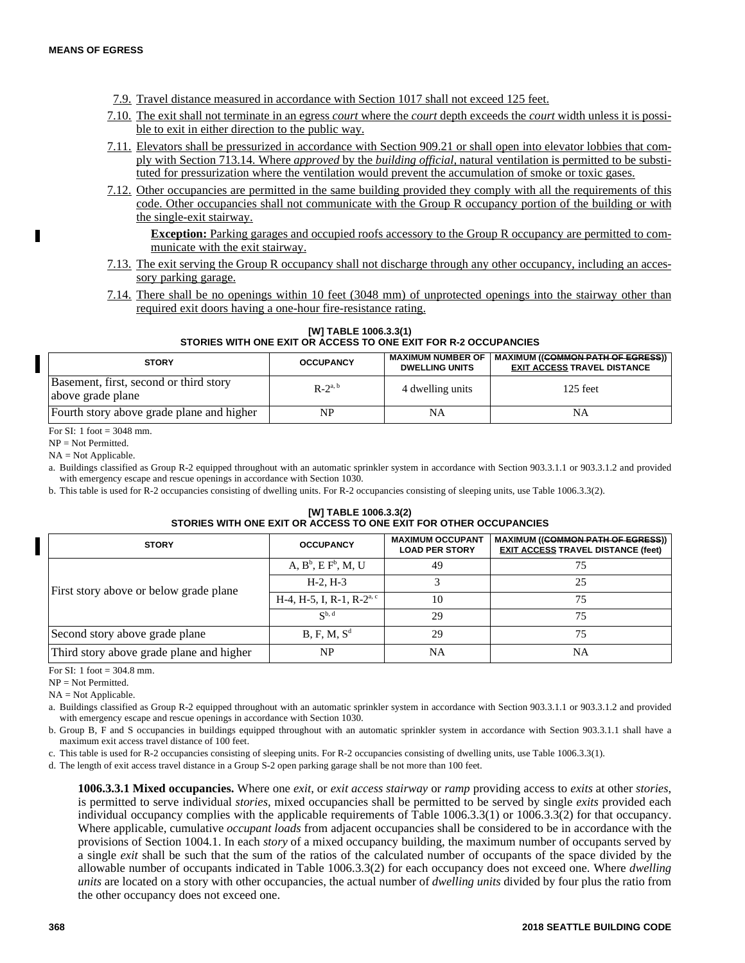- 7.9. Travel distance measured in accordance with Section 1017 shall not exceed 125 feet.
- 7.10. The exit shall not terminate in an egress *court* where the *court* depth exceeds the *court* width unless it is possible to exit in either direction to the public way.
- 7.11. Elevators shall be pressurized in accordance with Section 909.21 or shall open into elevator lobbies that comply with Section 713.14. Where *approved* by the *building official,* natural ventilation is permitted to be substituted for pressurization where the ventilation would prevent the accumulation of smoke or toxic gases.
- 7.12. Other occupancies are permitted in the same building provided they comply with all the requirements of this code. Other occupancies shall not communicate with the Group R occupancy portion of the building or with the single-exit stairway.

**Exception:** Parking garages and occupied roofs accessory to the Group R occupancy are permitted to communicate with the exit stairway.

- 7.13. The exit serving the Group R occupancy shall not discharge through any other occupancy, including an accessory parking garage.
- 7.14. There shall be no openings within 10 feet (3048 mm) of unprotected openings into the stairway other than required exit doors having a one-hour fire-resistance rating.

**[W] TABLE 1006.3.3(1) STORIES WITH ONE EXIT OR ACCESS TO ONE EXIT FOR R-2 OCCUPANCIES**

| <b>STORY</b>                                                | <b>OCCUPANCY</b> | <b>MAXIMUM NUMBER OF</b><br><b>DWELLING UNITS</b> | MAXIMUM (( <del>COMMON PATH OF EGRESS</del> ))<br><b>EXIT ACCESS TRAVEL DISTANCE</b> |
|-------------------------------------------------------------|------------------|---------------------------------------------------|--------------------------------------------------------------------------------------|
| Basement, first, second or third story<br>above grade plane | $R-2^{a, b}$     | 4 dwelling units                                  | 125 feet                                                                             |
| Fourth story above grade plane and higher                   | NP               | NA                                                | NA                                                                                   |

For SI: 1 foot  $=$  3048 mm.

NP = Not Permitted.

NA = Not Applicable.

a. Buildings classified as Group R-2 equipped throughout with an automatic sprinkler system in accordance with Section 903.3.1.1 or 903.3.1.2 and provided with emergency escape and rescue openings in accordance with Section 1030.

b. This table is used for R-2 occupancies consisting of dwelling units. For R-2 occupancies consisting of sleeping units, use Table 1006.3.3(2).

#### **[W] TABLE 1006.3.3(2) STORIES WITH ONE EXIT OR ACCESS TO ONE EXIT FOR OTHER OCCUPANCIES**

| <b>STORY</b>                             | <b>OCCUPANCY</b>                      | <b>MAXIMUM OCCUPANT</b><br><b>LOAD PER STORY</b> | <b>MAXIMUM ((<del>COMMON PATH OF EGRESS</del>))</b><br><b>EXIT ACCESS TRAVEL DISTANCE (feet)</b> |
|------------------------------------------|---------------------------------------|--------------------------------------------------|--------------------------------------------------------------------------------------------------|
|                                          | $A, B^b, E F^b, M, U$                 | 49                                               | 75                                                                                               |
| First story above or below grade plane   | $H-2, H-3$                            |                                                  | 25                                                                                               |
|                                          | H-4, H-5, I, R-1, R-2 <sup>a, c</sup> | 10                                               | 75                                                                                               |
|                                          | $\mathbb{C}^{b, d}$                   | 29                                               | 75                                                                                               |
| Second story above grade plane           | B, F, M, S <sup>d</sup>               | 29                                               | 75                                                                                               |
| Third story above grade plane and higher | NP                                    | NA                                               | NA                                                                                               |

For SI: 1 foot = 304.8 mm.

 $NP = Not Permitted.$ 

NA = Not Applicable.

a. Buildings classified as Group R-2 equipped throughout with an automatic sprinkler system in accordance with Section 903.3.1.1 or 903.3.1.2 and provided with emergency escape and rescue openings in accordance with Section 1030.

b. Group B, F and S occupancies in buildings equipped throughout with an automatic sprinkler system in accordance with Section 903.3.1.1 shall have a maximum exit access travel distance of 100 feet.

c. This table is used for R-2 occupancies consisting of sleeping units. For R-2 occupancies consisting of dwelling units, use Table 1006.3.3(1).

d. The length of exit access travel distance in a Group S-2 open parking garage shall be not more than 100 feet.

**1006.3.3.1 Mixed occupancies.** Where one *exit*, or *exit access stairway* or *ramp* providing access to *exits* at other *stories*, is permitted to serve individual *stories*, mixed occupancies shall be permitted to be served by single *exits* provided each individual occupancy complies with the applicable requirements of Table 1006.3.3(1) or 1006.3.3(2) for that occupancy. Where applicable, cumulative *occupant loads* from adjacent occupancies shall be considered to be in accordance with the provisions of Section 1004.1. In each *story* of a mixed occupancy building, the maximum number of occupants served by a single *exit* shall be such that the sum of the ratios of the calculated number of occupants of the space divided by the allowable number of occupants indicated in Table 1006.3.3(2) for each occupancy does not exceed one. Where *dwelling units* are located on a story with other occupancies, the actual number of *dwelling units* divided by four plus the ratio from the other occupancy does not exceed one.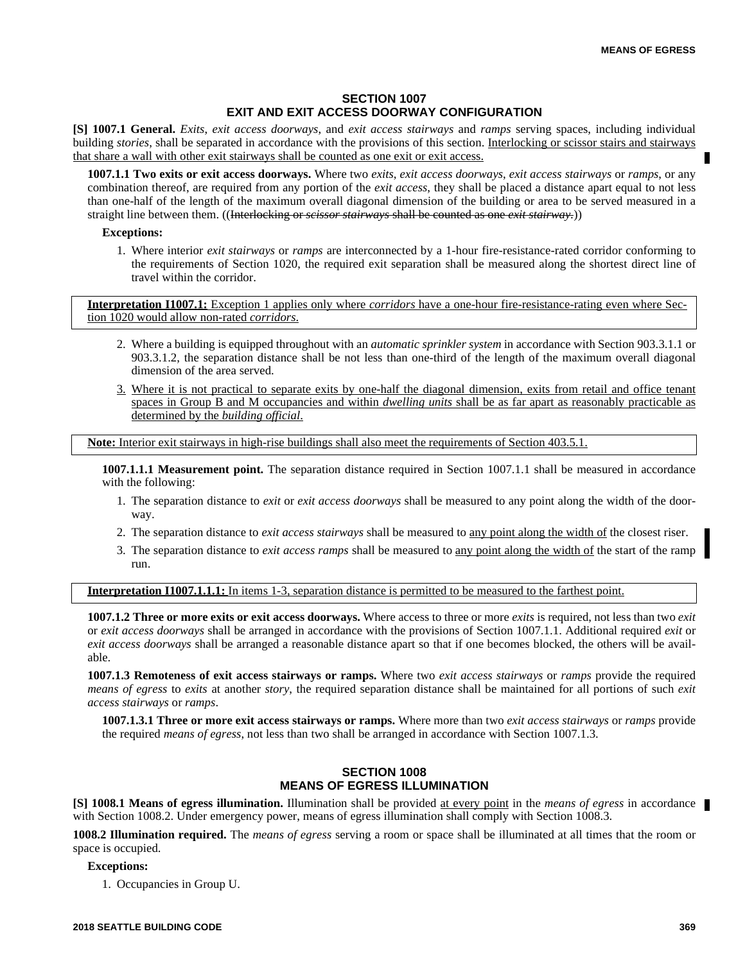# **SECTION 1007 EXIT AND EXIT ACCESS DOORWAY CONFIGURATION**

**[S] 1007.1 General.** *Exits*, *exit access doorways*, and *exit access stairways* and *ramps* serving spaces, including individual building *stories*, shall be separated in accordance with the provisions of this section. Interlocking or scissor stairs and stairways that share a wall with other exit stairways shall be counted as one exit or exit access.

**1007.1.1 Two exits or exit access doorways.** Where two *exits*, *exit access doorways*, *exit access stairways* or *ramps*, or any combination thereof, are required from any portion of the *exit access*, they shall be placed a distance apart equal to not less than one-half of the length of the maximum overall diagonal dimension of the building or area to be served measured in a straight line between them. ((Interlocking or *scissor stairways* shall be counted as one *exit stairway*.))

#### **Exceptions:**

1. Where interior *exit stairways* or *ramps* are interconnected by a 1-hour fire-resistance-rated corridor conforming to the requirements of Section 1020, the required exit separation shall be measured along the shortest direct line of travel within the corridor.

**Interpretation I1007.1:** Exception 1 applies only where *corridors* have a one-hour fire-resistance-rating even where Section 1020 would allow non-rated *corridors*.

- 2. Where a building is equipped throughout with an *automatic sprinkler system* in accordance with Section 903.3.1.1 or 903.3.1.2, the separation distance shall be not less than one-third of the length of the maximum overall diagonal dimension of the area served.
- 3. Where it is not practical to separate exits by one-half the diagonal dimension, exits from retail and office tenant spaces in Group B and M occupancies and within *dwelling units* shall be as far apart as reasonably practicable as determined by the *building official*.

**Note:** Interior exit stairways in high-rise buildings shall also meet the requirements of Section 403.5.1.

**1007.1.1.1 Measurement point.** The separation distance required in Section 1007.1.1 shall be measured in accordance with the following:

- 1. The separation distance to *exit* or *exit access doorways* shall be measured to any point along the width of the doorway.
- 2. The separation distance to *exit access stairways* shall be measured to any point along the width of the closest riser.
- 3. The separation distance to *exit access ramps* shall be measured to any point along the width of the start of the ramp run.

#### **Interpretation I1007.1.1.1:** In items 1-3, separation distance is permitted to be measured to the farthest point.

**1007.1.2 Three or more exits or exit access doorways.** Where access to three or more *exits* is required, not less than two *exit* or *exit access doorways* shall be arranged in accordance with the provisions of Section 1007.1.1. Additional required *exit* or *exit access doorways* shall be arranged a reasonable distance apart so that if one becomes blocked, the others will be available.

**1007.1.3 Remoteness of exit access stairways or ramps.** Where two *exit access stairways* or *ramps* provide the required *means of egress* to *exits* at another *story*, the required separation distance shall be maintained for all portions of such *exit access stairways* or *ramps*.

**1007.1.3.1 Three or more exit access stairways or ramps.** Where more than two *exit access stairways* or *ramps* provide the required *means of egress*, not less than two shall be arranged in accordance with Section 1007.1.3.

# **SECTION 1008 MEANS OF EGRESS ILLUMINATION**

**[S] 1008.1 Means of egress illumination.** Illumination shall be provided at every point in the *means of egress* in accordance with Section 1008.2. Under emergency power, means of egress illumination shall comply with Section 1008.3.

**1008.2 Illumination required.** The *means of egress* serving a room or space shall be illuminated at all times that the room or space is occupied.

#### **Exceptions:**

1. Occupancies in Group U.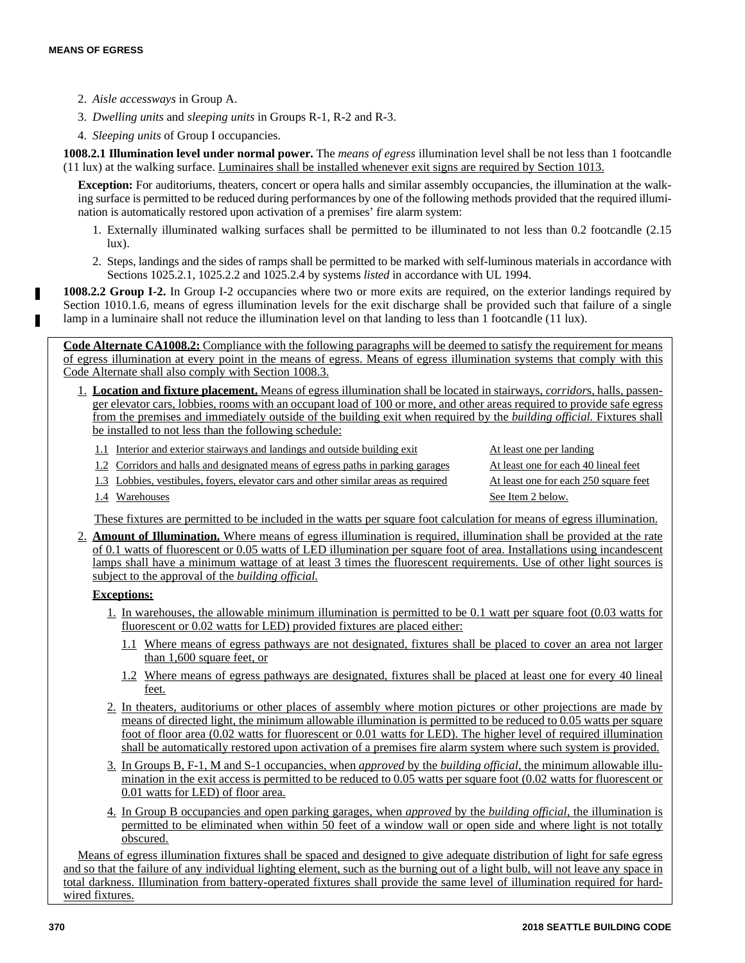- 2. *Aisle accessways* in Group A.
- 3. *Dwelling units* and *sleeping units* in Groups R-1, R-2 and R-3.
- 4. *Sleeping units* of Group I occupancies.

**1008.2.1 Illumination level under normal power.** The *means of egress* illumination level shall be not less than 1 footcandle (11 lux) at the walking surface. Luminaires shall be installed whenever exit signs are required by Section 1013.

**Exception:** For auditoriums, theaters, concert or opera halls and similar assembly occupancies, the illumination at the walking surface is permitted to be reduced during performances by one of the following methods provided that the required illumination is automatically restored upon activation of a premises' fire alarm system:

- 1. Externally illuminated walking surfaces shall be permitted to be illuminated to not less than 0.2 footcandle (2.15 lux).
- 2. Steps, landings and the sides of ramps shall be permitted to be marked with self-luminous materials in accordance with Sections 1025.2.1, 1025.2.2 and 1025.2.4 by systems *listed* in accordance with UL 1994.

**1008.2.2 Group I-2.** In Group I-2 occupancies where two or more exits are required, on the exterior landings required by Section 1010.1.6, means of egress illumination levels for the exit discharge shall be provided such that failure of a single lamp in a luminaire shall not reduce the illumination level on that landing to less than 1 footcandle (11 lux).

**Code Alternate CA1008.2:** Compliance with the following paragraphs will be deemed to satisfy the requirement for means of egress illumination at every point in the means of egress. Means of egress illumination systems that comply with this Code Alternate shall also comply with Section 1008.3.

- 1. **Location and fixture placement.** Means of egress illumination shall be located in stairways, *corridor*s*,* halls, passenger elevator cars, lobbies, rooms with an occupant load of 100 or more, and other areas required to provide safe egress from the premises and immediately outside of the building exit when required by the *building official.* Fixtures shall be installed to not less than the following schedule:
	- 1.1 Interior and exterior stairways and landings and outside building exit At least one per landing
	- 1.2 Corridors and halls and designated means of egress paths in parking garages At least one for each 40 lineal feet
	- 1.3 Lobbies, vestibules, foyers, elevator cars and other similar areas as required At least one for each 250 square feet
- - 1.4 Warehouses See Item 2 below.

These fixtures are permitted to be included in the watts per square foot calculation for means of egress illumination.

2. **Amount of Illumination.** Where means of egress illumination is required, illumination shall be provided at the rate of 0.1 watts of fluorescent or 0.05 watts of LED illumination per square foot of area. Installations using incandescent lamps shall have a minimum wattage of at least 3 times the fluorescent requirements. Use of other light sources is subject to the approval of the *building official.*

# **Exceptions:**

- 1. In warehouses, the allowable minimum illumination is permitted to be 0.1 watt per square foot (0.03 watts for fluorescent or 0.02 watts for LED) provided fixtures are placed either:
	- 1.1 Where means of egress pathways are not designated, fixtures shall be placed to cover an area not larger than 1,600 square feet, or
	- 1.2 Where means of egress pathways are designated, fixtures shall be placed at least one for every 40 lineal feet.
- 2. In theaters, auditoriums or other places of assembly where motion pictures or other projections are made by means of directed light, the minimum allowable illumination is permitted to be reduced to 0.05 watts per square foot of floor area (0.02 watts for fluorescent or 0.01 watts for LED). The higher level of required illumination shall be automatically restored upon activation of a premises fire alarm system where such system is provided.
- 3. In Groups B, F-1, M and S-1 occupancies, when *approved* by the *building official,* the minimum allowable illumination in the exit access is permitted to be reduced to 0.05 watts per square foot (0.02 watts for fluorescent or 0.01 watts for LED) of floor area.
- 4. In Group B occupancies and open parking garages, when *approved* by the *building official,* the illumination is permitted to be eliminated when within 50 feet of a window wall or open side and where light is not totally obscured.

Means of egress illumination fixtures shall be spaced and designed to give adequate distribution of light for safe egress and so that the failure of any individual lighting element, such as the burning out of a light bulb, will not leave any space in total darkness. Illumination from battery-operated fixtures shall provide the same level of illumination required for hardwired fixtures.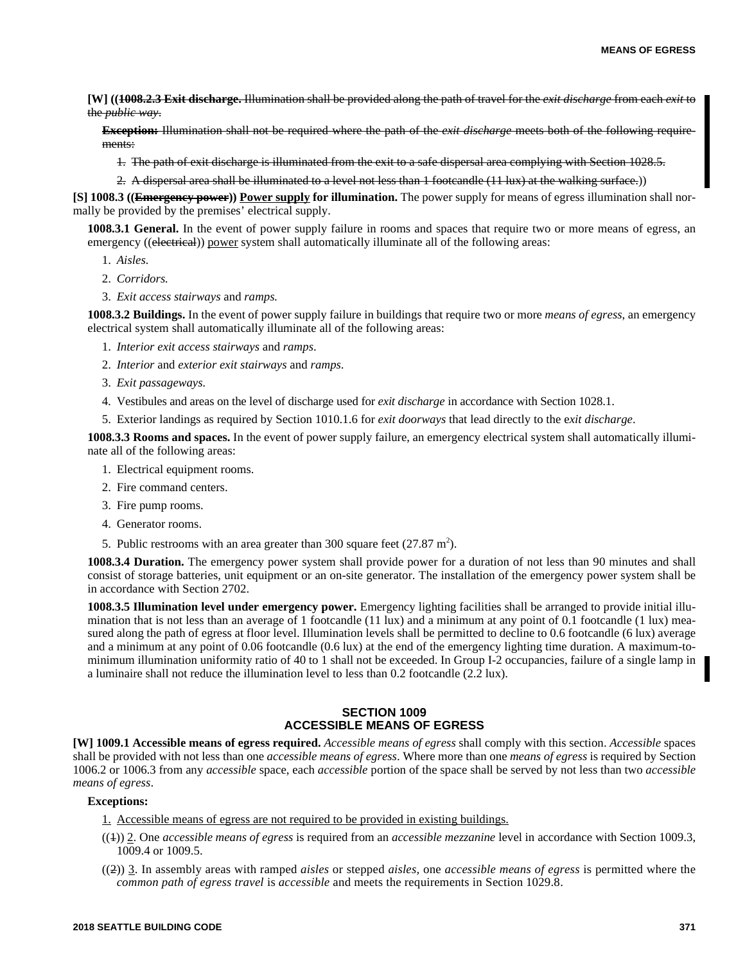**[W] ((1008.2.3 Exit discharge.** Illumination shall be provided along the path of travel for the *exit discharge* from each *exit* to the *public way*.

**Exception:** Illumination shall not be required where the path of the *exit discharge* meets both of the following requirements:

- 1. The path of exit discharge is illuminated from the exit to a safe dispersal area complying with Section 1028.5.
- 2. A dispersal area shall be illuminated to a level not less than 1 footcandle (11 lux) at the walking surface.))

**[S] 1008.3 ((Emergency power)) Power supply for illumination.** The power supply for means of egress illumination shall normally be provided by the premises' electrical supply.

**1008.3.1 General.** In the event of power supply failure in rooms and spaces that require two or more means of egress, an emergency ((electrical)) power system shall automatically illuminate all of the following areas:

- 1. *Aisles.*
- 2. *Corridors.*
- 3. *Exit access stairways* and *ramps.*

**1008.3.2 Buildings.** In the event of power supply failure in buildings that require two or more *means of egress*, an emergency electrical system shall automatically illuminate all of the following areas:

- 1. *Interior exit access stairways* and *ramps*.
- 2. *Interior* and *exterior exit stairways* and *ramps*.
- 3. *Exit passageways.*
- 4. Vestibules and areas on the level of discharge used for *exit discharge* in accordance with Section 1028.1.
- 5. Exterior landings as required by Section 1010.1.6 for *exit doorways* that lead directly to the e*xit discharge*.

**1008.3.3 Rooms and spaces.** In the event of power supply failure, an emergency electrical system shall automatically illuminate all of the following areas:

- 1. Electrical equipment rooms.
- 2. Fire command centers.
- 3. Fire pump rooms.
- 4. Generator rooms.
- 5. Public restrooms with an area greater than 300 square feet  $(27.87 \text{ m}^2)$ .

**1008.3.4 Duration.** The emergency power system shall provide power for a duration of not less than 90 minutes and shall consist of storage batteries, unit equipment or an on-site generator. The installation of the emergency power system shall be in accordance with Section 2702.

**1008.3.5 Illumination level under emergency power.** Emergency lighting facilities shall be arranged to provide initial illumination that is not less than an average of 1 footcandle (11 lux) and a minimum at any point of 0.1 footcandle (1 lux) measured along the path of egress at floor level. Illumination levels shall be permitted to decline to 0.6 footcandle (6 lux) average and a minimum at any point of 0.06 footcandle (0.6 lux) at the end of the emergency lighting time duration. A maximum-tominimum illumination uniformity ratio of 40 to 1 shall not be exceeded. In Group I-2 occupancies, failure of a single lamp in a luminaire shall not reduce the illumination level to less than 0.2 footcandle (2.2 lux).

# **SECTION 1009 ACCESSIBLE MEANS OF EGRESS**

**[W] 1009.1 Accessible means of egress required.** *Accessible means of egress* shall comply with this section. *Accessible* spaces shall be provided with not less than one *accessible means of egress*. Where more than one *means of egress* is required by Section 1006.2 or 1006.3 from any *accessible* space, each *accessible* portion of the space shall be served by not less than two *accessible means of egress*.

#### **Exceptions:**

1. Accessible means of egress are not required to be provided in existing buildings.

- ((1)) 2. One *accessible means of egress* is required from an *accessible mezzanine* level in accordance with Section 1009.3, 1009.4 or 1009.5.
- ((2)) 3. In assembly areas with ramped *aisles* or stepped *aisles,* one *accessible means of egress* is permitted where the *common path of egress travel* is *accessible* and meets the requirements in Section 1029.8.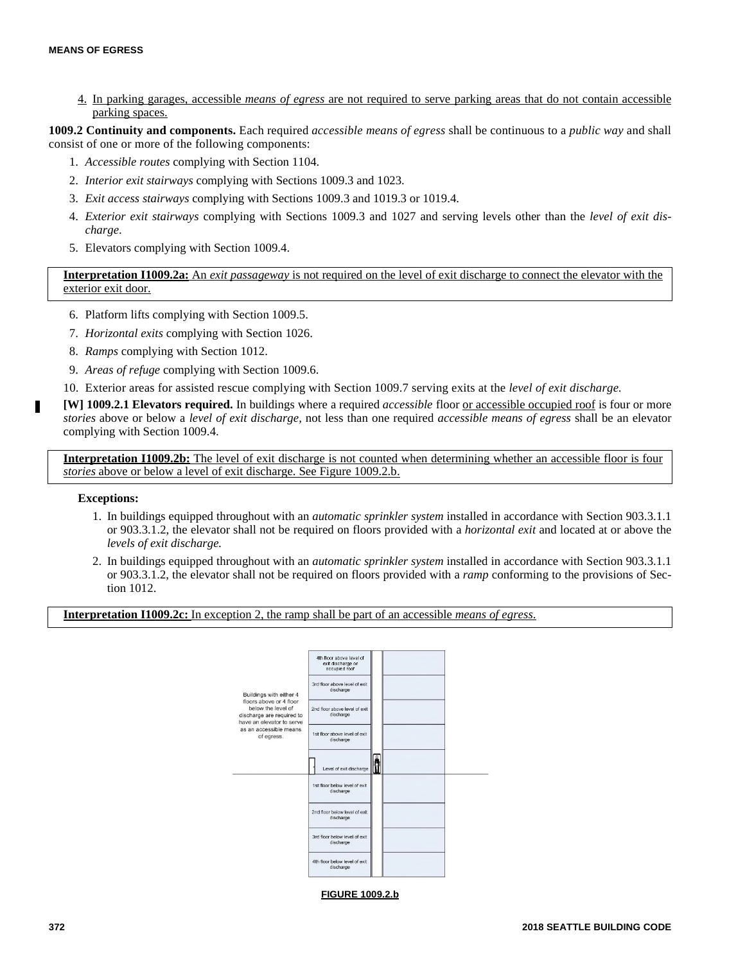4. In parking garages, accessible *means of egress* are not required to serve parking areas that do not contain accessible parking spaces.

**1009.2 Continuity and components.** Each required *accessible means of egress* shall be continuous to a *public way* and shall consist of one or more of the following components:

- 1. *Accessible routes* complying with Section 1104.
- 2. *Interior exit stairways* complying with Sections 1009.3 and 1023.
- 3. *Exit access stairways* complying with Sections 1009.3 and 1019.3 or 1019.4.
- 4. *Exterior exit stairways* complying with Sections 1009.3 and 1027 and serving levels other than the *level of exit discharge*.
- 5. Elevators complying with Section 1009.4.

**Interpretation I1009.2a:** An *exit passageway* is not required on the level of exit discharge to connect the elevator with the exterior exit door.

- 6. Platform lifts complying with Section 1009.5.
- 7. *Horizontal exits* complying with Section 1026.
- 8. *Ramps* complying with Section 1012.
- 9. *Areas of refuge* complying with Section 1009.6.
- 10. Exterior areas for assisted rescue complying with Section 1009.7 serving exits at the *level of exit discharge.*

**[W] 1009.2.1 Elevators required.** In buildings where a required *accessible* floor or accessible occupied roof is four or more *stories* above or below a *level of exit discharge,* not less than one required *accessible means of egress* shall be an elevator complying with Section 1009.4.

**Interpretation I1009.2b:** The level of exit discharge is not counted when determining whether an accessible floor is four *stories* above or below a level of exit discharge. See Figure 1009.2.b.

# **Exceptions:**

г

- 1. In buildings equipped throughout with an *automatic sprinkler system* installed in accordance with Section 903.3.1.1 or 903.3.1.2, the elevator shall not be required on floors provided with a *horizontal exit* and located at or above the *levels of exit discharge.*
- 2. In buildings equipped throughout with an *automatic sprinkler system* installed in accordance with Section 903.3.1.1 or 903.3.1.2, the elevator shall not be required on floors provided with a *ramp* conforming to the provisions of Section 1012.

**Interpretation I1009.2c:** In exception 2, the ramp shall be part of an accessible *means of egress*.



**FIGURE 1009.2.b**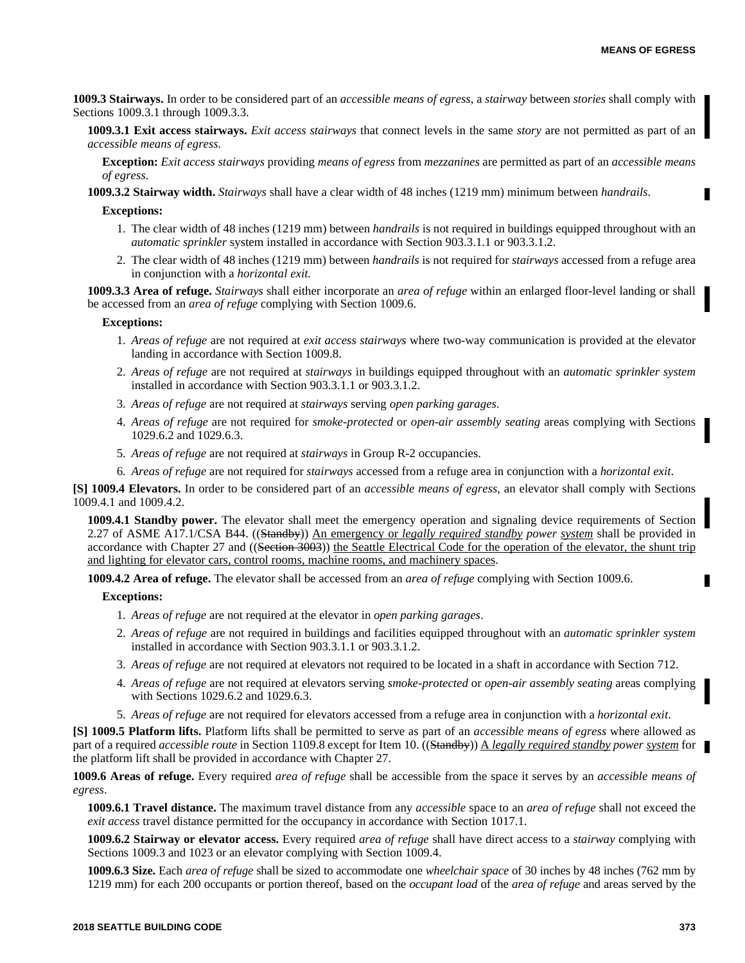**1009.3 Stairways.** In order to be considered part of an *accessible means of egress*, a *stairway* between *stories* shall comply with Sections 1009.3.1 through 1009.3.3.

**1009.3.1 Exit access stairways.** *Exit access stairways* that connect levels in the same *story* are not permitted as part of an *accessible means of egress.*

**Exception:** *Exit access stairways* providing *means of egress* from *mezzanines* are permitted as part of an *accessible means of egress*.

**1009.3.2 Stairway width.** *Stairways* shall have a clear width of 48 inches (1219 mm) minimum between *handrails*.

#### **Exceptions:**

- 1. The clear width of 48 inches (1219 mm) between *handrails* is not required in buildings equipped throughout with an *automatic sprinkler* system installed in accordance with Section 903.3.1.1 or 903.3.1.2.
- 2. The clear width of 48 inches (1219 mm) between *handrails* is not required for *stairways* accessed from a refuge area in conjunction with a *horizontal exit.*

**1009.3.3 Area of refuge.** *Stairways* shall either incorporate an *area of refuge* within an enlarged floor-level landing or shall be accessed from an *area of refuge* complying with Section 1009.6.

#### **Exceptions:**

- 1. *Areas of refuge* are not required at *exit access stairways* where two-way communication is provided at the elevator landing in accordance with Section 1009.8.
- 2. *Areas of refuge* are not required at *stairways* in buildings equipped throughout with an *automatic sprinkler system* installed in accordance with Section 903.3.1.1 or 903.3.1.2.
- 3. *Areas of refuge* are not required at *stairways* serving *open parking garages*.
- 4. *Areas of refuge* are not required for *smoke-protected* or *open-air assembly seating* areas complying with Sections 1029.6.2 and 1029.6.3.
- 5. *Areas of refuge* are not required at *stairways* in Group R-2 occupancies.
- 6. *Areas of refuge* are not required for *stairways* accessed from a refuge area in conjunction with a *horizontal exit*.

**[S] 1009.4 Elevators.** In order to be considered part of an *accessible means of egress*, an elevator shall comply with Sections 1009.4.1 and 1009.4.2.

**1009.4.1 Standby power.** The elevator shall meet the emergency operation and signaling device requirements of Section 2.27 of ASME A17.1/CSA B44. ((Standby)) An emergency or *legally required standby power system* shall be provided in accordance with Chapter 27 and ((Section 3003)) the Seattle Electrical Code for the operation of the elevator, the shunt trip and lighting for elevator cars, control rooms, machine rooms, and machinery spaces.

**1009.4.2 Area of refuge.** The elevator shall be accessed from an *area of refuge* complying with Section 1009.6.

#### **Exceptions:**

- 1. *Areas of refuge* are not required at the elevator in *open parking garages*.
- 2. *Areas of refuge* are not required in buildings and facilities equipped throughout with an *automatic sprinkler system* installed in accordance with Section 903.3.1.1 or 903.3.1.2.
- 3. *Areas of refuge* are not required at elevators not required to be located in a shaft in accordance with Section 712.
- 4. *Areas of refuge* are not required at elevators serving *smoke-protected* or *open-air assembly seating* areas complying with Sections 1029.6.2 and 1029.6.3.
- 5. *Areas of refuge* are not required for elevators accessed from a refuge area in conjunction with a *horizontal exit*.

**[S] 1009.5 Platform lifts.** Platform lifts shall be permitted to serve as part of an *accessible means of egress* where allowed as part of a required *accessible route* in Section 1109.8 except for Item 10. ((Standby)) A *legally required standby power system* for the platform lift shall be provided in accordance with Chapter 27.

**1009.6 Areas of refuge.** Every required *area of refuge* shall be accessible from the space it serves by an *accessible means of egress*.

**1009.6.1 Travel distance.** The maximum travel distance from any *accessible* space to an *area of refuge* shall not exceed the *exit access* travel distance permitted for the occupancy in accordance with Section 1017.1.

**1009.6.2 Stairway or elevator access.** Every required *area of refuge* shall have direct access to a *stairway* complying with Sections 1009.3 and 1023 or an elevator complying with Section 1009.4.

**1009.6.3 Size.** Each *area of refuge* shall be sized to accommodate one *wheelchair space* of 30 inches by 48 inches (762 mm by 1219 mm) for each 200 occupants or portion thereof, based on the *occupant load* of the *area of refuge* and areas served by the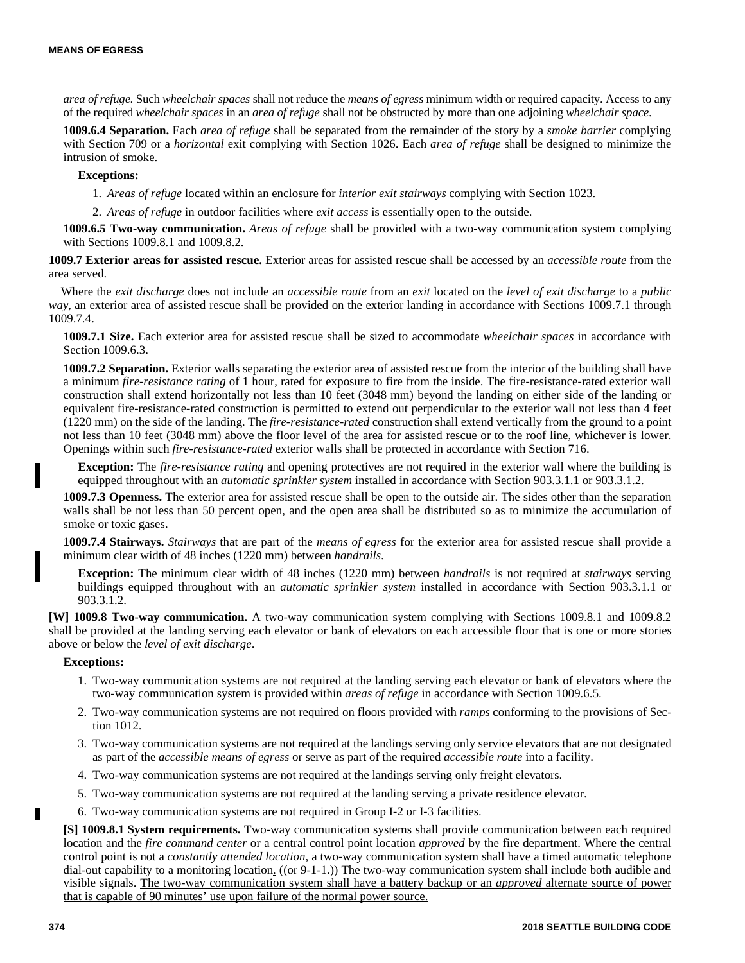*area of refuge*. Such *wheelchair spaces* shall not reduce the *means of egress* minimum width or required capacity. Access to any of the required *wheelchair spaces* in an *area of refuge* shall not be obstructed by more than one adjoining *wheelchair space*.

**1009.6.4 Separation.** Each *area of refuge* shall be separated from the remainder of the story by a *smoke barrier* complying with Section 709 or a *horizontal* exit complying with Section 1026. Each *area of refuge* shall be designed to minimize the intrusion of smoke.

# **Exceptions:**

1. *Areas of refuge* located within an enclosure for *interior exit stairways* complying with Section 1023.

2. *Areas of refuge* in outdoor facilities where *exit access* is essentially open to the outside.

**1009.6.5 Two-way communication.** *Areas of refuge* shall be provided with a two-way communication system complying with Sections 1009.8.1 and 1009.8.2.

**1009.7 Exterior areas for assisted rescue.** Exterior areas for assisted rescue shall be accessed by an *accessible route* from the area served.

Where the *exit discharge* does not include an *accessible route* from an *exit* located on the *level of exit discharge* to a *public way*, an exterior area of assisted rescue shall be provided on the exterior landing in accordance with Sections 1009.7.1 through 1009.7.4.

**1009.7.1 Size.** Each exterior area for assisted rescue shall be sized to accommodate *wheelchair spaces* in accordance with Section 1009.6.3.

**1009.7.2 Separation.** Exterior walls separating the exterior area of assisted rescue from the interior of the building shall have a minimum *fire-resistance rating* of 1 hour, rated for exposure to fire from the inside. The fire-resistance-rated exterior wall construction shall extend horizontally not less than 10 feet (3048 mm) beyond the landing on either side of the landing or equivalent fire-resistance-rated construction is permitted to extend out perpendicular to the exterior wall not less than 4 feet (1220 mm) on the side of the landing. The *fire-resistance-rated* construction shall extend vertically from the ground to a point not less than 10 feet (3048 mm) above the floor level of the area for assisted rescue or to the roof line, whichever is lower. Openings within such *fire-resistance-rated* exterior walls shall be protected in accordance with Section 716.

**Exception:** The *fire-resistance rating* and opening protectives are not required in the exterior wall where the building is equipped throughout with an *automatic sprinkler system* installed in accordance with Section 903.3.1.1 or 903.3.1.2.

**1009.7.3 Openness.** The exterior area for assisted rescue shall be open to the outside air. The sides other than the separation walls shall be not less than 50 percent open, and the open area shall be distributed so as to minimize the accumulation of smoke or toxic gases.

**1009.7.4 Stairways.** *Stairways* that are part of the *means of egress* for the exterior area for assisted rescue shall provide a minimum clear width of 48 inches (1220 mm) between *handrails*.

**Exception:** The minimum clear width of 48 inches (1220 mm) between *handrails* is not required at *stairways* serving buildings equipped throughout with an *automatic sprinkler system* installed in accordance with Section 903.3.1.1 or 903.3.1.2.

**[W] 1009.8 Two-way communication.** A two-way communication system complying with Sections 1009.8.1 and 1009.8.2 shall be provided at the landing serving each elevator or bank of elevators on each accessible floor that is one or more stories above or below the *level of exit discharge*.

## **Exceptions:**

- 1. Two-way communication systems are not required at the landing serving each elevator or bank of elevators where the two-way communication system is provided within *areas of refuge* in accordance with Section 1009.6.5.
- 2. Two-way communication systems are not required on floors provided with *ramps* conforming to the provisions of Section 1012.
- 3. Two-way communication systems are not required at the landings serving only service elevators that are not designated as part of the *accessible means of egress* or serve as part of the required *accessible route* into a facility.
- 4. Two-way communication systems are not required at the landings serving only freight elevators.
- 5. Two-way communication systems are not required at the landing serving a private residence elevator.
- 6. Two-way communication systems are not required in Group I-2 or I-3 facilities.

**[S] 1009.8.1 System requirements.** Two-way communication systems shall provide communication between each required location and the *fire command center* or a central control point location *approved* by the fire department. Where the central control point is not a *constantly attended location*, a two-way communication system shall have a timed automatic telephone dial-out capability to a monitoring location.  $((\Theta F + 1.1))$  The two-way communication system shall include both audible and visible signals. The two-way communication system shall have a battery backup or an *approved* alternate source of power that is capable of 90 minutes' use upon failure of the normal power source.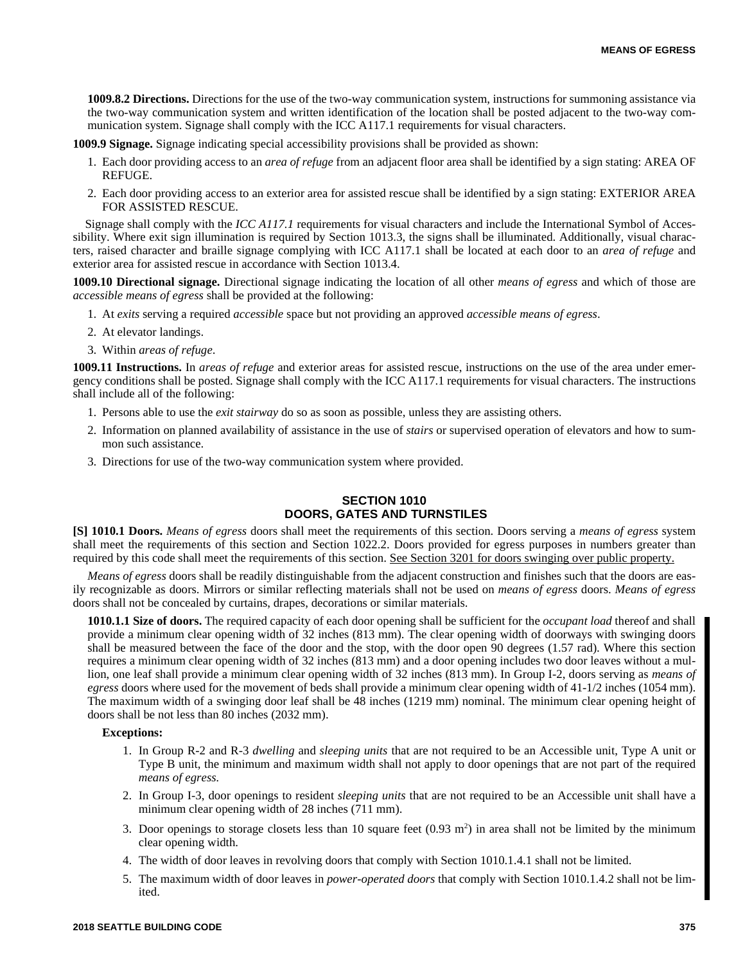**1009.8.2 Directions.** Directions for the use of the two-way communication system, instructions for summoning assistance via the two-way communication system and written identification of the location shall be posted adjacent to the two-way communication system. Signage shall comply with the ICC A117.1 requirements for visual characters.

**1009.9 Signage.** Signage indicating special accessibility provisions shall be provided as shown:

- 1. Each door providing access to an *area of refuge* from an adjacent floor area shall be identified by a sign stating: AREA OF REFUGE.
- 2. Each door providing access to an exterior area for assisted rescue shall be identified by a sign stating: EXTERIOR AREA FOR ASSISTED RESCUE.

Signage shall comply with the *ICC A117.1* requirements for visual characters and include the International Symbol of Accessibility. Where exit sign illumination is required by Section 1013.3, the signs shall be illuminated. Additionally, visual characters, raised character and braille signage complying with ICC A117.1 shall be located at each door to an *area of refuge* and exterior area for assisted rescue in accordance with Section 1013.4.

**1009.10 Directional signage.** Directional signage indicating the location of all other *means of egress* and which of those are *accessible means of egress* shall be provided at the following:

- 1. At *exits* serving a required *accessible* space but not providing an approved *accessible means of egress*.
- 2. At elevator landings.
- 3. Within *areas of refuge*.

**1009.11 Instructions.** In *areas of refuge* and exterior areas for assisted rescue, instructions on the use of the area under emergency conditions shall be posted. Signage shall comply with the ICC A117.1 requirements for visual characters. The instructions shall include all of the following:

- 1. Persons able to use the *exit stairway* do so as soon as possible, unless they are assisting others.
- 2. Information on planned availability of assistance in the use of *stairs* or supervised operation of elevators and how to summon such assistance.
- 3. Directions for use of the two-way communication system where provided.

# **SECTION 1010 DOORS, GATES AND TURNSTILES**

**[S] 1010.1 Doors.** *Means of egress* doors shall meet the requirements of this section. Doors serving a *means of egress* system shall meet the requirements of this section and Section 1022.2. Doors provided for egress purposes in numbers greater than required by this code shall meet the requirements of this section. See Section 3201 for doors swinging over public property.

*Means of egress* doors shall be readily distinguishable from the adjacent construction and finishes such that the doors are easily recognizable as doors. Mirrors or similar reflecting materials shall not be used on *means of egress* doors. *Means of egress* doors shall not be concealed by curtains, drapes, decorations or similar materials.

**1010.1.1 Size of doors.** The required capacity of each door opening shall be sufficient for the *occupant load* thereof and shall provide a minimum clear opening width of 32 inches (813 mm). The clear opening width of doorways with swinging doors shall be measured between the face of the door and the stop, with the door open 90 degrees (1.57 rad). Where this section requires a minimum clear opening width of 32 inches (813 mm) and a door opening includes two door leaves without a mullion, one leaf shall provide a minimum clear opening width of 32 inches (813 mm). In Group I-2, doors serving as *means of egress* doors where used for the movement of beds shall provide a minimum clear opening width of 41-1/2 inches (1054 mm). The maximum width of a swinging door leaf shall be 48 inches (1219 mm) nominal. The minimum clear opening height of doors shall be not less than 80 inches (2032 mm).

#### **Exceptions:**

- 1. In Group R-2 and R-3 *dwelling* and *sleeping units* that are not required to be an Accessible unit, Type A unit or Type B unit, the minimum and maximum width shall not apply to door openings that are not part of the required *means of egress.*
- 2. In Group I-3, door openings to resident *sleeping units* that are not required to be an Accessible unit shall have a minimum clear opening width of 28 inches (711 mm).
- 3. Door openings to storage closets less than 10 square feet  $(0.93 \text{ m}^2)$  in area shall not be limited by the minimum clear opening width.
- 4. The width of door leaves in revolving doors that comply with Section 1010.1.4.1 shall not be limited.
- 5. The maximum width of door leaves in *power-operated doors* that comply with Section 1010.1.4.2 shall not be limited.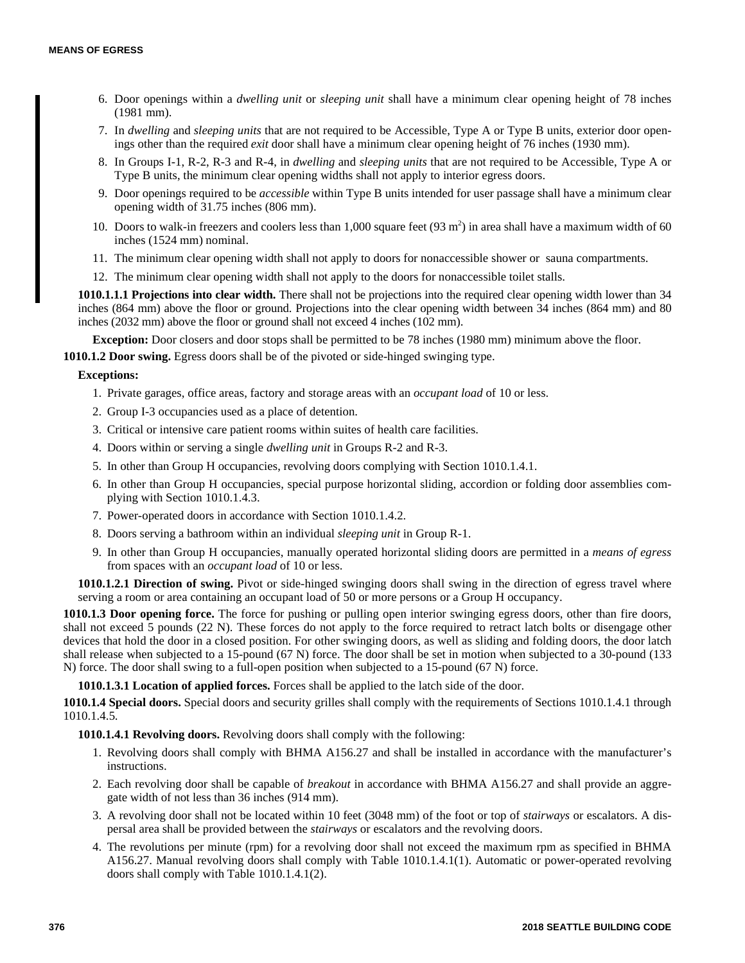- 6. Door openings within a *dwelling unit* or *sleeping unit* shall have a minimum clear opening height of 78 inches (1981 mm).
- 7. In *dwelling* and *sleeping units* that are not required to be Accessible, Type A or Type B units, exterior door openings other than the required *exit* door shall have a minimum clear opening height of 76 inches (1930 mm).
- 8. In Groups I-1, R-2, R-3 and R-4, in *dwelling* and *sleeping units* that are not required to be Accessible, Type A or Type B units, the minimum clear opening widths shall not apply to interior egress doors.
- 9. Door openings required to be *accessible* within Type B units intended for user passage shall have a minimum clear opening width of 31.75 inches (806 mm).
- 10. Doors to walk-in freezers and coolers less than 1,000 square feet  $(93 \text{ m}^2)$  in area shall have a maximum width of 60 inches (1524 mm) nominal.
- 11. The minimum clear opening width shall not apply to doors for nonaccessible shower or sauna compartments.
- 12. The minimum clear opening width shall not apply to the doors for nonaccessible toilet stalls.

**1010.1.1.1 Projections into clear width.** There shall not be projections into the required clear opening width lower than 34 inches (864 mm) above the floor or ground. Projections into the clear opening width between 34 inches (864 mm) and 80 inches (2032 mm) above the floor or ground shall not exceed 4 inches (102 mm).

**Exception:** Door closers and door stops shall be permitted to be 78 inches (1980 mm) minimum above the floor.

**1010.1.2 Door swing.** Egress doors shall be of the pivoted or side-hinged swinging type.

# **Exceptions:**

- 1. Private garages, office areas, factory and storage areas with an *occupant load* of 10 or less.
- 2. Group I-3 occupancies used as a place of detention.
- 3. Critical or intensive care patient rooms within suites of health care facilities.
- 4. Doors within or serving a single *dwelling unit* in Groups R-2 and R-3.
- 5. In other than Group H occupancies, revolving doors complying with Section 1010.1.4.1.
- 6. In other than Group H occupancies, special purpose horizontal sliding, accordion or folding door assemblies complying with Section 1010.1.4.3.
- 7. Power-operated doors in accordance with Section 1010.1.4.2.
- 8. Doors serving a bathroom within an individual *sleeping unit* in Group R-1.
- 9. In other than Group H occupancies, manually operated horizontal sliding doors are permitted in a *means of egress* from spaces with an *occupant load* of 10 or less.

**1010.1.2.1 Direction of swing.** Pivot or side-hinged swinging doors shall swing in the direction of egress travel where serving a room or area containing an occupant load of 50 or more persons or a Group H occupancy.

**1010.1.3 Door opening force.** The force for pushing or pulling open interior swinging egress doors, other than fire doors, shall not exceed 5 pounds (22 N). These forces do not apply to the force required to retract latch bolts or disengage other devices that hold the door in a closed position. For other swinging doors, as well as sliding and folding doors, the door latch shall release when subjected to a 15-pound (67 N) force. The door shall be set in motion when subjected to a 30-pound (133 N) force. The door shall swing to a full-open position when subjected to a 15-pound (67 N) force.

**1010.1.3.1 Location of applied forces.** Forces shall be applied to the latch side of the door.

**1010.1.4 Special doors.** Special doors and security grilles shall comply with the requirements of Sections 1010.1.4.1 through 1010.1.4.5.

**1010.1.4.1 Revolving doors.** Revolving doors shall comply with the following:

- 1. Revolving doors shall comply with BHMA A156.27 and shall be installed in accordance with the manufacturer's instructions.
- 2. Each revolving door shall be capable of *breakout* in accordance with BHMA A156.27 and shall provide an aggregate width of not less than 36 inches (914 mm).
- 3. A revolving door shall not be located within 10 feet (3048 mm) of the foot or top of *stairways* or escalators. A dispersal area shall be provided between the *stairways* or escalators and the revolving doors.
- 4. The revolutions per minute (rpm) for a revolving door shall not exceed the maximum rpm as specified in BHMA A156.27. Manual revolving doors shall comply with Table 1010.1.4.1(1). Automatic or power-operated revolving doors shall comply with Table 1010.1.4.1(2).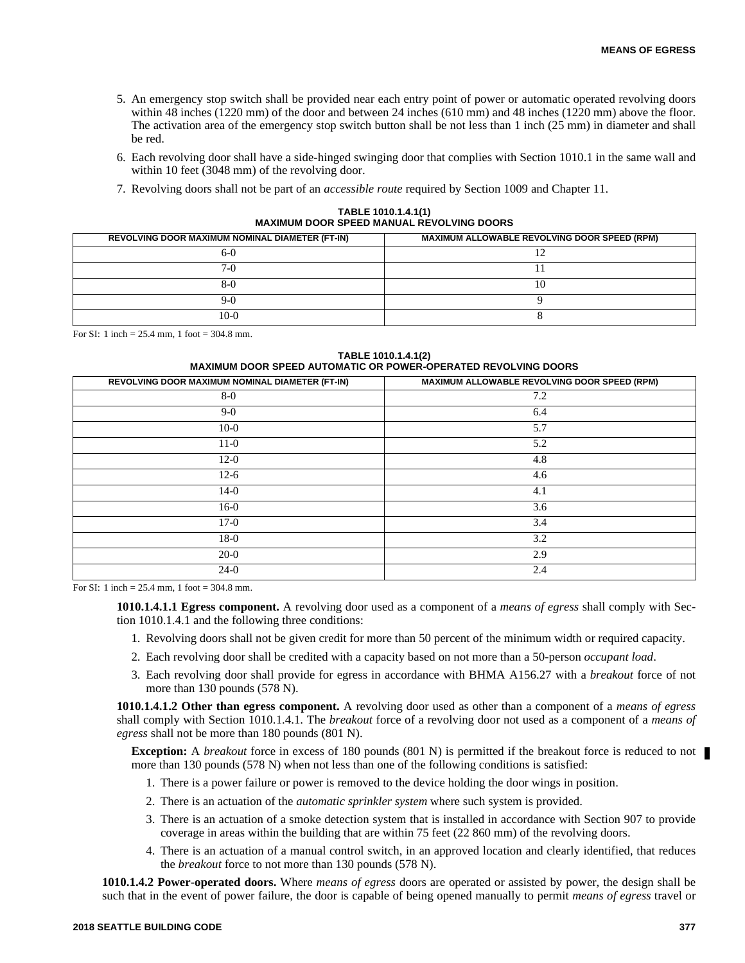- 5. An emergency stop switch shall be provided near each entry point of power or automatic operated revolving doors within 48 inches (1220 mm) of the door and between 24 inches (610 mm) and 48 inches (1220 mm) above the floor. The activation area of the emergency stop switch button shall be not less than 1 inch (25 mm) in diameter and shall be red.
- 6. Each revolving door shall have a side-hinged swinging door that complies with Section 1010.1 in the same wall and within 10 feet (3048 mm) of the revolving door.
- 7. Revolving doors shall not be part of an *accessible route* required by Section 1009 and Chapter 11.

**TABLE 1010.1.4.1(1) MAXIMUM DOOR SPEED MANUAL REVOLVING DOORS**

| REVOLVING DOOR MAXIMUM NOMINAL DIAMETER (FT-IN) | <b>MAXIMUM ALLOWABLE REVOLVING DOOR SPEED (RPM)</b> |
|-------------------------------------------------|-----------------------------------------------------|
| 6-C                                             |                                                     |
| /-l                                             |                                                     |
| $8 - 0$                                         | LV.                                                 |
| J-1                                             |                                                     |
| $10-0$                                          |                                                     |

For SI: 1 inch = 25.4 mm, 1 foot = 304.8 mm.

**TABLE 1010.1.4.1(2) MAXIMUM DOOR SPEED AUTOMATIC OR POWER-OPERATED REVOLVING DOORS**

| MAXIMUM ALLOWABLE REVOLVING DOOR SPEED (RPM) |
|----------------------------------------------|
| 7.2                                          |
| 6.4                                          |
| 5.7                                          |
| 5.2                                          |
| 4.8                                          |
| 4.6                                          |
| 4.1                                          |
| 3.6                                          |
| 3.4                                          |
| 3.2                                          |
| 2.9                                          |
| 2.4                                          |
|                                              |

For SI: 1 inch = 25.4 mm, 1 foot = 304.8 mm.

**1010.1.4.1.1 Egress component.** A revolving door used as a component of a *means of egress* shall comply with Section 1010.1.4.1 and the following three conditions:

- 1. Revolving doors shall not be given credit for more than 50 percent of the minimum width or required capacity.
- 2. Each revolving door shall be credited with a capacity based on not more than a 50-person *occupant load*.
- 3. Each revolving door shall provide for egress in accordance with BHMA A156.27 with a *breakout* force of not more than 130 pounds (578 N).

**1010.1.4.1.2 Other than egress component.** A revolving door used as other than a component of a *means of egress* shall comply with Section 1010.1.4.1. The *breakout* force of a revolving door not used as a component of a *means of egress* shall not be more than 180 pounds (801 N).

**Exception:** A *breakout* force in excess of 180 pounds (801 N) is permitted if the breakout force is reduced to not more than 130 pounds (578 N) when not less than one of the following conditions is satisfied:

- 1. There is a power failure or power is removed to the device holding the door wings in position.
- 2. There is an actuation of the *automatic sprinkler system* where such system is provided.
- 3. There is an actuation of a smoke detection system that is installed in accordance with Section 907 to provide coverage in areas within the building that are within 75 feet (22 860 mm) of the revolving doors.
- 4. There is an actuation of a manual control switch, in an approved location and clearly identified, that reduces the *breakout* force to not more than 130 pounds (578 N).

**1010.1.4.2 Power-operated doors.** Where *means of egress* doors are operated or assisted by power, the design shall be such that in the event of power failure, the door is capable of being opened manually to permit *means of egress* travel or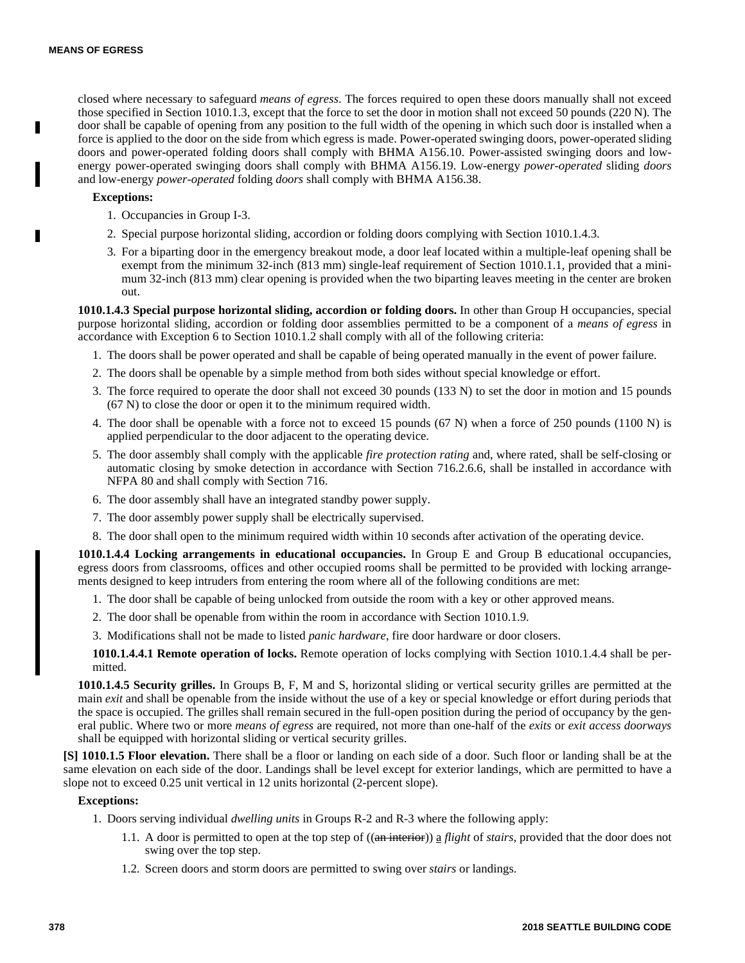closed where necessary to safeguard *means of egress*. The forces required to open these doors manually shall not exceed those specified in Section 1010.1.3, except that the force to set the door in motion shall not exceed 50 pounds (220 N). The door shall be capable of opening from any position to the full width of the opening in which such door is installed when a force is applied to the door on the side from which egress is made. Power-operated swinging doors, power-operated sliding doors and power-operated folding doors shall comply with BHMA A156.10. Power-assisted swinging doors and lowenergy power-operated swinging doors shall comply with BHMA A156.19. Low-energy *power-operated* sliding *doors* and low-energy *power-operated* folding *doors* shall comply with BHMA A156.38.

# **Exceptions:**

- 1. Occupancies in Group I-3.
- 2. Special purpose horizontal sliding, accordion or folding doors complying with Section 1010.1.4.3.
- 3. For a biparting door in the emergency breakout mode, a door leaf located within a multiple-leaf opening shall be exempt from the minimum 32-inch (813 mm) single-leaf requirement of Section 1010.1.1, provided that a minimum 32-inch (813 mm) clear opening is provided when the two biparting leaves meeting in the center are broken out.

**1010.1.4.3 Special purpose horizontal sliding, accordion or folding doors.** In other than Group H occupancies, special purpose horizontal sliding, accordion or folding door assemblies permitted to be a component of a *means of egress* in accordance with Exception 6 to Section 1010.1.2 shall comply with all of the following criteria:

- 1. The doors shall be power operated and shall be capable of being operated manually in the event of power failure.
- 2. The doors shall be openable by a simple method from both sides without special knowledge or effort.
- 3. The force required to operate the door shall not exceed 30 pounds (133 N) to set the door in motion and 15 pounds (67 N) to close the door or open it to the minimum required width.
- 4. The door shall be openable with a force not to exceed 15 pounds (67 N) when a force of 250 pounds (1100 N) is applied perpendicular to the door adjacent to the operating device.
- 5. The door assembly shall comply with the applicable *fire protection rating* and, where rated, shall be self-closing or automatic closing by smoke detection in accordance with Section 716.2.6.6, shall be installed in accordance with NFPA 80 and shall comply with Section 716.
- 6. The door assembly shall have an integrated standby power supply.
- 7. The door assembly power supply shall be electrically supervised.
- 8. The door shall open to the minimum required width within 10 seconds after activation of the operating device.

**1010.1.4.4 Locking arrangements in educational occupancies.** In Group E and Group B educational occupancies, egress doors from classrooms, offices and other occupied rooms shall be permitted to be provided with locking arrangements designed to keep intruders from entering the room where all of the following conditions are met:

- 1. The door shall be capable of being unlocked from outside the room with a key or other approved means.
- 2. The door shall be openable from within the room in accordance with Section 1010.1.9.
- 3. Modifications shall not be made to listed *panic hardware*, fire door hardware or door closers.

**1010.1.4.4.1 Remote operation of locks.** Remote operation of locks complying with Section 1010.1.4.4 shall be permitted.

**1010.1.4.5 Security grilles.** In Groups B, F, M and S, horizontal sliding or vertical security grilles are permitted at the main *exit* and shall be openable from the inside without the use of a key or special knowledge or effort during periods that the space is occupied. The grilles shall remain secured in the full-open position during the period of occupancy by the general public. Where two or more *means of egress* are required, not more than one-half of the *exits* or *exit access doorways* shall be equipped with horizontal sliding or vertical security grilles.

**[S] 1010.1.5 Floor elevation.** There shall be a floor or landing on each side of a door. Such floor or landing shall be at the same elevation on each side of the door. Landings shall be level except for exterior landings, which are permitted to have a slope not to exceed 0.25 unit vertical in 12 units horizontal (2-percent slope).

# **Exceptions:**

1. Doors serving individual *dwelling units* in Groups R-2 and R-3 where the following apply:

- 1.1. A door is permitted to open at the top step of ((an interior)) a *flight* of *stairs,* provided that the door does not swing over the top step.
- 1.2. Screen doors and storm doors are permitted to swing over *stairs* or landings.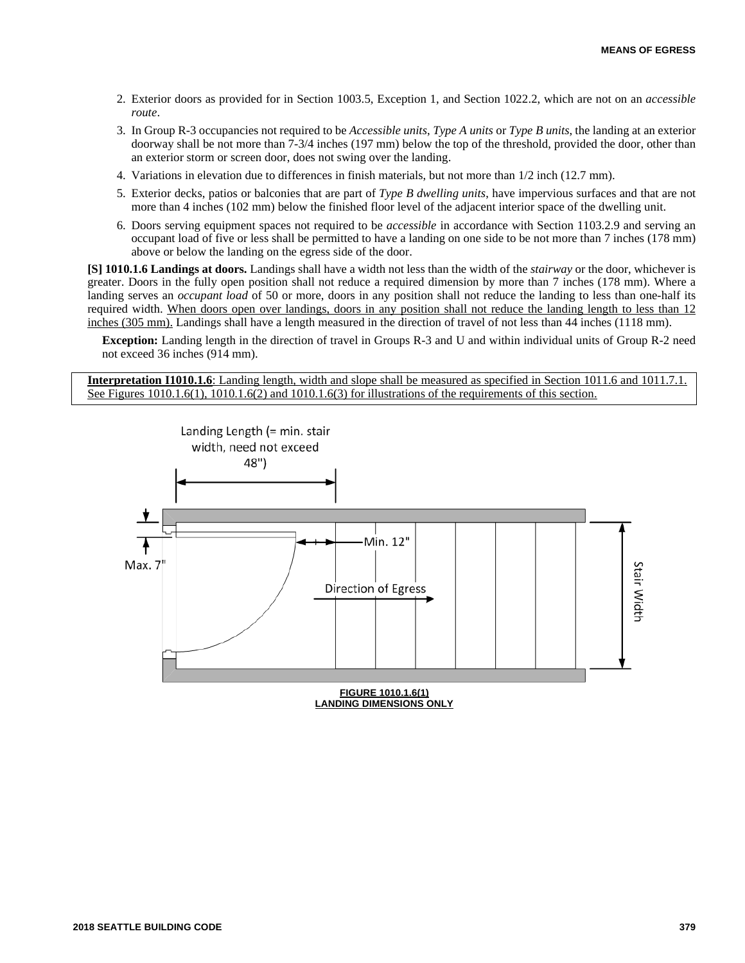- 2. Exterior doors as provided for in Section 1003.5, Exception 1, and Section 1022.2, which are not on an *accessible route*.
- 3. In Group R-3 occupancies not required to be *Accessible units*, *Type A units* or *Type B units*, the landing at an exterior doorway shall be not more than 7-3/4 inches (197 mm) below the top of the threshold, provided the door, other than an exterior storm or screen door, does not swing over the landing.
- 4. Variations in elevation due to differences in finish materials, but not more than 1/2 inch (12.7 mm).
- 5. Exterior decks, patios or balconies that are part of *Type B dwelling units*, have impervious surfaces and that are not more than 4 inches (102 mm) below the finished floor level of the adjacent interior space of the dwelling unit.
- 6. Doors serving equipment spaces not required to be *accessible* in accordance with Section 1103.2.9 and serving an occupant load of five or less shall be permitted to have a landing on one side to be not more than 7 inches (178 mm) above or below the landing on the egress side of the door.

**[S] 1010.1.6 Landings at doors.** Landings shall have a width not less than the width of the *stairway* or the door, whichever is greater. Doors in the fully open position shall not reduce a required dimension by more than 7 inches (178 mm). Where a landing serves an *occupant load* of 50 or more, doors in any position shall not reduce the landing to less than one-half its required width. When doors open over landings, doors in any position shall not reduce the landing length to less than 12 inches (305 mm). Landings shall have a length measured in the direction of travel of not less than 44 inches (1118 mm).

**Exception:** Landing length in the direction of travel in Groups R-3 and U and within individual units of Group R-2 need not exceed 36 inches (914 mm).

**Interpretation I1010.1.6**: Landing length, width and slope shall be measured as specified in Section 1011.6 and 1011.7.1. See Figures 1010.1.6(1), 1010.1.6(2) and 1010.1.6(3) for illustrations of the requirements of this section.

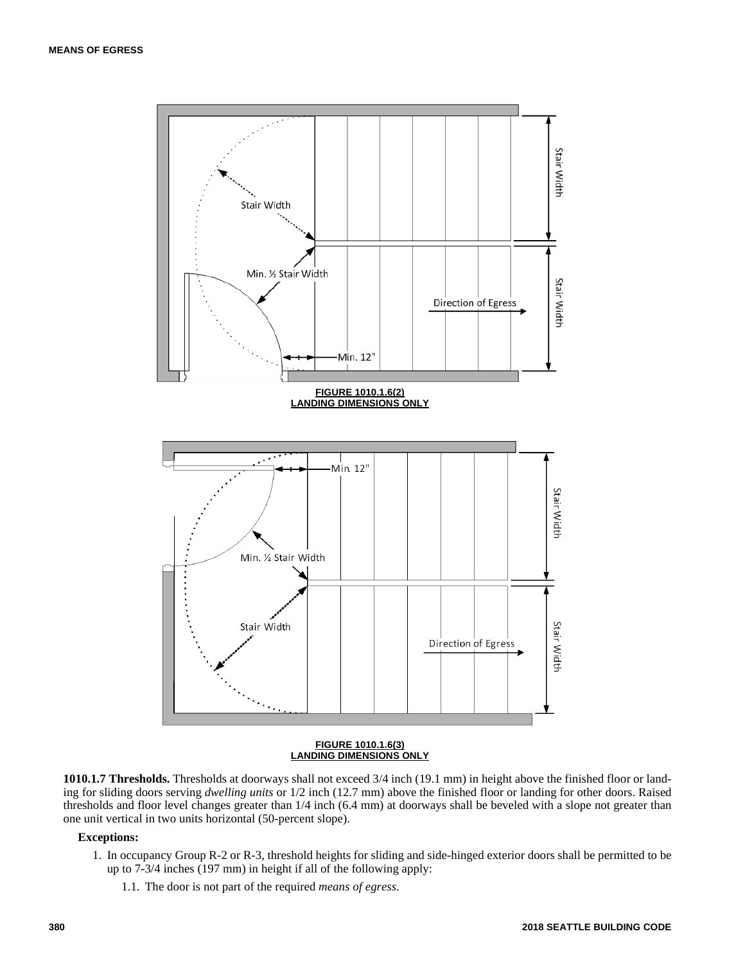

#### **FIGURE 1010.1.6(3) LANDING DIMENSIONS ONLY**

**1010.1.7 Thresholds.** Thresholds at doorways shall not exceed 3/4 inch (19.1 mm) in height above the finished floor or landing for sliding doors serving *dwelling units* or 1/2 inch (12.7 mm) above the finished floor or landing for other doors. Raised thresholds and floor level changes greater than 1/4 inch (6.4 mm) at doorways shall be beveled with a slope not greater than one unit vertical in two units horizontal (50-percent slope).

## **Exceptions:**

- 1. In occupancy Group R-2 or R-3, threshold heights for sliding and side-hinged exterior doors shall be permitted to be up to 7-3/4 inches (197 mm) in height if all of the following apply:
	- 1.1. The door is not part of the required *means of egress*.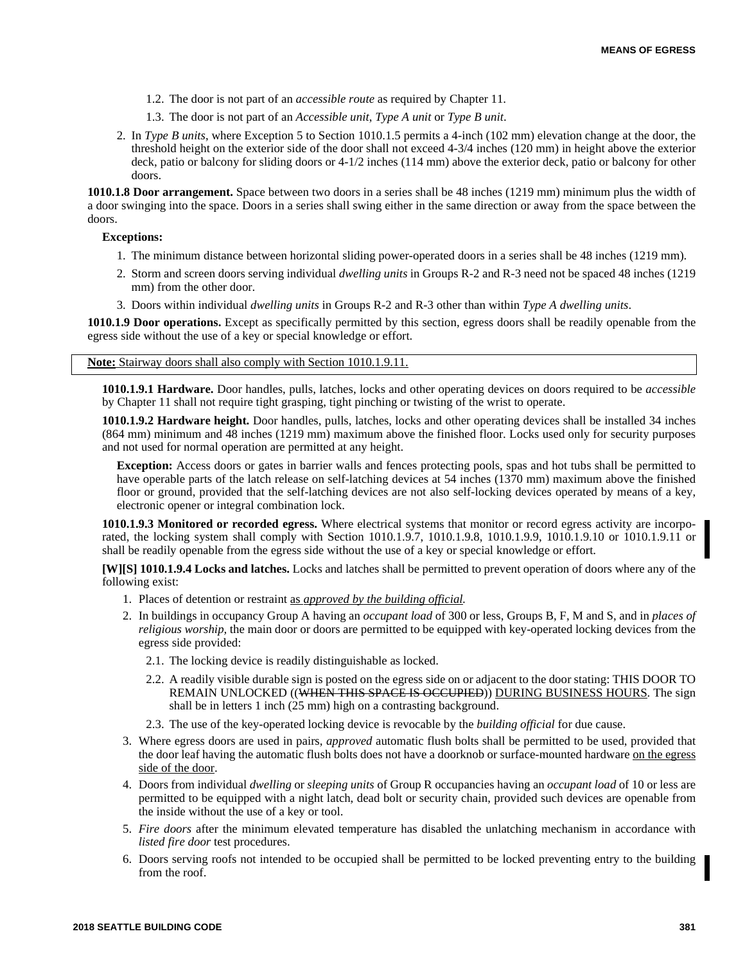- 1.2. The door is not part of an *accessible route* as required by Chapter 11.
- 1.3. The door is not part of an *Accessible unit*, *Type A unit* or *Type B unit*.
- 2. In *Type B units*, where Exception 5 to Section 1010.1.5 permits a 4-inch (102 mm) elevation change at the door, the threshold height on the exterior side of the door shall not exceed 4-3/4 inches (120 mm) in height above the exterior deck, patio or balcony for sliding doors or 4-1/2 inches (114 mm) above the exterior deck, patio or balcony for other doors.

**1010.1.8 Door arrangement.** Space between two doors in a series shall be 48 inches (1219 mm) minimum plus the width of a door swinging into the space. Doors in a series shall swing either in the same direction or away from the space between the doors.

**Exceptions:**

- 1. The minimum distance between horizontal sliding power-operated doors in a series shall be 48 inches (1219 mm).
- 2. Storm and screen doors serving individual *dwelling units* in Groups R-2 and R-3 need not be spaced 48 inches (1219 mm) from the other door.
- 3. Doors within individual *dwelling units* in Groups R-2 and R-3 other than within *Type A dwelling units*.

**1010.1.9 Door operations.** Except as specifically permitted by this section, egress doors shall be readily openable from the egress side without the use of a key or special knowledge or effort.

**Note:** Stairway doors shall also comply with Section 1010.1.9.11.

**1010.1.9.1 Hardware.** Door handles, pulls, latches, locks and other operating devices on doors required to be *accessible* by Chapter 11 shall not require tight grasping, tight pinching or twisting of the wrist to operate.

**1010.1.9.2 Hardware height.** Door handles, pulls, latches, locks and other operating devices shall be installed 34 inches (864 mm) minimum and 48 inches (1219 mm) maximum above the finished floor. Locks used only for security purposes and not used for normal operation are permitted at any height.

**Exception:** Access doors or gates in barrier walls and fences protecting pools, spas and hot tubs shall be permitted to have operable parts of the latch release on self-latching devices at 54 inches (1370 mm) maximum above the finished floor or ground, provided that the self-latching devices are not also self-locking devices operated by means of a key, electronic opener or integral combination lock.

**1010.1.9.3 Monitored or recorded egress.** Where electrical systems that monitor or record egress activity are incorporated, the locking system shall comply with Section 1010.1.9.7, 1010.1.9.8, 1010.1.9.9, 1010.1.9.10 or 1010.1.9.11 or shall be readily openable from the egress side without the use of a key or special knowledge or effort.

**[W][S] 1010.1.9.4 Locks and latches.** Locks and latches shall be permitted to prevent operation of doors where any of the following exist:

- 1. Places of detention or restraint as *approved by the building official.*
- 2. In buildings in occupancy Group A having an *occupant load* of 300 or less, Groups B, F, M and S, and in *places of religious worship,* the main door or doors are permitted to be equipped with key-operated locking devices from the egress side provided:
	- 2.1. The locking device is readily distinguishable as locked.
	- 2.2. A readily visible durable sign is posted on the egress side on or adjacent to the door stating: THIS DOOR TO REMAIN UNLOCKED ((WHEN THIS SPACE IS OCCUPIED)) DURING BUSINESS HOURS. The sign shall be in letters 1 inch (25 mm) high on a contrasting background.
	- 2.3. The use of the key-operated locking device is revocable by the *building official* for due cause.
- 3. Where egress doors are used in pairs, *approved* automatic flush bolts shall be permitted to be used, provided that the door leaf having the automatic flush bolts does not have a doorknob or surface-mounted hardware on the egress side of the door.
- 4. Doors from individual *dwelling* or *sleeping units* of Group R occupancies having an *occupant load* of 10 or less are permitted to be equipped with a night latch, dead bolt or security chain, provided such devices are openable from the inside without the use of a key or tool.
- 5. *Fire doors* after the minimum elevated temperature has disabled the unlatching mechanism in accordance with *listed fire door* test procedures.
- 6. Doors serving roofs not intended to be occupied shall be permitted to be locked preventing entry to the building from the roof.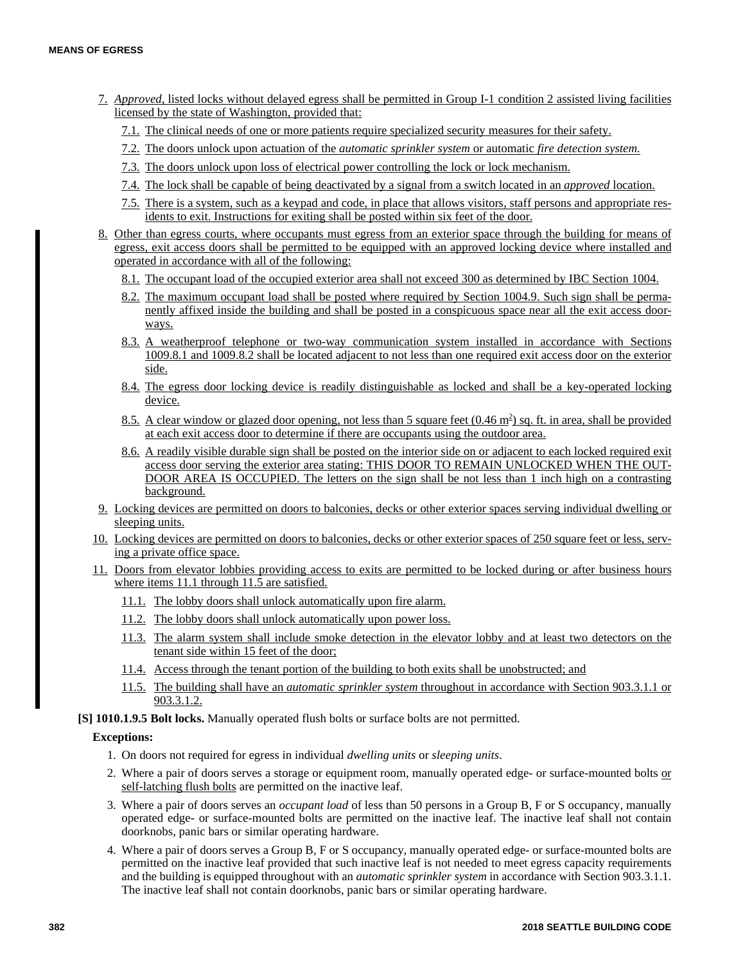- 7. *Approved,* listed locks without delayed egress shall be permitted in Group I-1 condition 2 assisted living facilities licensed by the state of Washington, provided that:
	- 7.1. The clinical needs of one or more patients require specialized security measures for their safety.
	- 7.2. The doors unlock upon actuation of the *automatic sprinkler system* or automatic *fire detection system.*
	- 7.3. The doors unlock upon loss of electrical power controlling the lock or lock mechanism.
	- 7.4. The lock shall be capable of being deactivated by a signal from a switch located in an *approved* location.
	- 7.5. There is a system, such as a keypad and code, in place that allows visitors, staff persons and appropriate residents to exit. Instructions for exiting shall be posted within six feet of the door.
- 8. Other than egress courts, where occupants must egress from an exterior space through the building for means of egress, exit access doors shall be permitted to be equipped with an approved locking device where installed and operated in accordance with all of the following:
	- 8.1. The occupant load of the occupied exterior area shall not exceed 300 as determined by IBC Section 1004.
	- 8.2. The maximum occupant load shall be posted where required by Section 1004.9. Such sign shall be permanently affixed inside the building and shall be posted in a conspicuous space near all the exit access doorways.
	- 8.3. A weatherproof telephone or two-way communication system installed in accordance with Sections 1009.8.1 and 1009.8.2 shall be located adjacent to not less than one required exit access door on the exterior side.
	- 8.4. The egress door locking device is readily distinguishable as locked and shall be a key-operated locking device.
	- 8.5. A clear window or glazed door opening, not less than 5 square feet (0.46 m<sup>2</sup>) sq. ft. in area, shall be provided at each exit access door to determine if there are occupants using the outdoor area.
	- 8.6. A readily visible durable sign shall be posted on the interior side on or adjacent to each locked required exit access door serving the exterior area stating: THIS DOOR TO REMAIN UNLOCKED WHEN THE OUT-DOOR AREA IS OCCUPIED. The letters on the sign shall be not less than 1 inch high on a contrasting background.
- 9. Locking devices are permitted on doors to balconies, decks or other exterior spaces serving individual dwelling or sleeping units.
- 10. Locking devices are permitted on doors to balconies, decks or other exterior spaces of 250 square feet or less, serving a private office space.
- 11. Doors from elevator lobbies providing access to exits are permitted to be locked during or after business hours where items 11.1 through 11.5 are satisfied.
	- 11.1. The lobby doors shall unlock automatically upon fire alarm.
	- 11.2. The lobby doors shall unlock automatically upon power loss.
	- 11.3. The alarm system shall include smoke detection in the elevator lobby and at least two detectors on the tenant side within 15 feet of the door;
	- 11.4. Access through the tenant portion of the building to both exits shall be unobstructed; and
	- 11.5. The building shall have an *automatic sprinkler system* throughout in accordance with Section 903.3.1.1 or 903.3.1.2.
- **[S] 1010.1.9.5 Bolt locks.** Manually operated flush bolts or surface bolts are not permitted.

# **Exceptions:**

- 1. On doors not required for egress in individual *dwelling units* or *sleeping units*.
- 2. Where a pair of doors serves a storage or equipment room, manually operated edge- or surface-mounted bolts or self-latching flush bolts are permitted on the inactive leaf.
- 3. Where a pair of doors serves an *occupant load* of less than 50 persons in a Group B, F or S occupancy, manually operated edge- or surface-mounted bolts are permitted on the inactive leaf. The inactive leaf shall not contain doorknobs, panic bars or similar operating hardware.
- 4. Where a pair of doors serves a Group B, F or S occupancy, manually operated edge- or surface-mounted bolts are permitted on the inactive leaf provided that such inactive leaf is not needed to meet egress capacity requirements and the building is equipped throughout with an *automatic sprinkler system* in accordance with Section 903.3.1.1. The inactive leaf shall not contain doorknobs, panic bars or similar operating hardware.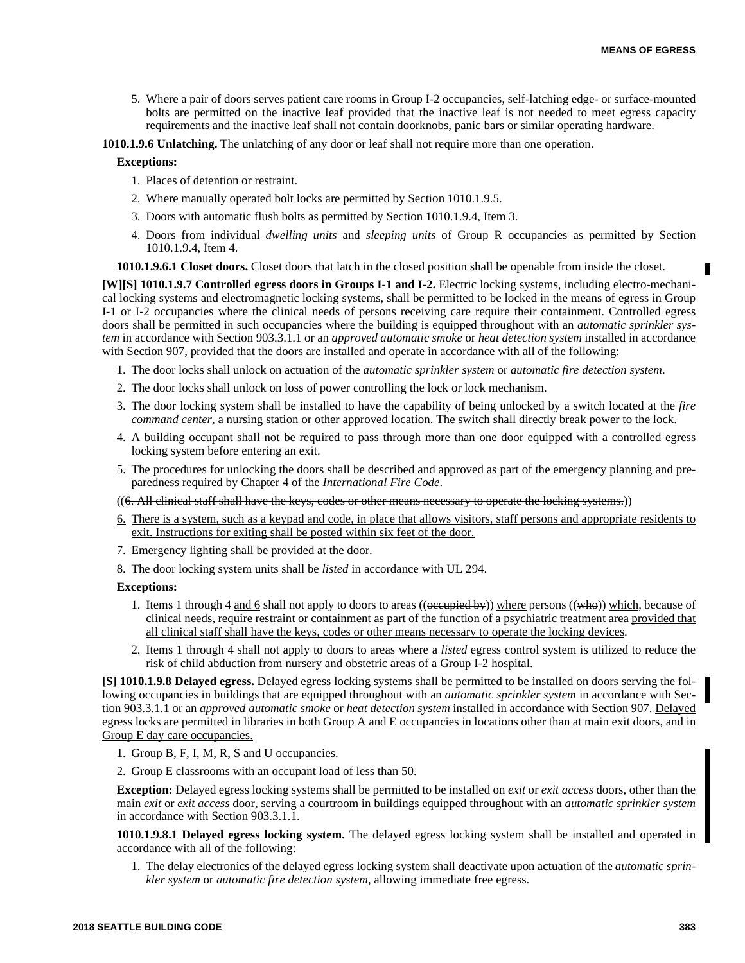5. Where a pair of doors serves patient care rooms in Group I-2 occupancies, self-latching edge- or surface-mounted bolts are permitted on the inactive leaf provided that the inactive leaf is not needed to meet egress capacity requirements and the inactive leaf shall not contain doorknobs, panic bars or similar operating hardware.

**1010.1.9.6 Unlatching.** The unlatching of any door or leaf shall not require more than one operation.

## **Exceptions:**

- 1. Places of detention or restraint.
- 2. Where manually operated bolt locks are permitted by Section 1010.1.9.5.
- 3. Doors with automatic flush bolts as permitted by Section 1010.1.9.4, Item 3.
- 4. Doors from individual *dwelling units* and *sleeping units* of Group R occupancies as permitted by Section 1010.1.9.4, Item 4.

**1010.1.9.6.1 Closet doors.** Closet doors that latch in the closed position shall be openable from inside the closet.

**[W][S] 1010.1.9.7 Controlled egress doors in Groups I-1 and I-2.** Electric locking systems, including electro-mechanical locking systems and electromagnetic locking systems, shall be permitted to be locked in the means of egress in Group I-1 or I-2 occupancies where the clinical needs of persons receiving care require their containment. Controlled egress doors shall be permitted in such occupancies where the building is equipped throughout with an *automatic sprinkler system* in accordance with Section 903.3.1.1 or an *approved automatic smoke* or *heat detection system* installed in accordance with Section 907, provided that the doors are installed and operate in accordance with all of the following:

- 1. The door locks shall unlock on actuation of the *automatic sprinkler system* or *automatic fire detection system*.
- 2. The door locks shall unlock on loss of power controlling the lock or lock mechanism.
- 3. The door locking system shall be installed to have the capability of being unlocked by a switch located at the *fire command center*, a nursing station or other approved location. The switch shall directly break power to the lock.
- 4. A building occupant shall not be required to pass through more than one door equipped with a controlled egress locking system before entering an exit.
- 5. The procedures for unlocking the doors shall be described and approved as part of the emergency planning and preparedness required by Chapter 4 of the *International Fire Code*.

((6. All clinical staff shall have the keys, codes or other means necessary to operate the locking systems.))

- 6. There is a system, such as a keypad and code, in place that allows visitors, staff persons and appropriate residents to exit. Instructions for exiting shall be posted within six feet of the door.
- 7. Emergency lighting shall be provided at the door.
- 8. The door locking system units shall be *listed* in accordance with UL 294.

# **Exceptions:**

- 1. Items 1 through 4 and 6 shall not apply to doors to areas (( $\phi$ ceupied by)) where persons (( $\phi$ ho)) which, because of clinical needs, require restraint or containment as part of the function of a psychiatric treatment area provided that all clinical staff shall have the keys, codes or other means necessary to operate the locking devices.
- 2. Items 1 through 4 shall not apply to doors to areas where a *listed* egress control system is utilized to reduce the risk of child abduction from nursery and obstetric areas of a Group I-2 hospital.

**[S] 1010.1.9.8 Delayed egress.** Delayed egress locking systems shall be permitted to be installed on doors serving the following occupancies in buildings that are equipped throughout with an *automatic sprinkler system* in accordance with Section 903.3.1.1 or an *approved automatic smoke* or *heat detection system* installed in accordance with Section 907. Delayed egress locks are permitted in libraries in both Group A and E occupancies in locations other than at main exit doors, and in Group E day care occupancies.

- 1. Group B, F, I, M, R, S and U occupancies.
- 2. Group E classrooms with an occupant load of less than 50.

**Exception:** Delayed egress locking systems shall be permitted to be installed on *exit* or *exit access* doors, other than the main *exit* or *exit access* door, serving a courtroom in buildings equipped throughout with an *automatic sprinkler system* in accordance with Section 903.3.1.1.

**1010.1.9.8.1 Delayed egress locking system.** The delayed egress locking system shall be installed and operated in accordance with all of the following:

1. The delay electronics of the delayed egress locking system shall deactivate upon actuation of the *automatic sprinkler system* or *automatic fire detection system*, allowing immediate free egress.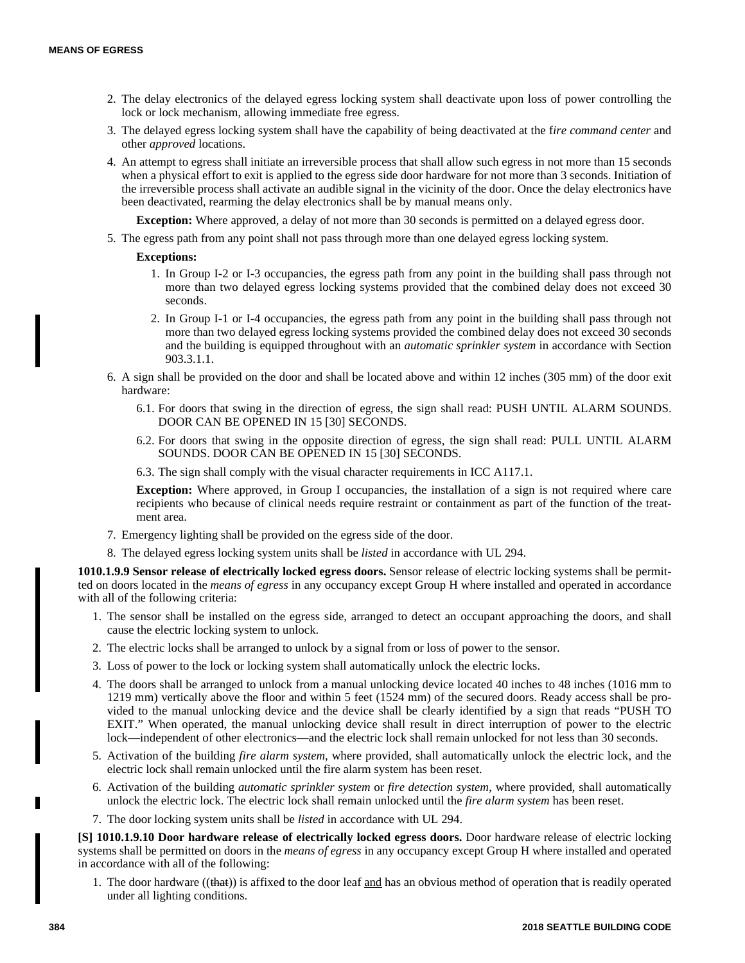- 2. The delay electronics of the delayed egress locking system shall deactivate upon loss of power controlling the lock or lock mechanism, allowing immediate free egress.
- 3. The delayed egress locking system shall have the capability of being deactivated at the f*ire command center* and other *approved* locations.
- 4. An attempt to egress shall initiate an irreversible process that shall allow such egress in not more than 15 seconds when a physical effort to exit is applied to the egress side door hardware for not more than 3 seconds. Initiation of the irreversible process shall activate an audible signal in the vicinity of the door. Once the delay electronics have been deactivated, rearming the delay electronics shall be by manual means only.

**Exception:** Where approved, a delay of not more than 30 seconds is permitted on a delayed egress door.

5. The egress path from any point shall not pass through more than one delayed egress locking system.

## **Exceptions:**

- 1. In Group I-2 or I-3 occupancies, the egress path from any point in the building shall pass through not more than two delayed egress locking systems provided that the combined delay does not exceed 30 seconds.
- 2. In Group I-1 or I-4 occupancies, the egress path from any point in the building shall pass through not more than two delayed egress locking systems provided the combined delay does not exceed 30 seconds and the building is equipped throughout with an *automatic sprinkler system* in accordance with Section 903.3.1.1.
- 6. A sign shall be provided on the door and shall be located above and within 12 inches (305 mm) of the door exit hardware:
	- 6.1. For doors that swing in the direction of egress, the sign shall read: PUSH UNTIL ALARM SOUNDS. DOOR CAN BE OPENED IN 15 [30] SECONDS.
	- 6.2. For doors that swing in the opposite direction of egress, the sign shall read: PULL UNTIL ALARM SOUNDS. DOOR CAN BE OPENED IN 15 [30] SECONDS.
	- 6.3. The sign shall comply with the visual character requirements in ICC A117.1.

**Exception:** Where approved, in Group I occupancies, the installation of a sign is not required where care recipients who because of clinical needs require restraint or containment as part of the function of the treatment area.

- 7. Emergency lighting shall be provided on the egress side of the door.
- 8. The delayed egress locking system units shall be *listed* in accordance with UL 294.

**1010.1.9.9 Sensor release of electrically locked egress doors.** Sensor release of electric locking systems shall be permitted on doors located in the *means of egress* in any occupancy except Group H where installed and operated in accordance with all of the following criteria:

- 1. The sensor shall be installed on the egress side, arranged to detect an occupant approaching the doors, and shall cause the electric locking system to unlock.
- 2. The electric locks shall be arranged to unlock by a signal from or loss of power to the sensor.
- 3. Loss of power to the lock or locking system shall automatically unlock the electric locks.
- 4. The doors shall be arranged to unlock from a manual unlocking device located 40 inches to 48 inches (1016 mm to 1219 mm) vertically above the floor and within 5 feet (1524 mm) of the secured doors. Ready access shall be provided to the manual unlocking device and the device shall be clearly identified by a sign that reads "PUSH TO EXIT." When operated, the manual unlocking device shall result in direct interruption of power to the electric lock—independent of other electronics—and the electric lock shall remain unlocked for not less than 30 seconds.
- 5. Activation of the building *fire alarm system*, where provided, shall automatically unlock the electric lock, and the electric lock shall remain unlocked until the fire alarm system has been reset.
- 6. Activation of the building *automatic sprinkler system* or *fire detection system*, where provided, shall automatically unlock the electric lock. The electric lock shall remain unlocked until the *fire alarm system* has been reset.
- 7. The door locking system units shall be *listed* in accordance with UL 294.

**[S] 1010.1.9.10 Door hardware release of electrically locked egress doors.** Door hardware release of electric locking systems shall be permitted on doors in the *means of egress* in any occupancy except Group H where installed and operated in accordance with all of the following:

1. The door hardware ((that)) is affixed to the door leaf and has an obvious method of operation that is readily operated under all lighting conditions.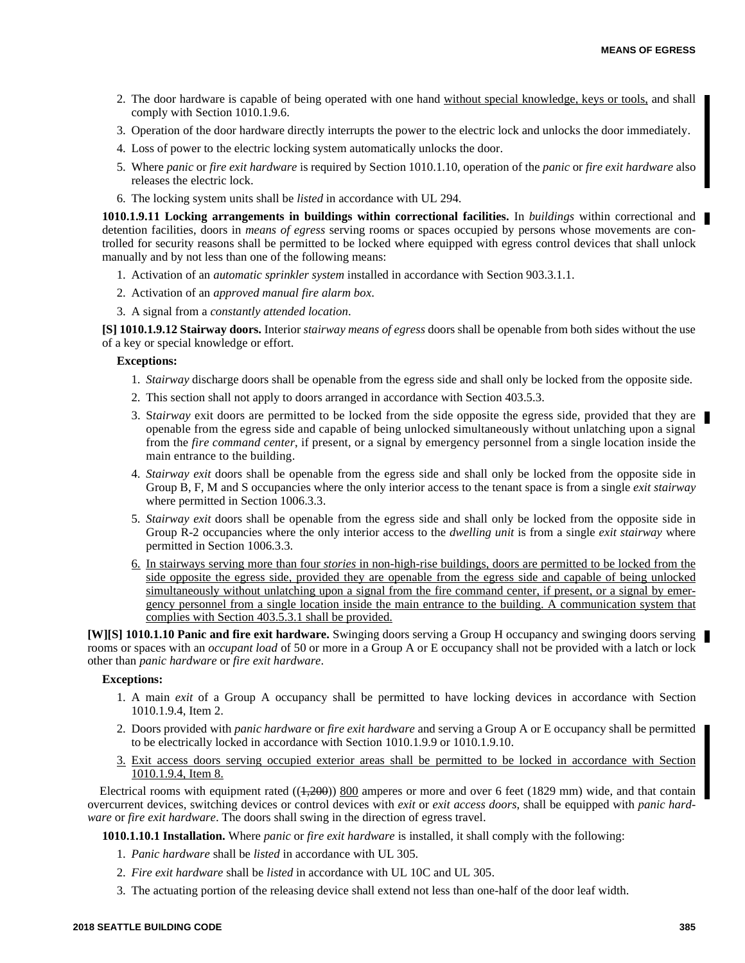- 2. The door hardware is capable of being operated with one hand without special knowledge, keys or tools, and shall comply with Section 1010.1.9.6.
- 3. Operation of the door hardware directly interrupts the power to the electric lock and unlocks the door immediately.
- 4. Loss of power to the electric locking system automatically unlocks the door.
- 5. Where *panic* or *fire exit hardware* is required by Section 1010.1.10, operation of the *panic* or *fire exit hardware* also releases the electric lock.
- 6. The locking system units shall be *listed* in accordance with UL 294.

**1010.1.9.11 Locking arrangements in buildings within correctional facilities.** In *buildings* within correctional and detention facilities, doors in *means of egress* serving rooms or spaces occupied by persons whose movements are controlled for security reasons shall be permitted to be locked where equipped with egress control devices that shall unlock manually and by not less than one of the following means:

- 1. Activation of an *automatic sprinkler system* installed in accordance with Section 903.3.1.1.
- 2. Activation of an *approved manual fire alarm box*.
- 3. A signal from a *constantly attended location*.

**[S] 1010.1.9.12 Stairway doors.** Interior *stairway means of egress* doors shall be openable from both sides without the use of a key or special knowledge or effort.

## **Exceptions:**

- 1. *Stairway* discharge doors shall be openable from the egress side and shall only be locked from the opposite side.
- 2. This section shall not apply to doors arranged in accordance with Section 403.5.3.
- 3. Stairway exit doors are permitted to be locked from the side opposite the egress side, provided that they are openable from the egress side and capable of being unlocked simultaneously without unlatching upon a signal from the *fire command center*, if present, or a signal by emergency personnel from a single location inside the main entrance to the building.
- 4. *Stairway exit* doors shall be openable from the egress side and shall only be locked from the opposite side in Group B, F, M and S occupancies where the only interior access to the tenant space is from a single *exit stairway* where permitted in Section 1006.3.3.
- 5. *Stairway exit* doors shall be openable from the egress side and shall only be locked from the opposite side in Group R-2 occupancies where the only interior access to the *dwelling unit* is from a single *exit stairway* where permitted in Section 1006.3.3.
- 6. In stairways serving more than four *stories* in non-high-rise buildings, doors are permitted to be locked from the side opposite the egress side, provided they are openable from the egress side and capable of being unlocked simultaneously without unlatching upon a signal from the fire command center, if present, or a signal by emergency personnel from a single location inside the main entrance to the building. A communication system that complies with Section 403.5.3.1 shall be provided.

**[W][S] 1010.1.10 Panic and fire exit hardware.** Swinging doors serving a Group H occupancy and swinging doors serving rooms or spaces with an *occupant load* of 50 or more in a Group A or E occupancy shall not be provided with a latch or lock other than *panic hardware* or *fire exit hardware*.

#### **Exceptions:**

- 1. A main *exit* of a Group A occupancy shall be permitted to have locking devices in accordance with Section 1010.1.9.4, Item 2.
- 2. Doors provided with *panic hardware* or *fire exit hardware* and serving a Group A or E occupancy shall be permitted to be electrically locked in accordance with Section 1010.1.9.9 or 1010.1.9.10.
- 3. Exit access doors serving occupied exterior areas shall be permitted to be locked in accordance with Section 1010.1.9.4, Item 8.

Electrical rooms with equipment rated  $((4,200))$  800 amperes or more and over 6 feet (1829 mm) wide, and that contain overcurrent devices, switching devices or control devices with *exit* or *exit access doors*, shall be equipped with *panic hardware* or *fire exit hardware*. The doors shall swing in the direction of egress travel.

**1010.1.10.1 Installation.** Where *panic* or *fire exit hardware* is installed, it shall comply with the following:

- 1. *Panic hardware* shall be *listed* in accordance with UL 305.
- 2. *Fire exit hardware* shall be *listed* in accordance with UL 10C and UL 305.
- 3. The actuating portion of the releasing device shall extend not less than one-half of the door leaf width.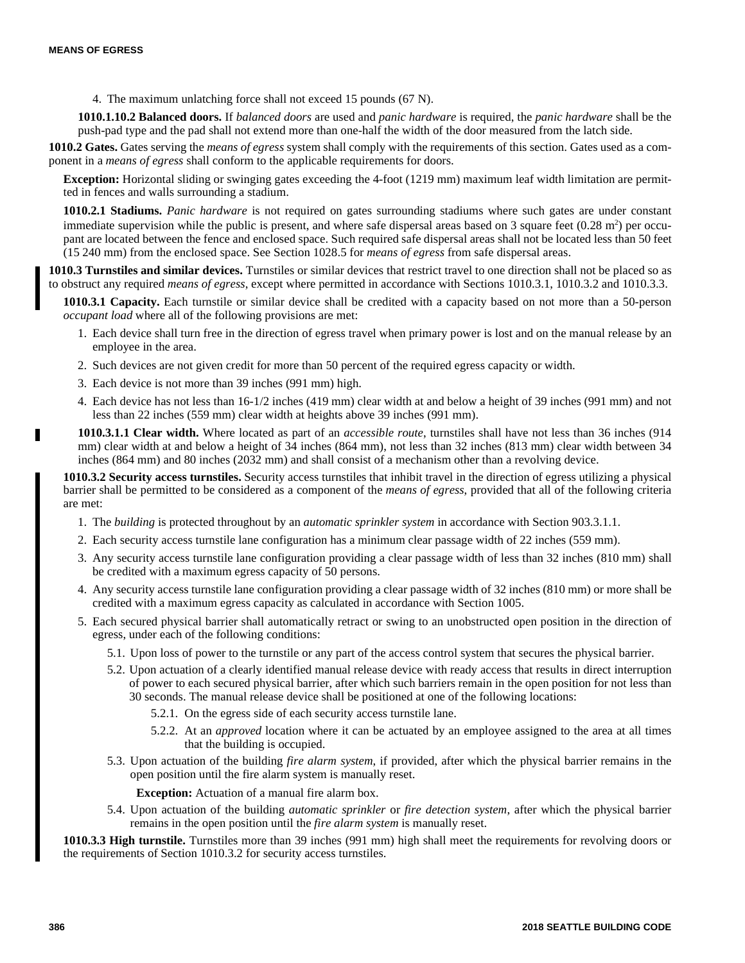4. The maximum unlatching force shall not exceed 15 pounds (67 N).

**1010.1.10.2 Balanced doors.** If *balanced doors* are used and *panic hardware* is required, the *panic hardware* shall be the push-pad type and the pad shall not extend more than one-half the width of the door measured from the latch side.

**1010.2 Gates.** Gates serving the *means of egress* system shall comply with the requirements of this section. Gates used as a component in a *means of egress* shall conform to the applicable requirements for doors.

**Exception:** Horizontal sliding or swinging gates exceeding the 4-foot (1219 mm) maximum leaf width limitation are permitted in fences and walls surrounding a stadium.

**1010.2.1 Stadiums.** *Panic hardware* is not required on gates surrounding stadiums where such gates are under constant immediate supervision while the public is present, and where safe dispersal areas based on  $3$  square feet  $(0.28 \text{ m}^2)$  per occupant are located between the fence and enclosed space. Such required safe dispersal areas shall not be located less than 50 feet (15 240 mm) from the enclosed space. See Section 1028.5 for *means of egress* from safe dispersal areas.

**1010.3 Turnstiles and similar devices.** Turnstiles or similar devices that restrict travel to one direction shall not be placed so as to obstruct any required *means of egress*, except where permitted in accordance with Sections 1010.3.1, 1010.3.2 and 1010.3.3.

**1010.3.1 Capacity.** Each turnstile or similar device shall be credited with a capacity based on not more than a 50-person *occupant load* where all of the following provisions are met:

- 1. Each device shall turn free in the direction of egress travel when primary power is lost and on the manual release by an employee in the area.
- 2. Such devices are not given credit for more than 50 percent of the required egress capacity or width.
- 3. Each device is not more than 39 inches (991 mm) high.
- 4. Each device has not less than 16-1/2 inches (419 mm) clear width at and below a height of 39 inches (991 mm) and not less than 22 inches (559 mm) clear width at heights above 39 inches (991 mm).

**1010.3.1.1 Clear width.** Where located as part of an *accessible route*, turnstiles shall have not less than 36 inches (914 mm) clear width at and below a height of 34 inches (864 mm), not less than 32 inches (813 mm) clear width between 34 inches (864 mm) and 80 inches (2032 mm) and shall consist of a mechanism other than a revolving device.

**1010.3.2 Security access turnstiles.** Security access turnstiles that inhibit travel in the direction of egress utilizing a physical barrier shall be permitted to be considered as a component of the *means of egress*, provided that all of the following criteria are met:

- 1. The *building* is protected throughout by an *automatic sprinkler system* in accordance with Section 903.3.1.1.
- 2. Each security access turnstile lane configuration has a minimum clear passage width of 22 inches (559 mm).
- 3. Any security access turnstile lane configuration providing a clear passage width of less than 32 inches (810 mm) shall be credited with a maximum egress capacity of 50 persons.
- 4. Any security access turnstile lane configuration providing a clear passage width of 32 inches (810 mm) or more shall be credited with a maximum egress capacity as calculated in accordance with Section 1005.
- 5. Each secured physical barrier shall automatically retract or swing to an unobstructed open position in the direction of egress, under each of the following conditions:
	- 5.1. Upon loss of power to the turnstile or any part of the access control system that secures the physical barrier.
	- 5.2. Upon actuation of a clearly identified manual release device with ready access that results in direct interruption of power to each secured physical barrier, after which such barriers remain in the open position for not less than 30 seconds. The manual release device shall be positioned at one of the following locations:
		- 5.2.1. On the egress side of each security access turnstile lane.
		- 5.2.2. At an *approved* location where it can be actuated by an employee assigned to the area at all times that the building is occupied.
	- 5.3. Upon actuation of the building *fire alarm system*, if provided, after which the physical barrier remains in the open position until the fire alarm system is manually reset.

**Exception:** Actuation of a manual fire alarm box.

5.4. Upon actuation of the building *automatic sprinkler* or *fire detection system*, after which the physical barrier remains in the open position until the *fire alarm system* is manually reset.

**1010.3.3 High turnstile.** Turnstiles more than 39 inches (991 mm) high shall meet the requirements for revolving doors or the requirements of Section 1010.3.2 for security access turnstiles.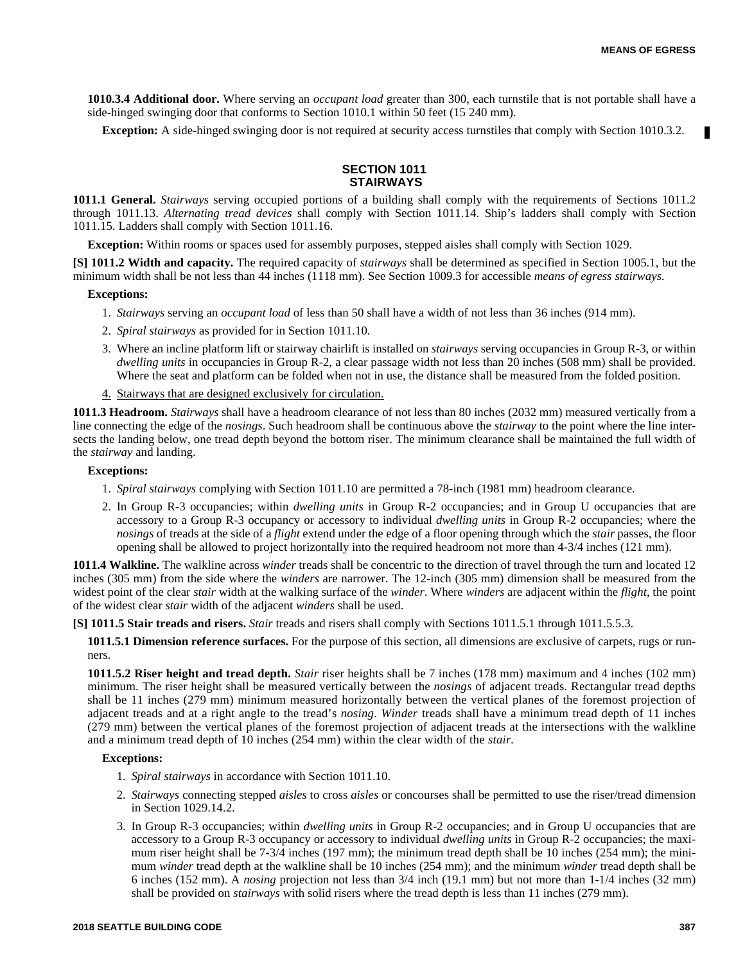**1010.3.4 Additional door.** Where serving an *occupant load* greater than 300, each turnstile that is not portable shall have a side-hinged swinging door that conforms to Section 1010.1 within 50 feet (15 240 mm).

**Exception:** A side-hinged swinging door is not required at security access turnstiles that comply with Section 1010.3.2.

# **SECTION 1011 STAIRWAYS**

**1011.1 General.** *Stairways* serving occupied portions of a building shall comply with the requirements of Sections 1011.2 through 1011.13. *Alternating tread devices* shall comply with Section 1011.14. Ship's ladders shall comply with Section 1011.15. Ladders shall comply with Section 1011.16.

**Exception:** Within rooms or spaces used for assembly purposes, stepped aisles shall comply with Section 1029.

**[S] 1011.2 Width and capacity.** The required capacity of *stairways* shall be determined as specified in Section 1005.1, but the minimum width shall be not less than 44 inches (1118 mm). See Section 1009.3 for accessible *means of egress stairways*.

## **Exceptions:**

- 1. *Stairways* serving an *occupant load* of less than 50 shall have a width of not less than 36 inches (914 mm).
- 2. *Spiral stairways* as provided for in Section 1011.10.
- 3. Where an incline platform lift or stairway chairlift is installed on *stairways* serving occupancies in Group R-3, or within *dwelling units* in occupancies in Group R-2, a clear passage width not less than 20 inches (508 mm) shall be provided. Where the seat and platform can be folded when not in use, the distance shall be measured from the folded position.
- 4. Stairways that are designed exclusively for circulation.

**1011.3 Headroom.** *Stairways* shall have a headroom clearance of not less than 80 inches (2032 mm) measured vertically from a line connecting the edge of the *nosings*. Such headroom shall be continuous above the *stairway* to the point where the line intersects the landing below, one tread depth beyond the bottom riser. The minimum clearance shall be maintained the full width of the *stairway* and landing.

## **Exceptions:**

- 1. *Spiral stairways* complying with Section 1011.10 are permitted a 78-inch (1981 mm) headroom clearance.
- 2. In Group R-3 occupancies; within *dwelling units* in Group R-2 occupancies; and in Group U occupancies that are accessory to a Group R-3 occupancy or accessory to individual *dwelling units* in Group R-2 occupancies; where the *nosings* of treads at the side of a *flight* extend under the edge of a floor opening through which the *stair* passes, the floor opening shall be allowed to project horizontally into the required headroom not more than 4-3/4 inches (121 mm).

**1011.4 Walkline.** The walkline across *winder* treads shall be concentric to the direction of travel through the turn and located 12 inches (305 mm) from the side where the *winders* are narrower. The 12-inch (305 mm) dimension shall be measured from the widest point of the clear *stair* width at the walking surface of the *winder*. Where *winders* are adjacent within the *flight*, the point of the widest clear *stair* width of the adjacent *winders* shall be used.

**[S] 1011.5 Stair treads and risers.** *Stair* treads and risers shall comply with Sections 1011.5.1 through 1011.5.5.3.

**1011.5.1 Dimension reference surfaces.** For the purpose of this section, all dimensions are exclusive of carpets, rugs or runners.

**1011.5.2 Riser height and tread depth.** *Stair* riser heights shall be 7 inches (178 mm) maximum and 4 inches (102 mm) minimum. The riser height shall be measured vertically between the *nosings* of adjacent treads. Rectangular tread depths shall be 11 inches (279 mm) minimum measured horizontally between the vertical planes of the foremost projection of adjacent treads and at a right angle to the tread's *nosing*. *Winder* treads shall have a minimum tread depth of 11 inches (279 mm) between the vertical planes of the foremost projection of adjacent treads at the intersections with the walkline and a minimum tread depth of 10 inches (254 mm) within the clear width of the *stair.*

#### **Exceptions:**

- 1. *Spiral stairways* in accordance with Section 1011.10.
- 2. *Stairways* connecting stepped *aisles* to cross *aisles* or concourses shall be permitted to use the riser/tread dimension in Section 1029.14.2.
- 3. In Group R-3 occupancies; within *dwelling units* in Group R-2 occupancies; and in Group U occupancies that are accessory to a Group R-3 occupancy or accessory to individual *dwelling units* in Group R-2 occupancies; the maximum riser height shall be  $7-3/4$  inches (197 mm); the minimum tread depth shall be 10 inches (254 mm); the minimum *winder* tread depth at the walkline shall be 10 inches (254 mm); and the minimum *winder* tread depth shall be 6 inches (152 mm). A *nosing* projection not less than 3/4 inch (19.1 mm) but not more than 1-1/4 inches (32 mm) shall be provided on *stairways* with solid risers where the tread depth is less than 11 inches (279 mm).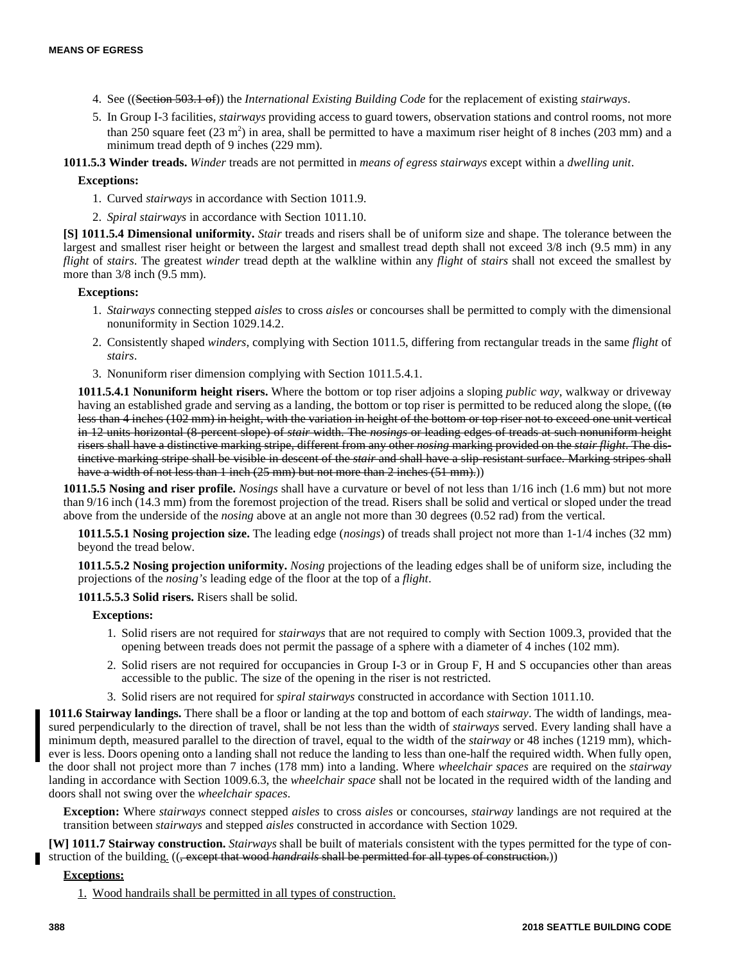- 4. See ((Section 503.1 of)) the *International Existing Building Code* for the replacement of existing *stairways*.
- 5. In Group I-3 facilities, *stairways* providing access to guard towers, observation stations and control rooms, not more than 250 square feet  $(23 \text{ m}^2)$  in area, shall be permitted to have a maximum riser height of 8 inches  $(203 \text{ mm})$  and a minimum tread depth of 9 inches (229 mm).

**1011.5.3 Winder treads.** *Winder* treads are not permitted in *means of egress stairways* except within a *dwelling unit*.

# **Exceptions:**

- 1. Curved *stairways* in accordance with Section 1011.9.
- 2. *Spiral stairways* in accordance with Section 1011.10.

**[S] 1011.5.4 Dimensional uniformity.** *Stair* treads and risers shall be of uniform size and shape. The tolerance between the largest and smallest riser height or between the largest and smallest tread depth shall not exceed 3/8 inch (9.5 mm) in any *flight* of *stairs*. The greatest *winder* tread depth at the walkline within any *flight* of *stairs* shall not exceed the smallest by more than  $3/8$  inch (9.5 mm).

# **Exceptions:**

- 1. *Stairways* connecting stepped *aisles* to cross *aisles* or concourses shall be permitted to comply with the dimensional nonuniformity in Section 1029.14.2.
- 2. Consistently shaped *winders*, complying with Section 1011.5, differing from rectangular treads in the same *flight* of *stairs*.
- 3. Nonuniform riser dimension complying with Section 1011.5.4.1.

**1011.5.4.1 Nonuniform height risers.** Where the bottom or top riser adjoins a sloping *public way*, walkway or driveway having an established grade and serving as a landing, the bottom or top riser is permitted to be reduced along the slope. ((to less than 4 inches (102 mm) in height, with the variation in height of the bottom or top riser not to exceed one unit vertical in 12 units horizontal (8-percent slope) of *stair* width. The *nosings* or leading edges of treads at such nonuniform height risers shall have a distinctive marking stripe, different from any other *nosing* marking provided on the *stair flight*. The distinctive marking stripe shall be visible in descent of the *stair* and shall have a slip-resistant surface. Marking stripes shall have a width of not less than 1 inch (25 mm) but not more than 2 inches (51 mm).)

**1011.5.5 Nosing and riser profile.** *Nosings* shall have a curvature or bevel of not less than 1/16 inch (1.6 mm) but not more than 9/16 inch (14.3 mm) from the foremost projection of the tread. Risers shall be solid and vertical or sloped under the tread above from the underside of the *nosing* above at an angle not more than 30 degrees (0.52 rad) from the vertical.

**1011.5.5.1 Nosing projection size.** The leading edge (*nosings*) of treads shall project not more than 1-1/4 inches (32 mm) beyond the tread below.

**1011.5.5.2 Nosing projection uniformity.** *Nosing* projections of the leading edges shall be of uniform size, including the projections of the *nosing's* leading edge of the floor at the top of a *flight*.

**1011.5.5.3 Solid risers.** Risers shall be solid.

# **Exceptions:**

- 1. Solid risers are not required for *stairways* that are not required to comply with Section 1009.3, provided that the opening between treads does not permit the passage of a sphere with a diameter of 4 inches (102 mm).
- 2. Solid risers are not required for occupancies in Group I-3 or in Group F, H and S occupancies other than areas accessible to the public. The size of the opening in the riser is not restricted.
- 3. Solid risers are not required for *spiral stairways* constructed in accordance with Section 1011.10.

**1011.6 Stairway landings.** There shall be a floor or landing at the top and bottom of each *stairway*. The width of landings, measured perpendicularly to the direction of travel, shall be not less than the width of *stairways* served. Every landing shall have a minimum depth, measured parallel to the direction of travel, equal to the width of the *stairway* or 48 inches (1219 mm), whichever is less. Doors opening onto a landing shall not reduce the landing to less than one-half the required width. When fully open, the door shall not project more than 7 inches (178 mm) into a landing. Where *wheelchair spaces* are required on the *stairway* landing in accordance with Section 1009.6.3, the *wheelchair space* shall not be located in the required width of the landing and doors shall not swing over the *wheelchair spaces*.

**Exception:** Where *stairways* connect stepped *aisles* to cross *aisles* or concourses, *stairway* landings are not required at the transition between *stairways* and stepped *aisles* constructed in accordance with Section 1029.

**[W] 1011.7 Stairway construction.** *Stairways* shall be built of materials consistent with the types permitted for the type of construction of the building. ((, except that wood *handrails* shall be permitted for all types of construction.))

# **Exceptions:**

1. Wood handrails shall be permitted in all types of construction.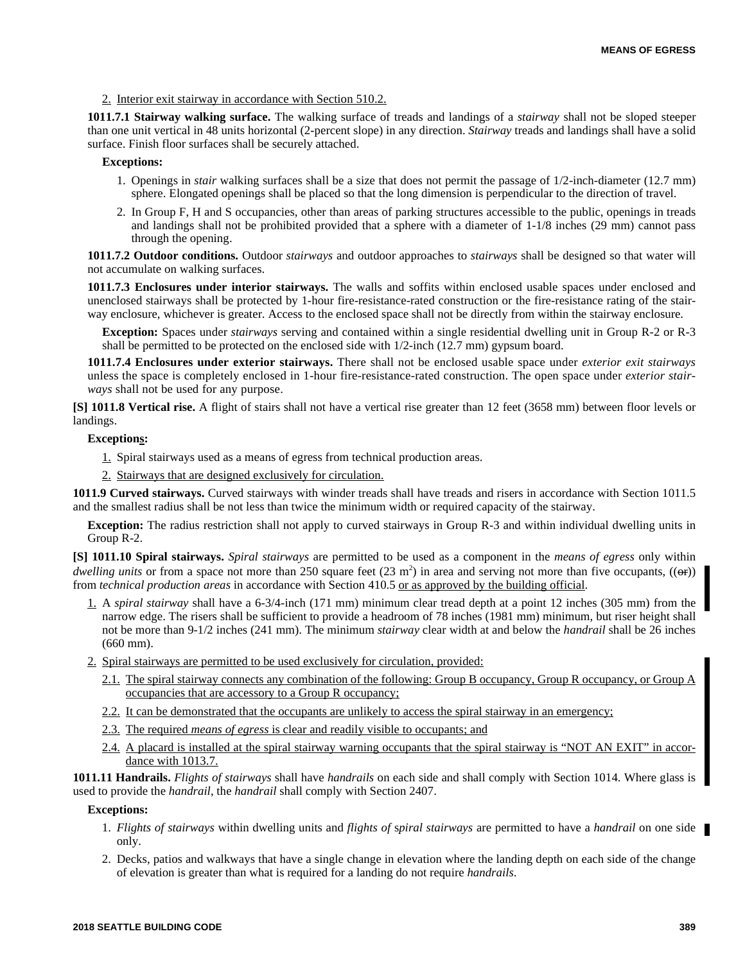2. Interior exit stairway in accordance with Section 510.2.

**1011.7.1 Stairway walking surface.** The walking surface of treads and landings of a *stairway* shall not be sloped steeper than one unit vertical in 48 units horizontal (2-percent slope) in any direction. *Stairway* treads and landings shall have a solid surface. Finish floor surfaces shall be securely attached.

## **Exceptions:**

- 1. Openings in *stair* walking surfaces shall be a size that does not permit the passage of 1/2-inch-diameter (12.7 mm) sphere. Elongated openings shall be placed so that the long dimension is perpendicular to the direction of travel.
- 2. In Group F, H and S occupancies, other than areas of parking structures accessible to the public, openings in treads and landings shall not be prohibited provided that a sphere with a diameter of 1-1/8 inches (29 mm) cannot pass through the opening.

**1011.7.2 Outdoor conditions.** Outdoor *stairways* and outdoor approaches to *stairways* shall be designed so that water will not accumulate on walking surfaces.

**1011.7.3 Enclosures under interior stairways.** The walls and soffits within enclosed usable spaces under enclosed and unenclosed stairways shall be protected by 1-hour fire-resistance-rated construction or the fire-resistance rating of the stairway enclosure, whichever is greater. Access to the enclosed space shall not be directly from within the stairway enclosure.

**Exception:** Spaces under *stairways* serving and contained within a single residential dwelling unit in Group R-2 or R-3 shall be permitted to be protected on the enclosed side with 1/2-inch (12.7 mm) gypsum board.

**1011.7.4 Enclosures under exterior stairways.** There shall not be enclosed usable space under *exterior exit stairways* unless the space is completely enclosed in 1-hour fire-resistance-rated construction. The open space under *exterior stairways* shall not be used for any purpose.

**[S] 1011.8 Vertical rise.** A flight of stairs shall not have a vertical rise greater than 12 feet (3658 mm) between floor levels or landings.

# **Exceptions:**

- 1. Spiral stairways used as a means of egress from technical production areas.
- 2. Stairways that are designed exclusively for circulation.

**1011.9 Curved stairways.** Curved stairways with winder treads shall have treads and risers in accordance with Section 1011.5 and the smallest radius shall be not less than twice the minimum width or required capacity of the stairway.

**Exception:** The radius restriction shall not apply to curved stairways in Group R-3 and within individual dwelling units in Group R-2.

**[S] 1011.10 Spiral stairways.** *Spiral stairways* are permitted to be used as a component in the *means of egress* only within *dwelling units* or from a space not more than 250 square feet  $(23 \text{ m}^2)$  in area and serving not more than five occupants,  $((\rightarrow$ from *technical production areas* in accordance with Section 410.5 or as approved by the building official.

- 1. A *spiral stairway* shall have a 6-3/4-inch (171 mm) minimum clear tread depth at a point 12 inches (305 mm) from the narrow edge. The risers shall be sufficient to provide a headroom of 78 inches (1981 mm) minimum, but riser height shall not be more than 9-1/2 inches (241 mm). The minimum *stairway* clear width at and below the *handrail* shall be 26 inches (660 mm).
- 2. Spiral stairways are permitted to be used exclusively for circulation, provided:
	- 2.1. The spiral stairway connects any combination of the following: Group B occupancy, Group R occupancy, or Group A occupancies that are accessory to a Group R occupancy;
	- 2.2. It can be demonstrated that the occupants are unlikely to access the spiral stairway in an emergency;
	- 2.3. The required *means of egress* is clear and readily visible to occupants; and
	- 2.4. A placard is installed at the spiral stairway warning occupants that the spiral stairway is "NOT AN EXIT" in accordance with 1013.7.

**1011.11 Handrails.** *Flights of stairways* shall have *handrails* on each side and shall comply with Section 1014. Where glass is used to provide the *handrail*, the *handrail* shall comply with Section 2407.

## **Exceptions:**

- 1. *Flights of stairways* within dwelling units and *flights of* s*piral stairways* are permitted to have a *handrail* on one side only.
- 2. Decks, patios and walkways that have a single change in elevation where the landing depth on each side of the change of elevation is greater than what is required for a landing do not require *handrails*.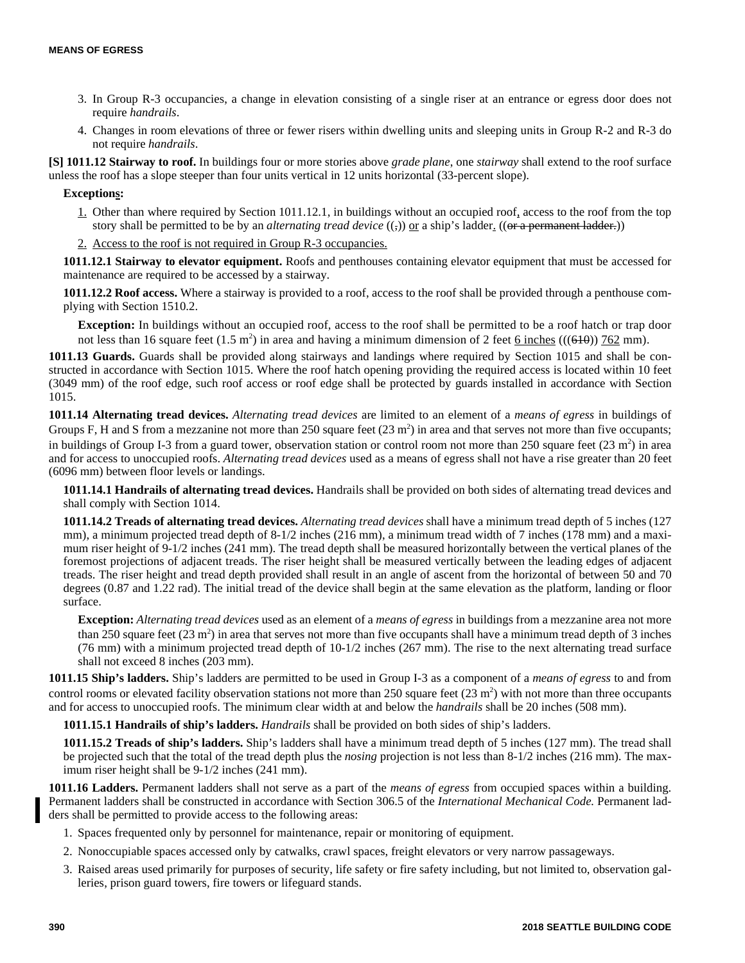- 3. In Group R-3 occupancies, a change in elevation consisting of a single riser at an entrance or egress door does not require *handrails*.
- 4. Changes in room elevations of three or fewer risers within dwelling units and sleeping units in Group R-2 and R-3 do not require *handrails*.

**[S] 1011.12 Stairway to roof.** In buildings four or more stories above *grade plane*, one *stairway* shall extend to the roof surface unless the roof has a slope steeper than four units vertical in 12 units horizontal (33-percent slope).

# **Exceptions:**

- 1. Other than where required by Section 1011.12.1, in buildings without an occupied roof, access to the roof from the top story shall be permitted to be by an *alternating tread device* ((,)) <u>or</u> a ship's ladder. ((or a permanent ladder.))
- 2. Access to the roof is not required in Group R-3 occupancies.

**1011.12.1 Stairway to elevator equipment.** Roofs and penthouses containing elevator equipment that must be accessed for maintenance are required to be accessed by a stairway.

**1011.12.2 Roof access.** Where a stairway is provided to a roof, access to the roof shall be provided through a penthouse complying with Section 1510.2.

**Exception:** In buildings without an occupied roof, access to the roof shall be permitted to be a roof hatch or trap door not less than 16 square feet  $(1.5 \text{ m}^2)$  in area and having a minimum dimension of 2 feet  $\underline{6}$  inches  $(((610))$  762 mm).

**1011.13 Guards.** Guards shall be provided along stairways and landings where required by Section 1015 and shall be constructed in accordance with Section 1015. Where the roof hatch opening providing the required access is located within 10 feet (3049 mm) of the roof edge, such roof access or roof edge shall be protected by guards installed in accordance with Section 1015.

**1011.14 Alternating tread devices.** *Alternating tread devices* are limited to an element of a *means of egress* in buildings of Groups F, H and S from a mezzanine not more than 250 square feet  $(23 \text{ m}^2)$  in area and that serves not more than five occupants; in buildings of Group I-3 from a guard tower, observation station or control room not more than 250 square feet  $(23 \text{ m}^2)$  in area and for access to unoccupied roofs. *Alternating tread devices* used as a means of egress shall not have a rise greater than 20 feet (6096 mm) between floor levels or landings.

**1011.14.1 Handrails of alternating tread devices.** Handrails shall be provided on both sides of alternating tread devices and shall comply with Section 1014.

**1011.14.2 Treads of alternating tread devices.** *Alternating tread devices* shall have a minimum tread depth of 5 inches (127 mm), a minimum projected tread depth of 8-1/2 inches (216 mm), a minimum tread width of 7 inches (178 mm) and a maximum riser height of 9-1/2 inches (241 mm). The tread depth shall be measured horizontally between the vertical planes of the foremost projections of adjacent treads. The riser height shall be measured vertically between the leading edges of adjacent treads. The riser height and tread depth provided shall result in an angle of ascent from the horizontal of between 50 and 70 degrees (0.87 and 1.22 rad). The initial tread of the device shall begin at the same elevation as the platform, landing or floor surface.

**Exception:** *Alternating tread devices* used as an element of a *means of egress* in buildings from a mezzanine area not more than 250 square feet  $(23 \text{ m}^2)$  in area that serves not more than five occupants shall have a minimum tread depth of 3 inches (76 mm) with a minimum projected tread depth of 10-1/2 inches (267 mm). The rise to the next alternating tread surface shall not exceed 8 inches (203 mm).

**1011.15 Ship's ladders.** Ship's ladders are permitted to be used in Group I-3 as a component of a *means of egress* to and from control rooms or elevated facility observation stations not more than  $250$  square feet  $(23 \text{ m}^2)$  with not more than three occupants and for access to unoccupied roofs. The minimum clear width at and below the *handrails* shall be 20 inches (508 mm).

**1011.15.1 Handrails of ship's ladders.** *Handrails* shall be provided on both sides of ship's ladders.

**1011.15.2 Treads of ship's ladders.** Ship's ladders shall have a minimum tread depth of 5 inches (127 mm). The tread shall be projected such that the total of the tread depth plus the *nosing* projection is not less than 8-1/2 inches (216 mm). The maximum riser height shall be 9-1/2 inches (241 mm).

**1011.16 Ladders.** Permanent ladders shall not serve as a part of the *means of egress* from occupied spaces within a building. Permanent ladders shall be constructed in accordance with Section 306.5 of the *International Mechanical Code.* Permanent ladders shall be permitted to provide access to the following areas:

- 1. Spaces frequented only by personnel for maintenance, repair or monitoring of equipment.
- 2. Nonoccupiable spaces accessed only by catwalks, crawl spaces, freight elevators or very narrow passageways.
- 3. Raised areas used primarily for purposes of security, life safety or fire safety including, but not limited to, observation galleries, prison guard towers, fire towers or lifeguard stands.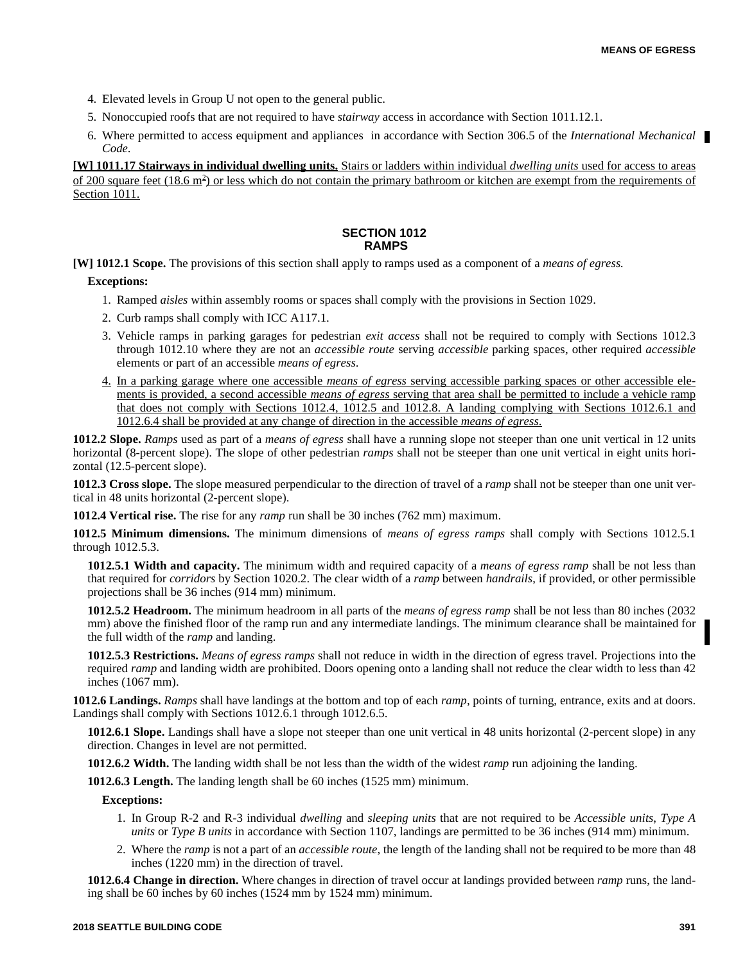- 4. Elevated levels in Group U not open to the general public.
- 5. Nonoccupied roofs that are not required to have *stairway* access in accordance with Section 1011.12.1.
- 6. Where permitted to access equipment and appliances in accordance with Section 306.5 of the *International Mechanical Code*.

**[W] 1011.17 Stairways in individual dwelling units.** Stairs or ladders within individual *dwelling units* used for access to areas of 200 square feet (18.6 m<sup>2</sup>) or less which do not contain the primary bathroom or kitchen are exempt from the requirements of Section 1011.

# **SECTION 1012 RAMPS**

**[W] 1012.1 Scope.** The provisions of this section shall apply to ramps used as a component of a *means of egress.*

#### **Exceptions:**

- 1. Ramped *aisles* within assembly rooms or spaces shall comply with the provisions in Section 1029.
- 2. Curb ramps shall comply with ICC A117.1.
- 3. Vehicle ramps in parking garages for pedestrian *exit access* shall not be required to comply with Sections 1012.3 through 1012.10 where they are not an *accessible route* serving *accessible* parking spaces, other required *accessible* elements or part of an accessible *means of egress*.
- 4. In a parking garage where one accessible *means of egress* serving accessible parking spaces or other accessible elements is provided, a second accessible *means of egress* serving that area shall be permitted to include a vehicle ramp that does not comply with Sections 1012.4, 1012.5 and 1012.8. A landing complying with Sections 1012.6.1 and 1012.6.4 shall be provided at any change of direction in the accessible *means of egress*.

**1012.2 Slope.** *Ramps* used as part of a *means of egress* shall have a running slope not steeper than one unit vertical in 12 units horizontal (8-percent slope). The slope of other pedestrian *ramps* shall not be steeper than one unit vertical in eight units horizontal (12.5-percent slope).

**1012.3 Cross slope.** The slope measured perpendicular to the direction of travel of a *ramp* shall not be steeper than one unit vertical in 48 units horizontal (2-percent slope).

**1012.4 Vertical rise.** The rise for any *ramp* run shall be 30 inches (762 mm) maximum.

**1012.5 Minimum dimensions.** The minimum dimensions of *means of egress ramps* shall comply with Sections 1012.5.1 through 1012.5.3.

**1012.5.1 Width and capacity.** The minimum width and required capacity of a *means of egress ramp* shall be not less than that required for *corridors* by Section 1020.2. The clear width of a *ramp* between *handrails*, if provided, or other permissible projections shall be 36 inches (914 mm) minimum.

**1012.5.2 Headroom.** The minimum headroom in all parts of the *means of egress ramp* shall be not less than 80 inches (2032 mm) above the finished floor of the ramp run and any intermediate landings. The minimum clearance shall be maintained for the full width of the *ramp* and landing.

**1012.5.3 Restrictions.** *Means of egress ramps* shall not reduce in width in the direction of egress travel. Projections into the required *ramp* and landing width are prohibited. Doors opening onto a landing shall not reduce the clear width to less than 42 inches (1067 mm).

**1012.6 Landings.** *Ramps* shall have landings at the bottom and top of each *ramp*, points of turning, entrance, exits and at doors. Landings shall comply with Sections 1012.6.1 through 1012.6.5.

**1012.6.1 Slope.** Landings shall have a slope not steeper than one unit vertical in 48 units horizontal (2-percent slope) in any direction. Changes in level are not permitted.

**1012.6.2 Width.** The landing width shall be not less than the width of the widest *ramp* run adjoining the landing.

**1012.6.3 Length.** The landing length shall be 60 inches (1525 mm) minimum.

## **Exceptions:**

- 1. In Group R-2 and R-3 individual *dwelling* and *sleeping units* that are not required to be *Accessible units*, *Type A units* or *Type B units* in accordance with Section 1107, landings are permitted to be 36 inches (914 mm) minimum.
- 2. Where the *ramp* is not a part of an *accessible route*, the length of the landing shall not be required to be more than 48 inches (1220 mm) in the direction of travel.

**1012.6.4 Change in direction.** Where changes in direction of travel occur at landings provided between *ramp* runs, the landing shall be 60 inches by 60 inches (1524 mm by 1524 mm) minimum.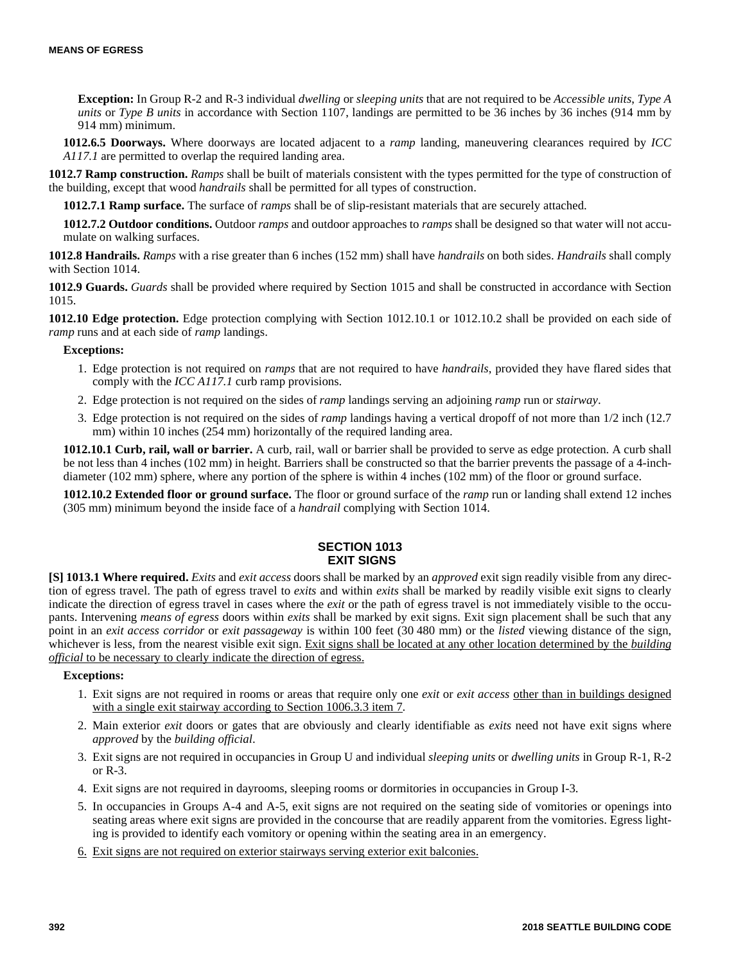**Exception:** In Group R-2 and R-3 individual *dwelling* or *sleeping units* that are not required to be *Accessible units*, *Type A units* or *Type B units* in accordance with Section 1107, landings are permitted to be 36 inches by 36 inches (914 mm by 914 mm) minimum.

**1012.6.5 Doorways.** Where doorways are located adjacent to a *ramp* landing, maneuvering clearances required by *ICC A117.1* are permitted to overlap the required landing area.

**1012.7 Ramp construction.** *Ramps* shall be built of materials consistent with the types permitted for the type of construction of the building, except that wood *handrails* shall be permitted for all types of construction.

**1012.7.1 Ramp surface.** The surface of *ramps* shall be of slip-resistant materials that are securely attached.

**1012.7.2 Outdoor conditions.** Outdoor *ramps* and outdoor approaches to *ramps* shall be designed so that water will not accumulate on walking surfaces.

**1012.8 Handrails.** *Ramps* with a rise greater than 6 inches (152 mm) shall have *handrails* on both sides. *Handrails* shall comply with Section 1014.

**1012.9 Guards.** *Guards* shall be provided where required by Section 1015 and shall be constructed in accordance with Section 1015.

**1012.10 Edge protection.** Edge protection complying with Section 1012.10.1 or 1012.10.2 shall be provided on each side of *ramp* runs and at each side of *ramp* landings.

#### **Exceptions:**

- 1. Edge protection is not required on *ramps* that are not required to have *handrails*, provided they have flared sides that comply with the *ICC A117.1* curb ramp provisions.
- 2. Edge protection is not required on the sides of *ramp* landings serving an adjoining *ramp* run or *stairway*.
- 3. Edge protection is not required on the sides of *ramp* landings having a vertical dropoff of not more than 1/2 inch (12.7 mm) within 10 inches (254 mm) horizontally of the required landing area.

**1012.10.1 Curb, rail, wall or barrier.** A curb, rail, wall or barrier shall be provided to serve as edge protection. A curb shall be not less than 4 inches (102 mm) in height. Barriers shall be constructed so that the barrier prevents the passage of a 4-inchdiameter (102 mm) sphere, where any portion of the sphere is within 4 inches (102 mm) of the floor or ground surface.

**1012.10.2 Extended floor or ground surface.** The floor or ground surface of the *ramp* run or landing shall extend 12 inches (305 mm) minimum beyond the inside face of a *handrail* complying with Section 1014.

# **SECTION 1013 EXIT SIGNS**

**[S] 1013.1 Where required.** *Exits* and *exit access* doors shall be marked by an *approved* exit sign readily visible from any direction of egress travel. The path of egress travel to *exits* and within *exits* shall be marked by readily visible exit signs to clearly indicate the direction of egress travel in cases where the *exit* or the path of egress travel is not immediately visible to the occupants. Intervening *means of egress* doors within *exits* shall be marked by exit signs. Exit sign placement shall be such that any point in an *exit access corridor* or *exit passageway* is within 100 feet (30 480 mm) or the *listed* viewing distance of the sign, whichever is less, from the nearest visible exit sign. Exit signs shall be located at any other location determined by the *building official* to be necessary to clearly indicate the direction of egress.

## **Exceptions:**

- 1. Exit signs are not required in rooms or areas that require only one *exit* or *exit access* other than in buildings designed with a single exit stairway according to Section 1006.3.3 item 7.
- 2. Main exterior *exit* doors or gates that are obviously and clearly identifiable as *exits* need not have exit signs where *approved* by the *building official*.
- 3. Exit signs are not required in occupancies in Group U and individual *sleeping units* or *dwelling units* in Group R-1, R-2 or R-3.
- 4. Exit signs are not required in dayrooms, sleeping rooms or dormitories in occupancies in Group I-3.
- 5. In occupancies in Groups A-4 and A-5, exit signs are not required on the seating side of vomitories or openings into seating areas where exit signs are provided in the concourse that are readily apparent from the vomitories. Egress lighting is provided to identify each vomitory or opening within the seating area in an emergency.
- 6. Exit signs are not required on exterior stairways serving exterior exit balconies.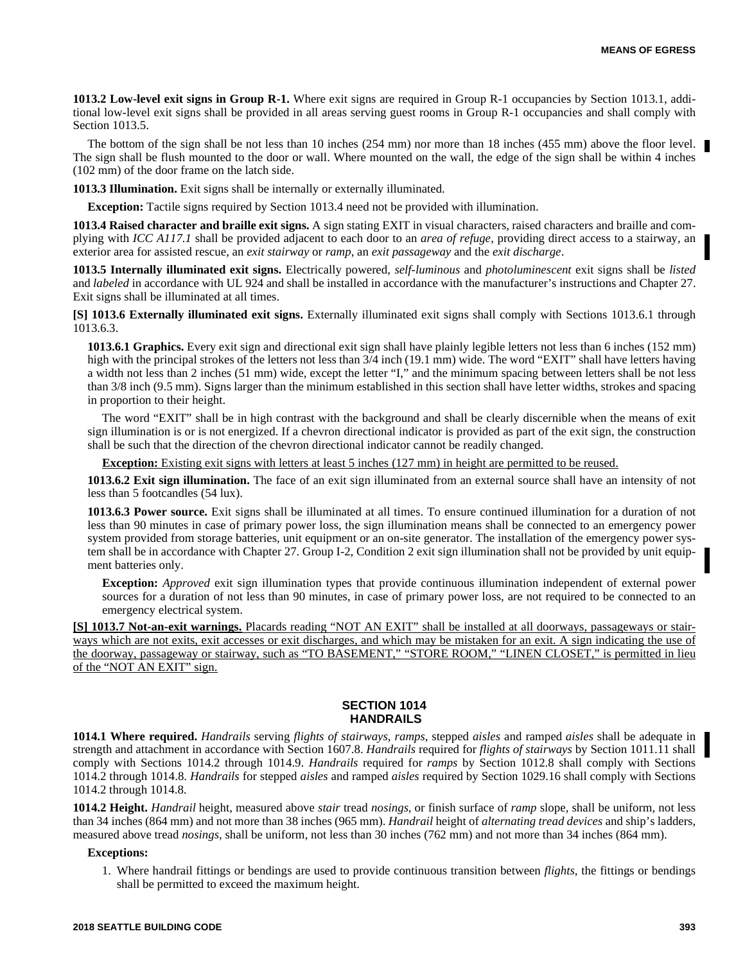**1013.2 Low-level exit signs in Group R-1.** Where exit signs are required in Group R-1 occupancies by Section 1013.1, additional low-level exit signs shall be provided in all areas serving guest rooms in Group R-1 occupancies and shall comply with Section 1013.5.

The bottom of the sign shall be not less than 10 inches (254 mm) nor more than 18 inches (455 mm) above the floor level. The sign shall be flush mounted to the door or wall. Where mounted on the wall, the edge of the sign shall be within 4 inches (102 mm) of the door frame on the latch side.

**1013.3 Illumination.** Exit signs shall be internally or externally illuminated.

**Exception:** Tactile signs required by Section 1013.4 need not be provided with illumination.

**1013.4 Raised character and braille exit signs.** A sign stating EXIT in visual characters, raised characters and braille and complying with *ICC A117.1* shall be provided adjacent to each door to an *area of refuge*, providing direct access to a stairway, an exterior area for assisted rescue, an *exit stairway* or *ramp*, an *exit passageway* and the *exit discharge*.

**1013.5 Internally illuminated exit signs.** Electrically powered, *self-luminous* and *photoluminescent* exit signs shall be *listed* and *labeled* in accordance with UL 924 and shall be installed in accordance with the manufacturer's instructions and Chapter 27. Exit signs shall be illuminated at all times.

**[S] 1013.6 Externally illuminated exit signs.** Externally illuminated exit signs shall comply with Sections 1013.6.1 through 1013.6.3.

**1013.6.1 Graphics.** Every exit sign and directional exit sign shall have plainly legible letters not less than 6 inches (152 mm) high with the principal strokes of the letters not less than  $3/4$  inch (19.1 mm) wide. The word "EXIT" shall have letters having a width not less than 2 inches (51 mm) wide, except the letter "I," and the minimum spacing between letters shall be not less than 3/8 inch (9.5 mm). Signs larger than the minimum established in this section shall have letter widths, strokes and spacing in proportion to their height.

The word "EXIT" shall be in high contrast with the background and shall be clearly discernible when the means of exit sign illumination is or is not energized. If a chevron directional indicator is provided as part of the exit sign, the construction shall be such that the direction of the chevron directional indicator cannot be readily changed.

**Exception:** Existing exit signs with letters at least 5 inches (127 mm) in height are permitted to be reused.

**1013.6.2 Exit sign illumination.** The face of an exit sign illuminated from an external source shall have an intensity of not less than 5 footcandles (54 lux).

**1013.6.3 Power source.** Exit signs shall be illuminated at all times. To ensure continued illumination for a duration of not less than 90 minutes in case of primary power loss, the sign illumination means shall be connected to an emergency power system provided from storage batteries, unit equipment or an on-site generator. The installation of the emergency power system shall be in accordance with Chapter 27. Group I-2, Condition 2 exit sign illumination shall not be provided by unit equipment batteries only.

**Exception:** *Approved* exit sign illumination types that provide continuous illumination independent of external power sources for a duration of not less than 90 minutes, in case of primary power loss, are not required to be connected to an emergency electrical system.

**[S] 1013.7 Not-an-exit warnings.** Placards reading "NOT AN EXIT" shall be installed at all doorways, passageways or stairways which are not exits, exit accesses or exit discharges, and which may be mistaken for an exit. A sign indicating the use of the doorway, passageway or stairway, such as "TO BASEMENT," "STORE ROOM," "LINEN CLOSET," is permitted in lieu of the "NOT AN EXIT" sign.

#### **SECTION 1014 HANDRAILS**

**1014.1 Where required.** *Handrails* serving *flights of stairways*, *ramps*, stepped *aisles* and ramped *aisles* shall be adequate in strength and attachment in accordance with Section 1607.8. *Handrails* required for *flights of stairways* by Section 1011.11 shall comply with Sections 1014.2 through 1014.9. *Handrails* required for *ramps* by Section 1012.8 shall comply with Sections 1014.2 through 1014.8. *Handrails* for stepped *aisles* and ramped *aisles* required by Section 1029.16 shall comply with Sections 1014.2 through 1014.8.

**1014.2 Height.** *Handrail* height, measured above *stair* tread *nosings*, or finish surface of *ramp* slope, shall be uniform, not less than 34 inches (864 mm) and not more than 38 inches (965 mm). *Handrail* height of *alternating tread devices* and ship's ladders, measured above tread *nosings*, shall be uniform, not less than 30 inches (762 mm) and not more than 34 inches (864 mm).

#### **Exceptions:**

1. Where handrail fittings or bendings are used to provide continuous transition between *flights*, the fittings or bendings shall be permitted to exceed the maximum height.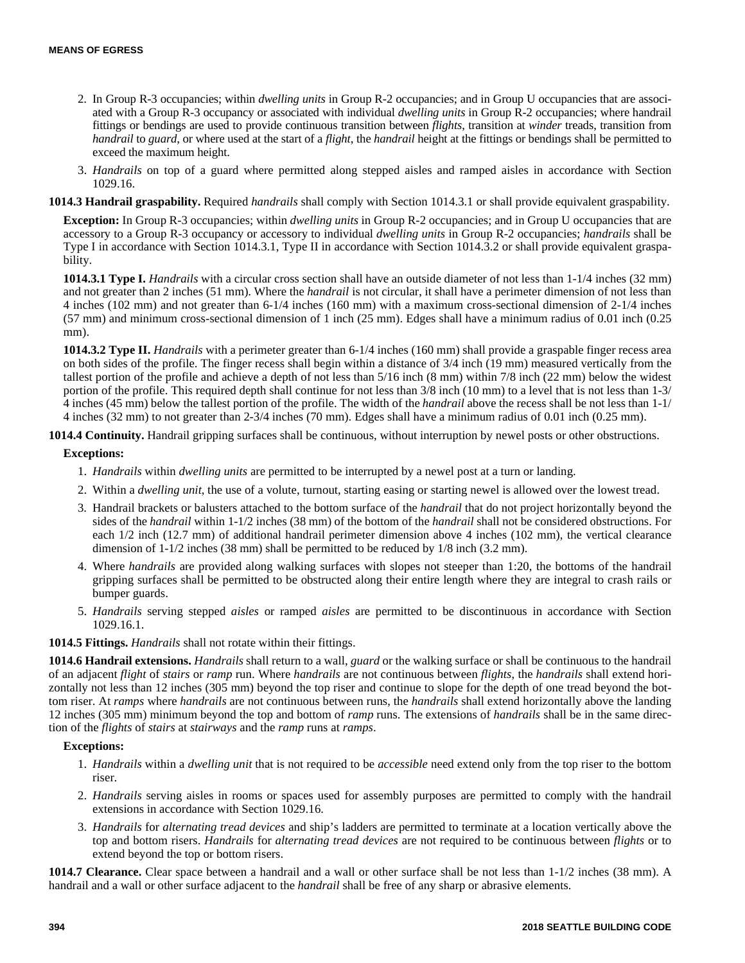- 2. In Group R-3 occupancies; within *dwelling units* in Group R-2 occupancies; and in Group U occupancies that are associated with a Group R-3 occupancy or associated with individual *dwelling units* in Group R-2 occupancies; where handrail fittings or bendings are used to provide continuous transition between *flights*, transition at *winder* treads, transition from *handrail* to *guard*, or where used at the start of a *flight*, the *handrail* height at the fittings or bendings shall be permitted to exceed the maximum height.
- 3. *Handrails* on top of a guard where permitted along stepped aisles and ramped aisles in accordance with Section 1029.16.

# **1014.3 Handrail graspability.** Required *handrails* shall comply with Section 1014.3.1 or shall provide equivalent graspability.

**Exception:** In Group R-3 occupancies; within *dwelling units* in Group R-2 occupancies; and in Group U occupancies that are accessory to a Group R-3 occupancy or accessory to individual *dwelling units* in Group R-2 occupancies; *handrails* shall be Type I in accordance with Section 1014.3.1, Type II in accordance with Section 1014.3.2 or shall provide equivalent graspability.

**1014.3.1 Type I.** *Handrails* with a circular cross section shall have an outside diameter of not less than 1-1/4 inches (32 mm) and not greater than 2 inches (51 mm). Where the *handrail* is not circular, it shall have a perimeter dimension of not less than 4 inches (102 mm) and not greater than 6-1/4 inches (160 mm) with a maximum cross-sectional dimension of 2-1/4 inches (57 mm) and minimum cross-sectional dimension of 1 inch (25 mm). Edges shall have a minimum radius of 0.01 inch (0.25 mm).

**1014.3.2 Type II.** *Handrails* with a perimeter greater than 6-1/4 inches (160 mm) shall provide a graspable finger recess area on both sides of the profile. The finger recess shall begin within a distance of 3/4 inch (19 mm) measured vertically from the tallest portion of the profile and achieve a depth of not less than 5/16 inch (8 mm) within 7/8 inch (22 mm) below the widest portion of the profile. This required depth shall continue for not less than 3/8 inch (10 mm) to a level that is not less than 1-3/ 4 inches (45 mm) below the tallest portion of the profile. The width of the *handrail* above the recess shall be not less than 1-1/ 4 inches (32 mm) to not greater than 2-3/4 inches (70 mm). Edges shall have a minimum radius of 0.01 inch (0.25 mm).

**1014.4 Continuity.** Handrail gripping surfaces shall be continuous, without interruption by newel posts or other obstructions.

## **Exceptions:**

- 1. *Handrails* within *dwelling units* are permitted to be interrupted by a newel post at a turn or landing.
- 2. Within a *dwelling unit*, the use of a volute, turnout, starting easing or starting newel is allowed over the lowest tread.
- 3. Handrail brackets or balusters attached to the bottom surface of the *handrail* that do not project horizontally beyond the sides of the *handrail* within 1-1/2 inches (38 mm) of the bottom of the *handrail* shall not be considered obstructions. For each 1/2 inch (12.7 mm) of additional handrail perimeter dimension above 4 inches (102 mm), the vertical clearance dimension of 1-1/2 inches (38 mm) shall be permitted to be reduced by 1/8 inch (3.2 mm).
- 4. Where *handrails* are provided along walking surfaces with slopes not steeper than 1:20, the bottoms of the handrail gripping surfaces shall be permitted to be obstructed along their entire length where they are integral to crash rails or bumper guards.
- 5. *Handrails* serving stepped *aisles* or ramped *aisles* are permitted to be discontinuous in accordance with Section 1029.16.1.

**1014.5 Fittings.** *Handrails* shall not rotate within their fittings.

**1014.6 Handrail extensions.** *Handrails* shall return to a wall, *guard* or the walking surface or shall be continuous to the handrail of an adjacent *flight* of *stairs* or *ramp* run. Where *handrails* are not continuous between *flights*, the *handrails* shall extend horizontally not less than 12 inches (305 mm) beyond the top riser and continue to slope for the depth of one tread beyond the bottom riser. At *ramps* where *handrails* are not continuous between runs, the *handrails* shall extend horizontally above the landing 12 inches (305 mm) minimum beyond the top and bottom of *ramp* runs. The extensions of *handrails* shall be in the same direction of the *flights* of *stairs* at *stairways* and the *ramp* runs at *ramps*.

# **Exceptions:**

- 1. *Handrails* within a *dwelling unit* that is not required to be *accessible* need extend only from the top riser to the bottom riser.
- 2. *Handrails* serving aisles in rooms or spaces used for assembly purposes are permitted to comply with the handrail extensions in accordance with Section 1029.16.
- 3. *Handrails* for *alternating tread devices* and ship's ladders are permitted to terminate at a location vertically above the top and bottom risers. *Handrails* for *alternating tread devices* are not required to be continuous between *flights* or to extend beyond the top or bottom risers.

**1014.7 Clearance.** Clear space between a handrail and a wall or other surface shall be not less than 1-1/2 inches (38 mm). A handrail and a wall or other surface adjacent to the *handrail* shall be free of any sharp or abrasive elements.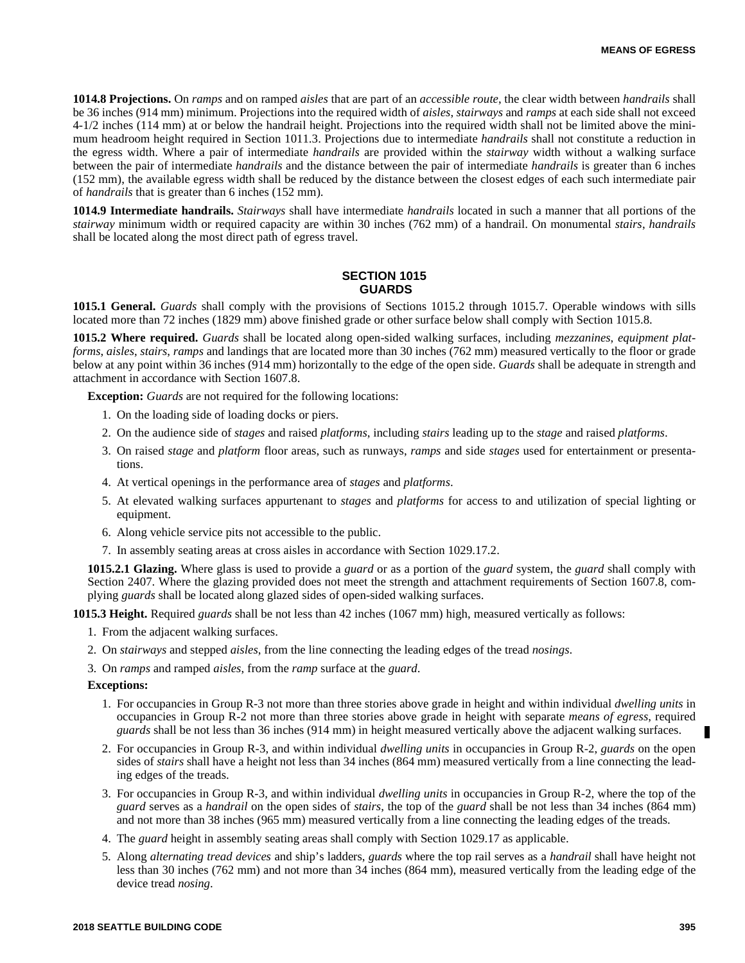**1014.8 Projections.** On *ramps* and on ramped *aisles* that are part of an *accessible route*, the clear width between *handrails* shall be 36 inches (914 mm) minimum. Projections into the required width of *aisles*, *stairways* and *ramps* at each side shall not exceed 4-1/2 inches (114 mm) at or below the handrail height. Projections into the required width shall not be limited above the minimum headroom height required in Section 1011.3. Projections due to intermediate *handrails* shall not constitute a reduction in the egress width. Where a pair of intermediate *handrails* are provided within the *stairway* width without a walking surface between the pair of intermediate *handrails* and the distance between the pair of intermediate *handrails* is greater than 6 inches (152 mm), the available egress width shall be reduced by the distance between the closest edges of each such intermediate pair of *handrails* that is greater than 6 inches (152 mm).

**1014.9 Intermediate handrails.** *Stairways* shall have intermediate *handrails* located in such a manner that all portions of the *stairway* minimum width or required capacity are within 30 inches (762 mm) of a handrail. On monumental *stairs*, *handrails* shall be located along the most direct path of egress travel.

# **SECTION 1015 GUARDS**

**1015.1 General.** *Guards* shall comply with the provisions of Sections 1015.2 through 1015.7. Operable windows with sills located more than 72 inches (1829 mm) above finished grade or other surface below shall comply with Section 1015.8.

**1015.2 Where required.** *Guards* shall be located along open-sided walking surfaces, including *mezzanines*, *equipment platforms*, *aisles*, *stairs*, *ramps* and landings that are located more than 30 inches (762 mm) measured vertically to the floor or grade below at any point within 36 inches (914 mm) horizontally to the edge of the open side. *Guards* shall be adequate in strength and attachment in accordance with Section 1607.8.

**Exception:** *Guards* are not required for the following locations:

- 1. On the loading side of loading docks or piers.
- 2. On the audience side of *stages* and raised *platforms*, including *stairs* leading up to the *stage* and raised *platforms*.
- 3. On raised *stage* and *platform* floor areas, such as runways, *ramps* and side *stages* used for entertainment or presentations.
- 4. At vertical openings in the performance area of *stages* and *platforms*.
- 5. At elevated walking surfaces appurtenant to *stages* and *platforms* for access to and utilization of special lighting or equipment.
- 6. Along vehicle service pits not accessible to the public.
- 7. In assembly seating areas at cross aisles in accordance with Section 1029.17.2.

**1015.2.1 Glazing.** Where glass is used to provide a *guard* or as a portion of the *guard* system, the *guard* shall comply with Section 2407. Where the glazing provided does not meet the strength and attachment requirements of Section 1607.8, complying *guards* shall be located along glazed sides of open-sided walking surfaces.

**1015.3 Height.** Required *guards* shall be not less than 42 inches (1067 mm) high, measured vertically as follows:

- 1. From the adjacent walking surfaces.
- 2. On *stairways* and stepped *aisles*, from the line connecting the leading edges of the tread *nosings*.
- 3. On *ramps* and ramped *aisles*, from the *ramp* surface at the *guard*.

#### **Exceptions:**

- 1. For occupancies in Group R-3 not more than three stories above grade in height and within individual *dwelling units* in occupancies in Group R-2 not more than three stories above grade in height with separate *means of egress*, required *guards* shall be not less than 36 inches (914 mm) in height measured vertically above the adjacent walking surfaces.
- 2. For occupancies in Group R-3, and within individual *dwelling units* in occupancies in Group R-2, *guards* on the open sides of *stairs* shall have a height not less than 34 inches (864 mm) measured vertically from a line connecting the leading edges of the treads.
- 3. For occupancies in Group R-3, and within individual *dwelling units* in occupancies in Group R-2, where the top of the *guard* serves as a *handrail* on the open sides of *stairs*, the top of the *guard* shall be not less than 34 inches (864 mm) and not more than 38 inches (965 mm) measured vertically from a line connecting the leading edges of the treads.
- 4. The *guard* height in assembly seating areas shall comply with Section 1029.17 as applicable.
- 5. Along *alternating tread devices* and ship's ladders, *guards* where the top rail serves as a *handrail* shall have height not less than 30 inches (762 mm) and not more than 34 inches (864 mm), measured vertically from the leading edge of the device tread *nosing*.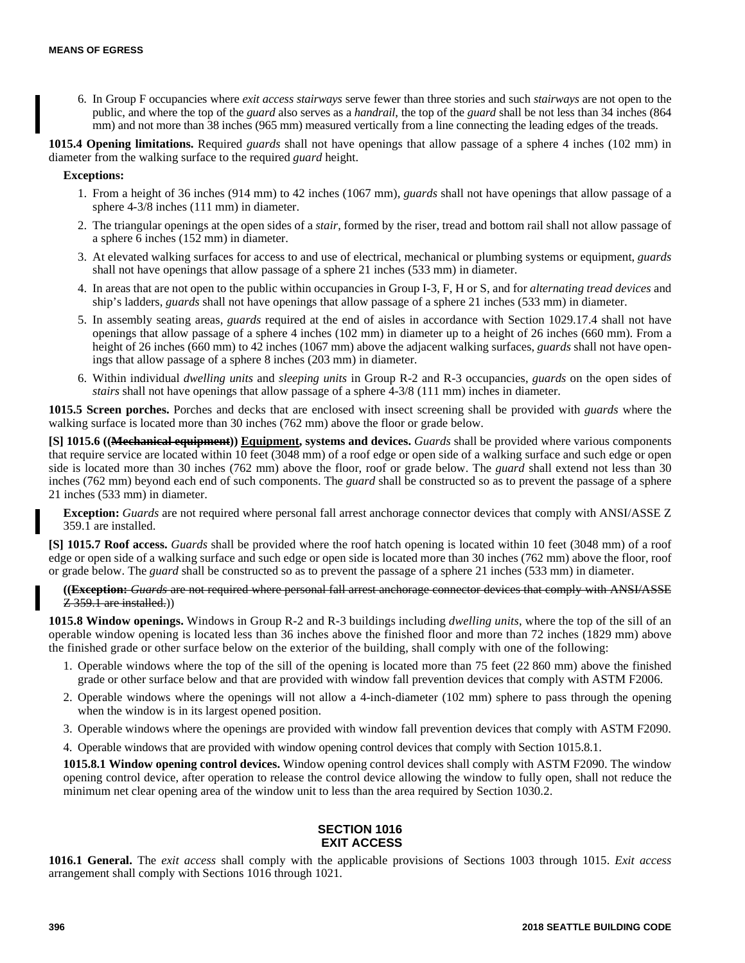6. In Group F occupancies where *exit access stairways* serve fewer than three stories and such *stairways* are not open to the public, and where the top of the *guard* also serves as a *handrail*, the top of the *guard* shall be not less than 34 inches (864 mm) and not more than 38 inches (965 mm) measured vertically from a line connecting the leading edges of the treads.

**1015.4 Opening limitations.** Required *guards* shall not have openings that allow passage of a sphere 4 inches (102 mm) in diameter from the walking surface to the required *guard* height.

**Exceptions:**

- 1. From a height of 36 inches (914 mm) to 42 inches (1067 mm), *guards* shall not have openings that allow passage of a sphere 4-3/8 inches (111 mm) in diameter.
- 2. The triangular openings at the open sides of a *stair*, formed by the riser, tread and bottom rail shall not allow passage of a sphere 6 inches (152 mm) in diameter.
- 3. At elevated walking surfaces for access to and use of electrical, mechanical or plumbing systems or equipment, *guards* shall not have openings that allow passage of a sphere 21 inches (533 mm) in diameter.
- 4. In areas that are not open to the public within occupancies in Group I-3, F, H or S, and for *alternating tread devices* and ship's ladders, *guards* shall not have openings that allow passage of a sphere 21 inches (533 mm) in diameter.
- 5. In assembly seating areas, *guards* required at the end of aisles in accordance with Section 1029.17.4 shall not have openings that allow passage of a sphere 4 inches (102 mm) in diameter up to a height of 26 inches (660 mm). From a height of 26 inches (660 mm) to 42 inches (1067 mm) above the adjacent walking surfaces, *guards* shall not have openings that allow passage of a sphere 8 inches (203 mm) in diameter.
- 6. Within individual *dwelling units* and *sleeping units* in Group R-2 and R-3 occupancies, *guards* on the open sides of *stairs* shall not have openings that allow passage of a sphere 4-3/8 (111 mm) inches in diameter.

**1015.5 Screen porches.** Porches and decks that are enclosed with insect screening shall be provided with *guards* where the walking surface is located more than 30 inches (762 mm) above the floor or grade below.

**[S] 1015.6 ((Mechanical equipment)) Equipment, systems and devices.** *Guards* shall be provided where various components that require service are located within 10 feet (3048 mm) of a roof edge or open side of a walking surface and such edge or open side is located more than 30 inches (762 mm) above the floor, roof or grade below. The *guard* shall extend not less than 30 inches (762 mm) beyond each end of such components. The *guard* shall be constructed so as to prevent the passage of a sphere 21 inches (533 mm) in diameter.

**Exception:** *Guards* are not required where personal fall arrest anchorage connector devices that comply with ANSI/ASSE Z 359.1 are installed.

**[S] 1015.7 Roof access.** *Guards* shall be provided where the roof hatch opening is located within 10 feet (3048 mm) of a roof edge or open side of a walking surface and such edge or open side is located more than 30 inches (762 mm) above the floor, roof or grade below. The *guard* shall be constructed so as to prevent the passage of a sphere 21 inches (533 mm) in diameter.

**((Exception:** *Guards* are not required where personal fall arrest anchorage connector devices that comply with ANSI/ASSE Z 359.1 are installed.))

**1015.8 Window openings.** Windows in Group R-2 and R-3 buildings including *dwelling units*, where the top of the sill of an operable window opening is located less than 36 inches above the finished floor and more than 72 inches (1829 mm) above the finished grade or other surface below on the exterior of the building, shall comply with one of the following:

- 1. Operable windows where the top of the sill of the opening is located more than 75 feet (22 860 mm) above the finished grade or other surface below and that are provided with window fall prevention devices that comply with ASTM F2006.
- 2. Operable windows where the openings will not allow a 4-inch-diameter (102 mm) sphere to pass through the opening when the window is in its largest opened position.
- 3. Operable windows where the openings are provided with window fall prevention devices that comply with ASTM F2090.
- 4. Operable windows that are provided with window opening control devices that comply with Section 1015.8.1.

**1015.8.1 Window opening control devices.** Window opening control devices shall comply with ASTM F2090. The window opening control device, after operation to release the control device allowing the window to fully open, shall not reduce the minimum net clear opening area of the window unit to less than the area required by Section 1030.2.

# **SECTION 1016 EXIT ACCESS**

**1016.1 General.** The *exit access* shall comply with the applicable provisions of Sections 1003 through 1015. *Exit access* arrangement shall comply with Sections 1016 through 1021.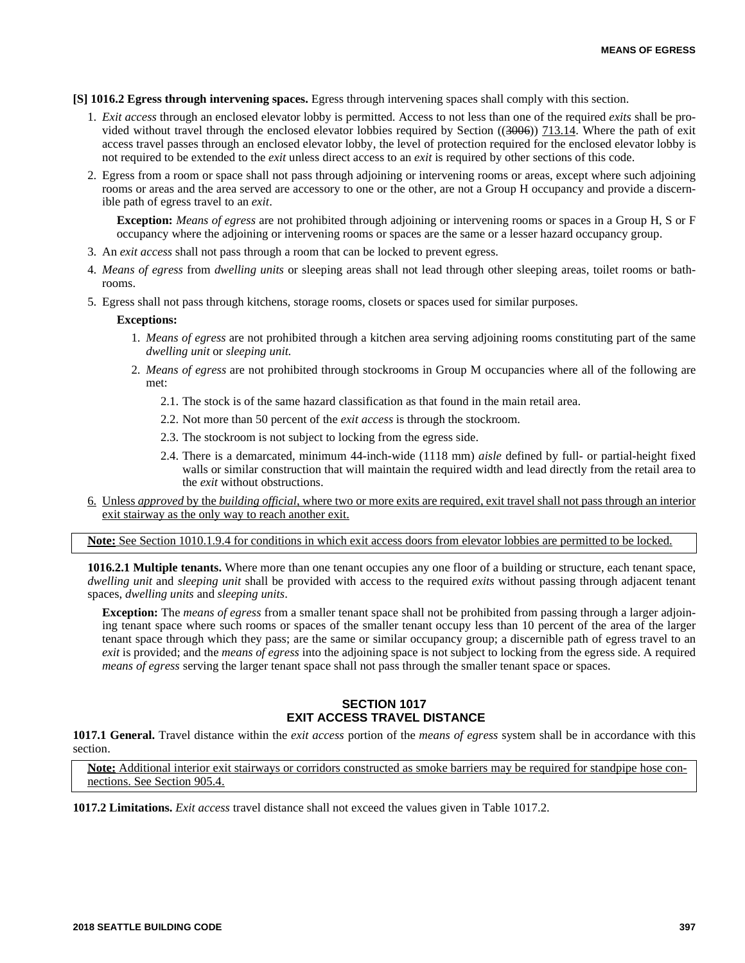**[S] 1016.2 Egress through intervening spaces.** Egress through intervening spaces shall comply with this section.

- 1. *Exit access* through an enclosed elevator lobby is permitted. Access to not less than one of the required *exits* shall be provided without travel through the enclosed elevator lobbies required by Section ((3006)) 713.14. Where the path of exit access travel passes through an enclosed elevator lobby, the level of protection required for the enclosed elevator lobby is not required to be extended to the *exit* unless direct access to an *exit* is required by other sections of this code.
- 2. Egress from a room or space shall not pass through adjoining or intervening rooms or areas, except where such adjoining rooms or areas and the area served are accessory to one or the other, are not a Group H occupancy and provide a discernible path of egress travel to an *exit*.

**Exception:** *Means of egress* are not prohibited through adjoining or intervening rooms or spaces in a Group H, S or F occupancy where the adjoining or intervening rooms or spaces are the same or a lesser hazard occupancy group.

- 3. An *exit access* shall not pass through a room that can be locked to prevent egress.
- 4. *Means of egress* from *dwelling units* or sleeping areas shall not lead through other sleeping areas, toilet rooms or bathrooms.
- 5. Egress shall not pass through kitchens, storage rooms, closets or spaces used for similar purposes.

## **Exceptions:**

- 1. *Means of egress* are not prohibited through a kitchen area serving adjoining rooms constituting part of the same *dwelling unit* or *sleeping unit.*
- 2. *Means of egress* are not prohibited through stockrooms in Group M occupancies where all of the following are met:
	- 2.1. The stock is of the same hazard classification as that found in the main retail area.
	- 2.2. Not more than 50 percent of the *exit access* is through the stockroom.
	- 2.3. The stockroom is not subject to locking from the egress side.
	- 2.4. There is a demarcated, minimum 44-inch-wide (1118 mm) *aisle* defined by full- or partial-height fixed walls or similar construction that will maintain the required width and lead directly from the retail area to the *exit* without obstructions.
- 6. Unless *approved* by the *building official*, where two or more exits are required, exit travel shall not pass through an interior exit stairway as the only way to reach another exit.

**Note:** See Section 1010.1.9.4 for conditions in which exit access doors from elevator lobbies are permitted to be locked.

**1016.2.1 Multiple tenants.** Where more than one tenant occupies any one floor of a building or structure, each tenant space, *dwelling unit* and *sleeping unit* shall be provided with access to the required *exits* without passing through adjacent tenant spaces, *dwelling units* and *sleeping units*.

**Exception:** The *means of egress* from a smaller tenant space shall not be prohibited from passing through a larger adjoining tenant space where such rooms or spaces of the smaller tenant occupy less than 10 percent of the area of the larger tenant space through which they pass; are the same or similar occupancy group; a discernible path of egress travel to an *exit* is provided; and the *means of egress* into the adjoining space is not subject to locking from the egress side. A required *means of egress* serving the larger tenant space shall not pass through the smaller tenant space or spaces.

# **SECTION 1017 EXIT ACCESS TRAVEL DISTANCE**

**1017.1 General.** Travel distance within the *exit access* portion of the *means of egress* system shall be in accordance with this section.

**Note:** Additional interior exit stairways or corridors constructed as smoke barriers may be required for standpipe hose connections. See Section 905.4.

**1017.2 Limitations.** *Exit access* travel distance shall not exceed the values given in Table 1017.2.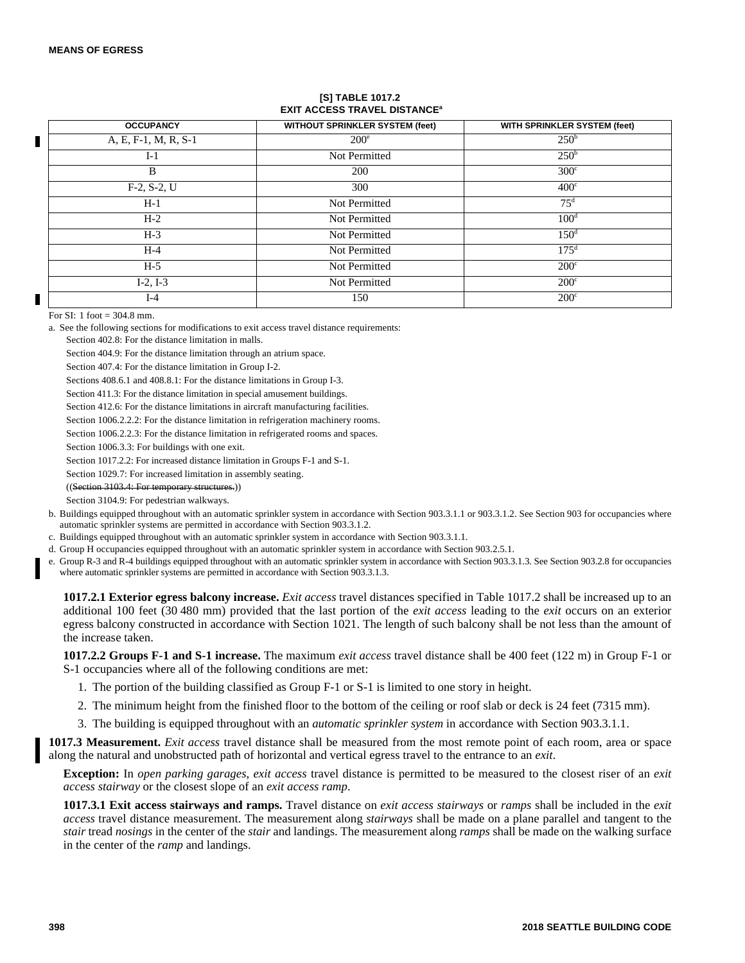# **[S] TABLE 1017.2 EXIT ACCESS TRAVEL DISTANCE<sup>a</sup>**

| <b>OCCUPANCY</b>     | <b>WITHOUT SPRINKLER SYSTEM (feet)</b> | WITH SPRINKLER SYSTEM (feet) |
|----------------------|----------------------------------------|------------------------------|
| A, E, F-1, M, R, S-1 | $200^\circ$                            | 250 <sup>b</sup>             |
| $I-1$                | Not Permitted                          | 250 <sup>b</sup>             |
| B                    | 200                                    | $300^{\circ}$                |
| $F-2, S-2, U$        | 300                                    | 400 <sup>c</sup>             |
| $H-1$                | Not Permitted                          | 75 <sup>d</sup>              |
| $H-2$                | Not Permitted                          | 100 <sup>d</sup>             |
| $H-3$                | Not Permitted                          | 150 <sup>d</sup>             |
| $H-4$                | Not Permitted                          | $17.5^{\rm d}$               |
| $H-5$                | Not Permitted                          | $200^{\circ}$                |
| $I-2, I-3$           | Not Permitted                          | $200^{\circ}$                |
| I-4                  | 150                                    | $200^{\circ}$                |

For SI: 1 foot  $=$  304.8 mm.

a. See the following sections for modifications to exit access travel distance requirements:

Section 402.8: For the distance limitation in malls.

Section 404.9: For the distance limitation through an atrium space.

Section 407.4: For the distance limitation in Group I-2.

Sections 408.6.1 and 408.8.1: For the distance limitations in Group I-3.

Section 411.3: For the distance limitation in special amusement buildings.

Section 412.6: For the distance limitations in aircraft manufacturing facilities.

Section 1006.2.2.2: For the distance limitation in refrigeration machinery rooms.

Section 1006.2.2.3: For the distance limitation in refrigerated rooms and spaces.

Section 1006.3.3: For buildings with one exit.

Section 1017.2.2: For increased distance limitation in Groups F-1 and S-1.

Section 1029.7: For increased limitation in assembly seating.

((Section 3103.4: For temporary structures.))

Section 3104.9: For pedestrian walkways.

b. Buildings equipped throughout with an automatic sprinkler system in accordance with Section 903.3.1.1 or 903.3.1.2. See Section 903 for occupancies where automatic sprinkler systems are permitted in accordance with Section 903.3.1.2.

c. Buildings equipped throughout with an automatic sprinkler system in accordance with Section 903.3.1.1.

d. Group H occupancies equipped throughout with an automatic sprinkler system in accordance with Section 903.2.5.1.

e. Group R-3 and R-4 buildings equipped throughout with an automatic sprinkler system in accordance with Section 903.3.1.3. See Section 903.2.8 for occupancies where automatic sprinkler systems are permitted in accordance with Section 903.3.1.3.

**1017.2.1 Exterior egress balcony increase.** *Exit access* travel distances specified in Table 1017.2 shall be increased up to an additional 100 feet (30 480 mm) provided that the last portion of the *exit access* leading to the *exit* occurs on an exterior egress balcony constructed in accordance with Section 1021. The length of such balcony shall be not less than the amount of the increase taken.

**1017.2.2 Groups F-1 and S-1 increase.** The maximum *exit access* travel distance shall be 400 feet (122 m) in Group F-1 or S-1 occupancies where all of the following conditions are met:

1. The portion of the building classified as Group F-1 or S-1 is limited to one story in height.

2. The minimum height from the finished floor to the bottom of the ceiling or roof slab or deck is 24 feet (7315 mm).

3. The building is equipped throughout with an *automatic sprinkler system* in accordance with Section 903.3.1.1.

**1017.3 Measurement.** *Exit access* travel distance shall be measured from the most remote point of each room, area or space along the natural and unobstructed path of horizontal and vertical egress travel to the entrance to an *exit*.

**Exception:** In *open parking garages*, *exit access* travel distance is permitted to be measured to the closest riser of an *exit access stairway* or the closest slope of an *exit access ramp*.

**1017.3.1 Exit access stairways and ramps.** Travel distance on *exit access stairways* or *ramps* shall be included in the *exit access* travel distance measurement. The measurement along *stairways* shall be made on a plane parallel and tangent to the *stair* tread *nosings* in the center of the *stair* and landings. The measurement along *ramps* shall be made on the walking surface in the center of the *ramp* and landings.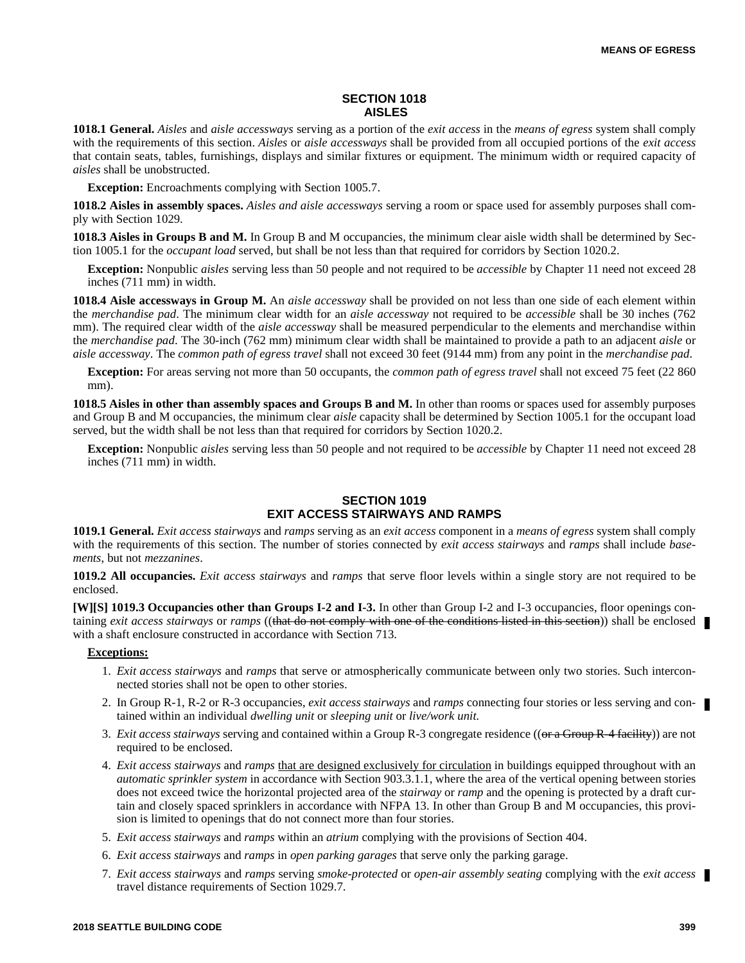# **SECTION 1018 AISLES**

**1018.1 General.** *Aisles* and *aisle accessways* serving as a portion of the *exit access* in the *means of egress* system shall comply with the requirements of this section. *Aisles* or *aisle accessways* shall be provided from all occupied portions of the *exit access* that contain seats, tables, furnishings, displays and similar fixtures or equipment. The minimum width or required capacity of *aisles* shall be unobstructed.

**Exception:** Encroachments complying with Section 1005.7.

**1018.2 Aisles in assembly spaces.** *Aisles and aisle accessways* serving a room or space used for assembly purposes shall comply with Section 1029.

**1018.3 Aisles in Groups B and M.** In Group B and M occupancies, the minimum clear aisle width shall be determined by Section 1005.1 for the *occupant load* served, but shall be not less than that required for corridors by Section 1020.2.

**Exception:** Nonpublic *aisles* serving less than 50 people and not required to be *accessible* by Chapter 11 need not exceed 28 inches (711 mm) in width.

**1018.4 Aisle accessways in Group M.** An *aisle accessway* shall be provided on not less than one side of each element within the *merchandise pad*. The minimum clear width for an *aisle accessway* not required to be *accessible* shall be 30 inches (762 mm). The required clear width of the *aisle accessway* shall be measured perpendicular to the elements and merchandise within the *merchandise pad*. The 30-inch (762 mm) minimum clear width shall be maintained to provide a path to an adjacent *aisle* or *aisle accessway*. The *common path of egress travel* shall not exceed 30 feet (9144 mm) from any point in the *merchandise pad*.

**Exception:** For areas serving not more than 50 occupants, the *common path of egress travel* shall not exceed 75 feet (22 860 mm).

**1018.5 Aisles in other than assembly spaces and Groups B and M.** In other than rooms or spaces used for assembly purposes and Group B and M occupancies, the minimum clear *aisle* capacity shall be determined by Section 1005.1 for the occupant load served, but the width shall be not less than that required for corridors by Section 1020.2.

**Exception:** Nonpublic *aisles* serving less than 50 people and not required to be *accessible* by Chapter 11 need not exceed 28 inches (711 mm) in width.

# **SECTION 1019 EXIT ACCESS STAIRWAYS AND RAMPS**

**1019.1 General.** *Exit access stairways* and *ramps* serving as an *exit access* component in a *means of egress* system shall comply with the requirements of this section. The number of stories connected by *exit access stairways* and *ramps* shall include *basements*, but not *mezzanines*.

**1019.2 All occupancies.** *Exit access stairways* and *ramps* that serve floor levels within a single story are not required to be enclosed.

**[W][S] 1019.3 Occupancies other than Groups I-2 and I-3.** In other than Group I-2 and I-3 occupancies, floor openings containing *exit access stairways* or *ramps* ((that do not comply with one of the conditions listed in this section)) shall be enclosed with a shaft enclosure constructed in accordance with Section 713.

#### **Exceptions:**

- 1. *Exit access stairways* and *ramps* that serve or atmospherically communicate between only two stories. Such interconnected stories shall not be open to other stories.
- 2. In Group R-1, R-2 or R-3 occupancies, *exit access stairways* and *ramps* connecting four stories or less serving and contained within an individual *dwelling unit* or *sleeping unit* or *live/work unit.*
- 3. *Exit access stairways* serving and contained within a Group R-3 congregate residence ((or a Group R-4 facility)) are not required to be enclosed.
- 4. *Exit access stairways* and *ramps* that are designed exclusively for circulation in buildings equipped throughout with an *automatic sprinkler system* in accordance with Section 903.3.1.1, where the area of the vertical opening between stories does not exceed twice the horizontal projected area of the *stairway* or *ramp* and the opening is protected by a draft curtain and closely spaced sprinklers in accordance with NFPA 13. In other than Group B and M occupancies, this provision is limited to openings that do not connect more than four stories.
- 5. *Exit access stairways* and *ramps* within an *atrium* complying with the provisions of Section 404.
- 6. *Exit access stairways* and *ramps* in *open parking garages* that serve only the parking garage.
- 7. *Exit access stairways* and *ramps* serving *smoke-protected* or *open-air assembly seating* complying with the *exit access* travel distance requirements of Section 1029.7.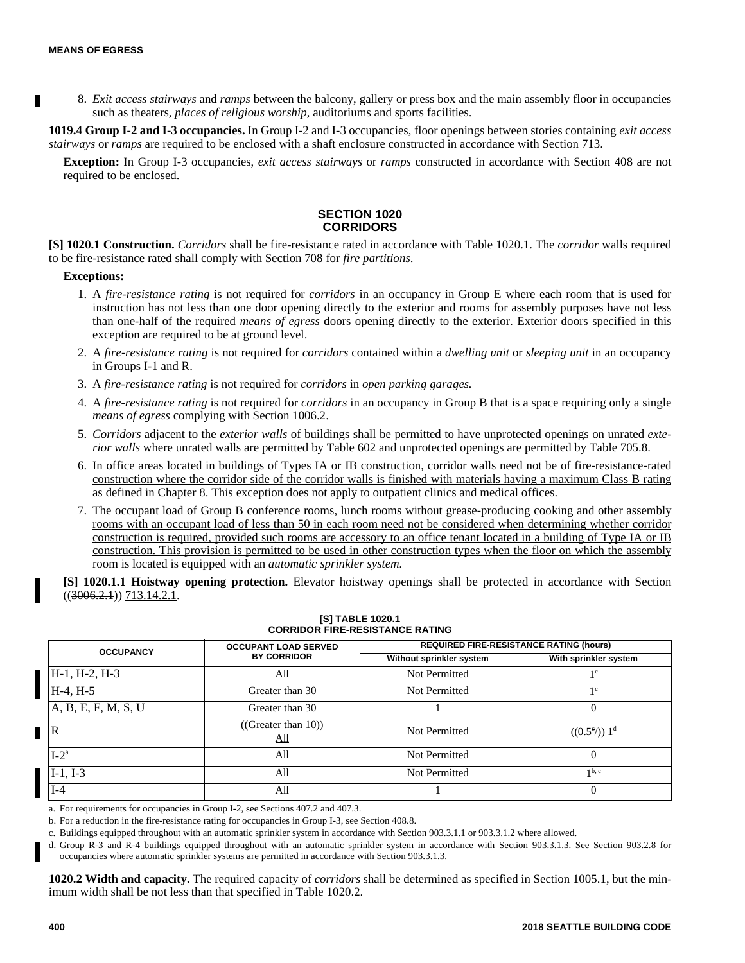8. *Exit access stairways* and *ramps* between the balcony, gallery or press box and the main assembly floor in occupancies such as theaters, *places of religious worship*, auditoriums and sports facilities.

**1019.4 Group I-2 and I-3 occupancies.** In Group I-2 and I-3 occupancies, floor openings between stories containing *exit access stairways* or *ramps* are required to be enclosed with a shaft enclosure constructed in accordance with Section 713.

**Exception:** In Group I-3 occupancies, *exit access stairways* or *ramps* constructed in accordance with Section 408 are not required to be enclosed.

# **SECTION 1020 CORRIDORS**

**[S] 1020.1 Construction.** *Corridors* shall be fire-resistance rated in accordance with Table 1020.1. The *corridor* walls required to be fire-resistance rated shall comply with Section 708 for *fire partitions*.

## **Exceptions:**

- 1. A *fire-resistance rating* is not required for *corridors* in an occupancy in Group E where each room that is used for instruction has not less than one door opening directly to the exterior and rooms for assembly purposes have not less than one-half of the required *means of egress* doors opening directly to the exterior. Exterior doors specified in this exception are required to be at ground level.
- 2. A *fire-resistance rating* is not required for *corridors* contained within a *dwelling unit* or *sleeping unit* in an occupancy in Groups I-1 and R.
- 3. A *fire-resistance rating* is not required for *corridors* in *open parking garages.*
- 4. A *fire-resistance rating* is not required for *corridors* in an occupancy in Group B that is a space requiring only a single *means of egress* complying with Section 1006.2.
- 5. *Corridors* adjacent to the *exterior walls* of buildings shall be permitted to have unprotected openings on unrated *exterior walls* where unrated walls are permitted by Table 602 and unprotected openings are permitted by Table 705.8.
- 6. In office areas located in buildings of Types IA or IB construction, corridor walls need not be of fire-resistance-rated construction where the corridor side of the corridor walls is finished with materials having a maximum Class B rating as defined in Chapter 8. This exception does not apply to outpatient clinics and medical offices.
- 7. The occupant load of Group B conference rooms, lunch rooms without grease-producing cooking and other assembly rooms with an occupant load of less than 50 in each room need not be considered when determining whether corridor construction is required, provided such rooms are accessory to an office tenant located in a building of Type IA or IB construction. This provision is permitted to be used in other construction types when the floor on which the assembly room is located is equipped with an *automatic sprinkler system.*

**[S] 1020.1.1 Hoistway opening protection.** Elevator hoistway openings shall be protected in accordance with Section  $((3006.2.1))$  713.14.2.1.

| <b>OCCUPANCY</b>    | <b>OCCUPANT LOAD SERVED</b> | <b>REQUIRED FIRE-RESISTANCE RATING (hours)</b> |                                          |  |
|---------------------|-----------------------------|------------------------------------------------|------------------------------------------|--|
|                     | <b>BY CORRIDOR</b>          | Without sprinkler system                       | With sprinkler system                    |  |
| $H-1, H-2, H-3$     | All                         | Not Permitted                                  | 1 <sup>c</sup>                           |  |
| $H-4, H-5$          | Greater than 30             | Not Permitted                                  | 1 <sup>c</sup>                           |  |
| A, B, E, F, M, S, U | Greater than 30             |                                                |                                          |  |
| ΙR                  | ((Greater than 10))<br>All  | Not Permitted                                  | $((0.5^{\circ})^{\circ})$ 1 <sup>d</sup> |  |
| $I-2^a$             | All                         | Not Permitted                                  |                                          |  |
| $I-1. I-3$          | All                         | Not Permitted                                  | $1b$ , c                                 |  |
| $I-4$               | All                         |                                                |                                          |  |

#### **[S] TABLE 1020.1 CORRIDOR FIRE-RESISTANCE RATING**

a. For requirements for occupancies in Group I-2, see Sections 407.2 and 407.3.

b. For a reduction in the fire-resistance rating for occupancies in Group I-3, see Section 408.8.

c. Buildings equipped throughout with an automatic sprinkler system in accordance with Section 903.3.1.1 or 903.3.1.2 where allowed.

d. Group R-3 and R-4 buildings equipped throughout with an automatic sprinkler system in accordance with Section 903.3.1.3. See Section 903.2.8 for occupancies where automatic sprinkler systems are permitted in accordance with Section 903.3.1.3.

**1020.2 Width and capacity.** The required capacity of *corridors* shall be determined as specified in Section 1005.1, but the minimum width shall be not less than that specified in Table 1020.2.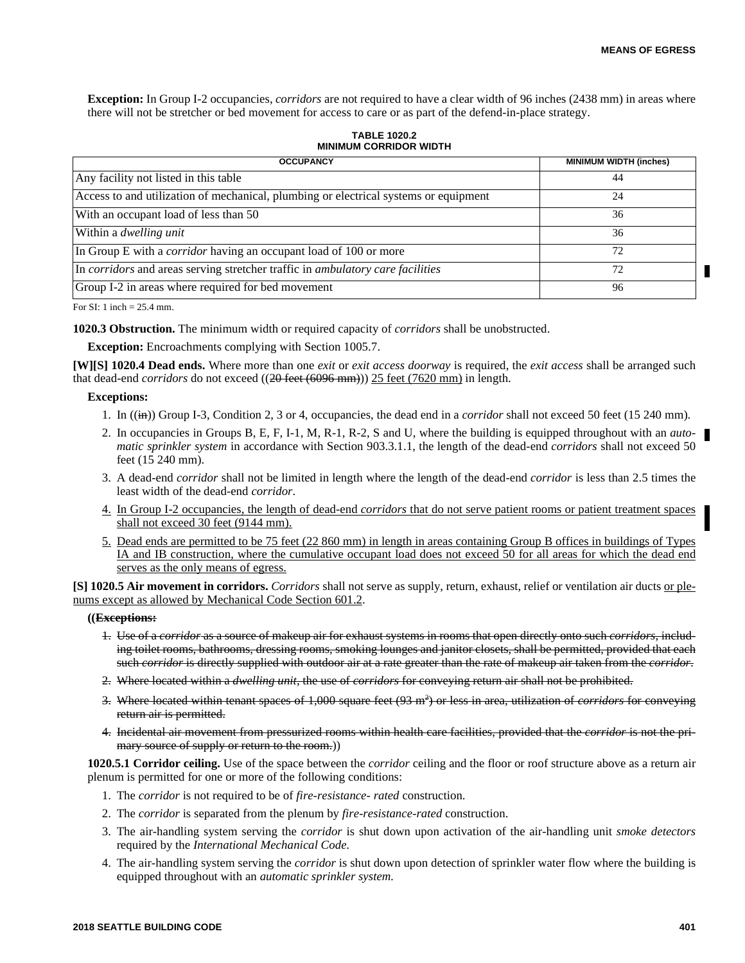**Exception:** In Group I-2 occupancies, *corridors* are not required to have a clear width of 96 inches (2438 mm) in areas where there will not be stretcher or bed movement for access to care or as part of the defend-in-place strategy.

**TABLE 1020.2 MINIMUM CORRIDOR WIDTH**

| <b>OCCUPANCY</b>                                                                     | <b>MINIMUM WIDTH (inches)</b> |
|--------------------------------------------------------------------------------------|-------------------------------|
| Any facility not listed in this table                                                | 44                            |
| Access to and utilization of mechanical, plumbing or electrical systems or equipment | 24                            |
| With an occupant load of less than 50                                                | 36                            |
| Within a <i>dwelling unit</i>                                                        | 36                            |
| In Group E with a <i>corridor</i> having an occupant load of 100 or more             | 72                            |
| In corridors and areas serving stretcher traffic in ambulatory care facilities       | 72                            |
| Group I-2 in areas where required for bed movement                                   | 96                            |

For SI: 1 inch = 25.4 mm.

**1020.3 Obstruction.** The minimum width or required capacity of *corridors* shall be unobstructed.

**Exception:** Encroachments complying with Section 1005.7.

**[W][S] 1020.4 Dead ends.** Where more than one *exit* or *exit access doorway* is required, the *exit access* shall be arranged such that dead-end *corridors* do not exceed ((20 feet (6096 mm))) 25 feet (7620 mm) in length.

## **Exceptions:**

- 1. In ((in)) Group I-3, Condition 2, 3 or 4, occupancies, the dead end in a *corridor* shall not exceed 50 feet (15 240 mm).
- 2. In occupancies in Groups B, E, F, I-1, M, R-1, R-2, S and U, where the building is equipped throughout with an *automatic sprinkler system* in accordance with Section 903.3.1.1, the length of the dead-end *corridors* shall not exceed 50 feet (15 240 mm).
- 3. A dead-end *corridor* shall not be limited in length where the length of the dead-end *corridor* is less than 2.5 times the least width of the dead-end *corridor*.
- 4. In Group I-2 occupancies, the length of dead-end *corridors* that do not serve patient rooms or patient treatment spaces shall not exceed 30 feet (9144 mm).
- 5. Dead ends are permitted to be 75 feet (22 860 mm) in length in areas containing Group B offices in buildings of Types IA and IB construction, where the cumulative occupant load does not exceed 50 for all areas for which the dead end serves as the only means of egress.

**[S] 1020.5 Air movement in corridors.** *Corridors* shall not serve as supply, return, exhaust, relief or ventilation air ducts or plenums except as allowed by Mechanical Code Section 601.2.

#### **((Exceptions:**

- 1. Use of a *corridor* as a source of makeup air for exhaust systems in rooms that open directly onto such *corridors*, including toilet rooms, bathrooms, dressing rooms, smoking lounges and janitor closets, shall be permitted, provided that each such *corridor* is directly supplied with outdoor air at a rate greater than the rate of makeup air taken from the *corridor*.
- 2. Where located within a *dwelling unit*, the use of *corridors* for conveying return air shall not be prohibited.
- 3. Where located within tenant spaces of 1,000 square feet (93 m<sup>2</sup> ) or less in area, utilization of *corridors* for conveying return air is permitted.
- 4. Incidental air movement from pressurized rooms within health care facilities, provided that the *corridor* is not the primary source of supply or return to the room.)

**1020.5.1 Corridor ceiling.** Use of the space between the *corridor* ceiling and the floor or roof structure above as a return air plenum is permitted for one or more of the following conditions:

- 1. The *corridor* is not required to be of *fire-resistance- rated* construction.
- 2. The *corridor* is separated from the plenum by *fire-resistance-rated* construction.
- 3. The air-handling system serving the *corridor* is shut down upon activation of the air-handling unit *smoke detectors* required by the *International Mechanical Code.*
- 4. The air-handling system serving the *corridor* is shut down upon detection of sprinkler water flow where the building is equipped throughout with an *automatic sprinkler system.*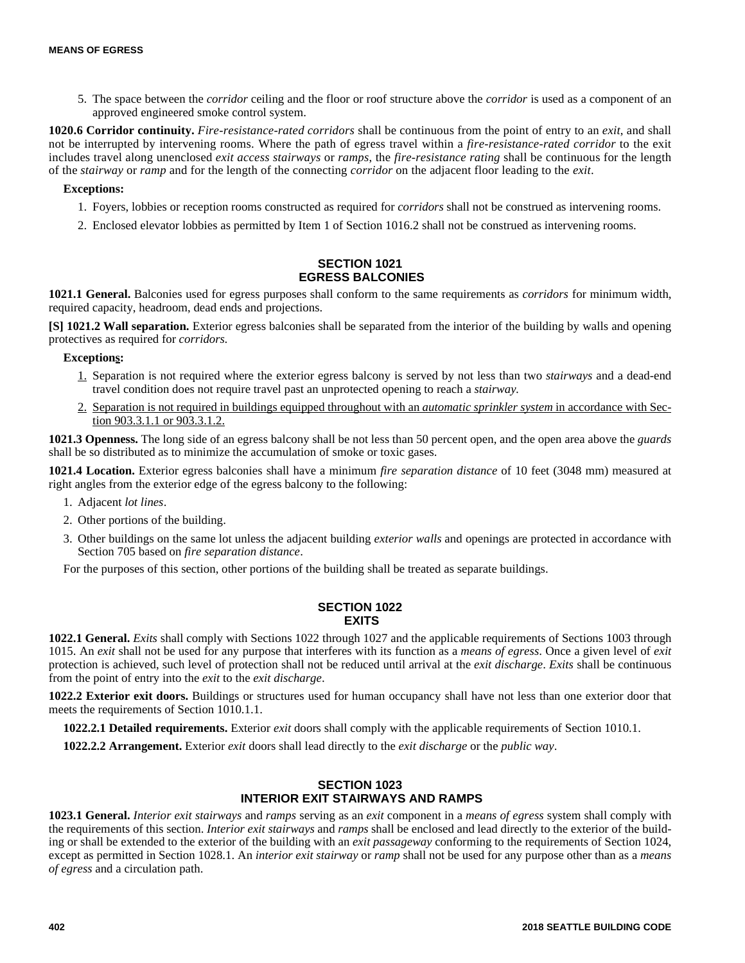5. The space between the *corridor* ceiling and the floor or roof structure above the *corridor* is used as a component of an approved engineered smoke control system.

**1020.6 Corridor continuity.** *Fire-resistance-rated corridors* shall be continuous from the point of entry to an *exit*, and shall not be interrupted by intervening rooms. Where the path of egress travel within a *fire-resistance-rated corridor* to the exit includes travel along unenclosed *exit access stairways* or *ramps*, the *fire-resistance rating* shall be continuous for the length of the *stairway* or *ramp* and for the length of the connecting *corridor* on the adjacent floor leading to the *exit*.

# **Exceptions:**

- 1. Foyers, lobbies or reception rooms constructed as required for *corridors* shall not be construed as intervening rooms.
- 2. Enclosed elevator lobbies as permitted by Item 1 of Section 1016.2 shall not be construed as intervening rooms.

# **SECTION 1021 EGRESS BALCONIES**

**1021.1 General.** Balconies used for egress purposes shall conform to the same requirements as *corridors* for minimum width, required capacity, headroom, dead ends and projections.

**[S] 1021.2 Wall separation.** Exterior egress balconies shall be separated from the interior of the building by walls and opening protectives as required for *corridors.*

# **Exceptions:**

- 1. Separation is not required where the exterior egress balcony is served by not less than two *stairways* and a dead-end travel condition does not require travel past an unprotected opening to reach a *stairway.*
- 2. Separation is not required in buildings equipped throughout with an *automatic sprinkler system* in accordance with Section 903.3.1.1 or 903.3.1.2.

**1021.3 Openness.** The long side of an egress balcony shall be not less than 50 percent open, and the open area above the *guards* shall be so distributed as to minimize the accumulation of smoke or toxic gases.

**1021.4 Location.** Exterior egress balconies shall have a minimum *fire separation distance* of 10 feet (3048 mm) measured at right angles from the exterior edge of the egress balcony to the following:

- 1. Adjacent *lot lines*.
- 2. Other portions of the building.
- 3. Other buildings on the same lot unless the adjacent building *exterior walls* and openings are protected in accordance with Section 705 based on *fire separation distance*.

For the purposes of this section, other portions of the building shall be treated as separate buildings.

## **SECTION 1022 EXITS**

**1022.1 General.** *Exits* shall comply with Sections 1022 through 1027 and the applicable requirements of Sections 1003 through 1015. An *exit* shall not be used for any purpose that interferes with its function as a *means of egress*. Once a given level of *exit* protection is achieved, such level of protection shall not be reduced until arrival at the *exit discharge*. *Exits* shall be continuous from the point of entry into the *exit* to the *exit discharge*.

**1022.2 Exterior exit doors.** Buildings or structures used for human occupancy shall have not less than one exterior door that meets the requirements of Section 1010.1.1.

**1022.2.1 Detailed requirements.** Exterior *exit* doors shall comply with the applicable requirements of Section 1010.1.

**1022.2.2 Arrangement.** Exterior *exit* doors shall lead directly to the *exit discharge* or the *public way*.

# **SECTION 1023 INTERIOR EXIT STAIRWAYS AND RAMPS**

**1023.1 General.** *Interior exit stairways* and *ramps* serving as an *exit* component in a *means of egress* system shall comply with the requirements of this section. *Interior exit stairways* and *ramps* shall be enclosed and lead directly to the exterior of the building or shall be extended to the exterior of the building with an *exit passageway* conforming to the requirements of Section 1024, except as permitted in Section 1028.1. An *interior exit stairway* or *ramp* shall not be used for any purpose other than as a *means of egress* and a circulation path.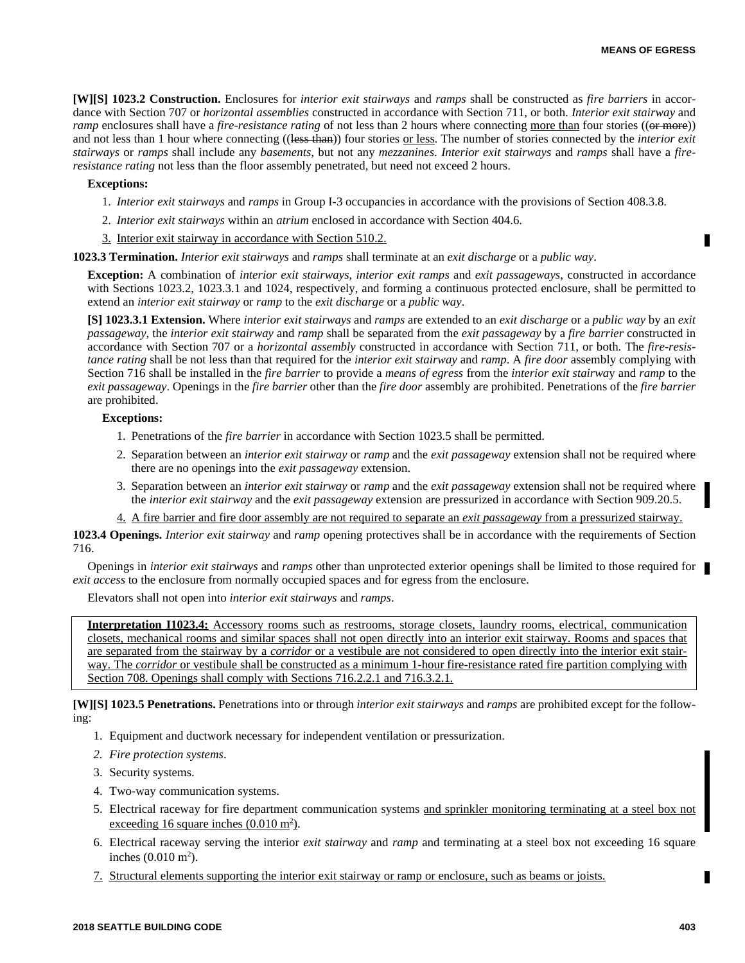**[W][S] 1023.2 Construction.** Enclosures for *interior exit stairways* and *ramps* shall be constructed as *fire barriers* in accordance with Section 707 or *horizontal assemblies* constructed in accordance with Section 711, or both. *Interior exit stairway* and *ramp* enclosures shall have a *fire-resistance rating* of not less than 2 hours where connecting more than four stories ((or more)) and not less than 1 hour where connecting ((less than)) four stories or less. The number of stories connected by the *interior exit stairways* or *ramps* shall include any *basements*, but not any *mezzanines*. *Interior exit stairways* and *ramps* shall have a *fireresistance rating* not less than the floor assembly penetrated, but need not exceed 2 hours.

#### **Exceptions:**

- 1. *Interior exit stairways* and *ramps* in Group I-3 occupancies in accordance with the provisions of Section 408.3.8.
- 2. *Interior exit stairways* within an *atrium* enclosed in accordance with Section 404.6.
- 3. Interior exit stairway in accordance with Section 510.2.

#### **1023.3 Termination.** *Interior exit stairways* and *ramps* shall terminate at an *exit discharge* or a *public way*.

**Exception:** A combination of *interior exit stairways*, *interior exit ramps* and *exit passageways*, constructed in accordance with Sections 1023.2, 1023.3.1 and 1024, respectively, and forming a continuous protected enclosure, shall be permitted to extend an *interior exit stairway* or *ramp* to the *exit discharge* or a *public way*.

**[S] 1023.3.1 Extension.** Where *interior exit stairways* and *ramps* are extended to an *exit discharge* or a *public way* by an *exit passageway*, the *interior exit stairway* and *ramp* shall be separated from the *exit passageway* by a *fire barrier* constructed in accordance with Section 707 or a *horizontal assembly* constructed in accordance with Section 711, or both. The *fire-resistance rating* shall be not less than that required for the *interior exit stairway* and *ramp*. A *fire door* assembly complying with Section 716 shall be installed in the *fire barrier* to provide a *means of egress* from the *interior exit stairwa*y and *ramp* to the *exit passageway*. Openings in the *fire barrier* other than the *fire door* assembly are prohibited. Penetrations of the *fire barrier* are prohibited.

#### **Exceptions:**

- 1. Penetrations of the *fire barrier* in accordance with Section 1023.5 shall be permitted.
- 2. Separation between an *interior exit stairway* or *ramp* and the *exit passageway* extension shall not be required where there are no openings into the *exit passageway* extension.
- 3. Separation between an *interior exit stairway* or *ramp* and the *exit passageway* extension shall not be required where the *interior exit stairway* and the *exit passageway* extension are pressurized in accordance with Section 909.20.5.
- 4. A fire barrier and fire door assembly are not required to separate an *exit passageway* from a pressurized stairway.

**1023.4 Openings.** *Interior exit stairway* and *ramp* opening protectives shall be in accordance with the requirements of Section 716.

Openings in *interior exit stairways* and *ramps* other than unprotected exterior openings shall be limited to those required for *exit access* to the enclosure from normally occupied spaces and for egress from the enclosure.

Elevators shall not open into *interior exit stairways* and *ramps*.

**Interpretation I1023.4:** Accessory rooms such as restrooms, storage closets, laundry rooms, electrical, communication closets, mechanical rooms and similar spaces shall not open directly into an interior exit stairway. Rooms and spaces that are separated from the stairway by a *corridor* or a vestibule are not considered to open directly into the interior exit stairway. The *corridor* or vestibule shall be constructed as a minimum 1-hour fire-resistance rated fire partition complying with Section 708. Openings shall comply with Sections 716.2.2.1 and 716.3.2.1.

**[W][S] 1023.5 Penetrations.** Penetrations into or through *interior exit stairways* and *ramps* are prohibited except for the following:

- 1. Equipment and ductwork necessary for independent ventilation or pressurization.
- *2. Fire protection systems*.
- 3. Security systems.
- 4. Two-way communication systems.
- 5. Electrical raceway for fire department communication systems and sprinkler monitoring terminating at a steel box not exceeding 16 square inches  $(0.010 \text{ m}^2)$ .
- 6. Electrical raceway serving the interior *exit stairway* and *ramp* and terminating at a steel box not exceeding 16 square inches  $(0.010 \text{ m}^2)$ .
- 7. Structural elements supporting the interior exit stairway or ramp or enclosure, such as beams or joists.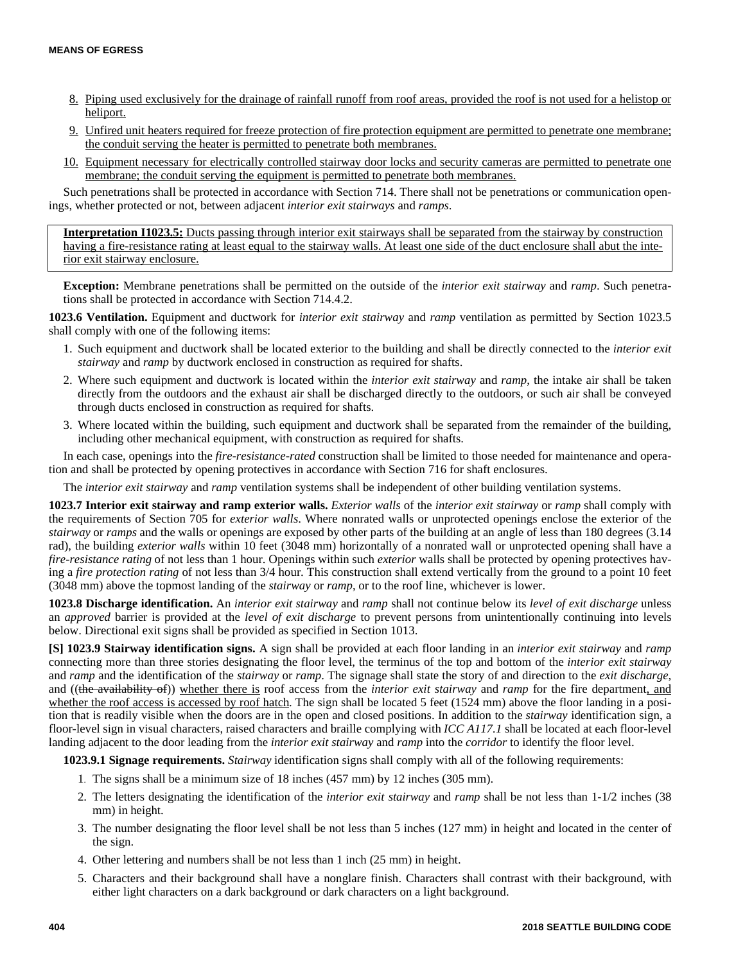- 8. Piping used exclusively for the drainage of rainfall runoff from roof areas, provided the roof is not used for a helistop or heliport.
- 9. Unfired unit heaters required for freeze protection of fire protection equipment are permitted to penetrate one membrane; the conduit serving the heater is permitted to penetrate both membranes.
- 10. Equipment necessary for electrically controlled stairway door locks and security cameras are permitted to penetrate one membrane; the conduit serving the equipment is permitted to penetrate both membranes.

Such penetrations shall be protected in accordance with Section 714. There shall not be penetrations or communication openings, whether protected or not, between adjacent *interior exit stairways* and *ramps*.

**Interpretation I1023.5:** Ducts passing through interior exit stairways shall be separated from the stairway by construction having a fire-resistance rating at least equal to the stairway walls. At least one side of the duct enclosure shall abut the interior exit stairway enclosure.

**Exception:** Membrane penetrations shall be permitted on the outside of the *interior exit stairway* and *ramp*. Such penetrations shall be protected in accordance with Section 714.4.2.

**1023.6 Ventilation.** Equipment and ductwork for *interior exit stairway* and *ramp* ventilation as permitted by Section 1023.5 shall comply with one of the following items:

- 1. Such equipment and ductwork shall be located exterior to the building and shall be directly connected to the *interior exit stairway* and *ramp* by ductwork enclosed in construction as required for shafts.
- 2. Where such equipment and ductwork is located within the *interior exit stairway* and *ramp*, the intake air shall be taken directly from the outdoors and the exhaust air shall be discharged directly to the outdoors, or such air shall be conveyed through ducts enclosed in construction as required for shafts.
- 3. Where located within the building, such equipment and ductwork shall be separated from the remainder of the building, including other mechanical equipment, with construction as required for shafts.

In each case, openings into the *fire-resistance-rated* construction shall be limited to those needed for maintenance and operation and shall be protected by opening protectives in accordance with Section 716 for shaft enclosures.

The *interior exit stairway* and *ramp* ventilation systems shall be independent of other building ventilation systems.

**1023.7 Interior exit stairway and ramp exterior walls.** *Exterior walls* of the *interior exit stairway* or *ramp* shall comply with the requirements of Section 705 for *exterior walls*. Where nonrated walls or unprotected openings enclose the exterior of the *stairway* or *ramps* and the walls or openings are exposed by other parts of the building at an angle of less than 180 degrees (3.14 rad), the building *exterior walls* within 10 feet (3048 mm) horizontally of a nonrated wall or unprotected opening shall have a *fire-resistance rating* of not less than 1 hour. Openings within such *exterior* walls shall be protected by opening protectives having a *fire protection rating* of not less than 3/4 hour. This construction shall extend vertically from the ground to a point 10 feet (3048 mm) above the topmost landing of the *stairway* or *ramp*, or to the roof line, whichever is lower.

**1023.8 Discharge identification.** An *interior exit stairway* and *ramp* shall not continue below its *level of exit discharge* unless an *approved* barrier is provided at the *level of exit discharge* to prevent persons from unintentionally continuing into levels below. Directional exit signs shall be provided as specified in Section 1013.

**[S] 1023.9 Stairway identification signs.** A sign shall be provided at each floor landing in an *interior exit stairway* and *ramp* connecting more than three stories designating the floor level, the terminus of the top and bottom of the *interior exit stairway* and *ramp* and the identification of the *stairway* or *ramp*. The signage shall state the story of and direction to the *exit discharge,* and ((the availability of)) whether there is roof access from the *interior exit stairway* and *ramp* for the fire department, and whether the roof access is accessed by roof hatch. The sign shall be located 5 feet (1524 mm) above the floor landing in a position that is readily visible when the doors are in the open and closed positions. In addition to the *stairway* identification sign, a floor-level sign in visual characters, raised characters and braille complying with *ICC A117.1* shall be located at each floor-level landing adjacent to the door leading from the *interior exit stairway* and *ramp* into the *corridor* to identify the floor level.

**1023.9.1 Signage requirements.** *Stairway* identification signs shall comply with all of the following requirements:

- 1. The signs shall be a minimum size of 18 inches (457 mm) by 12 inches (305 mm).
- 2. The letters designating the identification of the *interior exit stairway* and *ramp* shall be not less than 1-1/2 inches (38 mm) in height.
- 3. The number designating the floor level shall be not less than 5 inches (127 mm) in height and located in the center of the sign.
- 4. Other lettering and numbers shall be not less than 1 inch (25 mm) in height.
- 5. Characters and their background shall have a nonglare finish. Characters shall contrast with their background, with either light characters on a dark background or dark characters on a light background.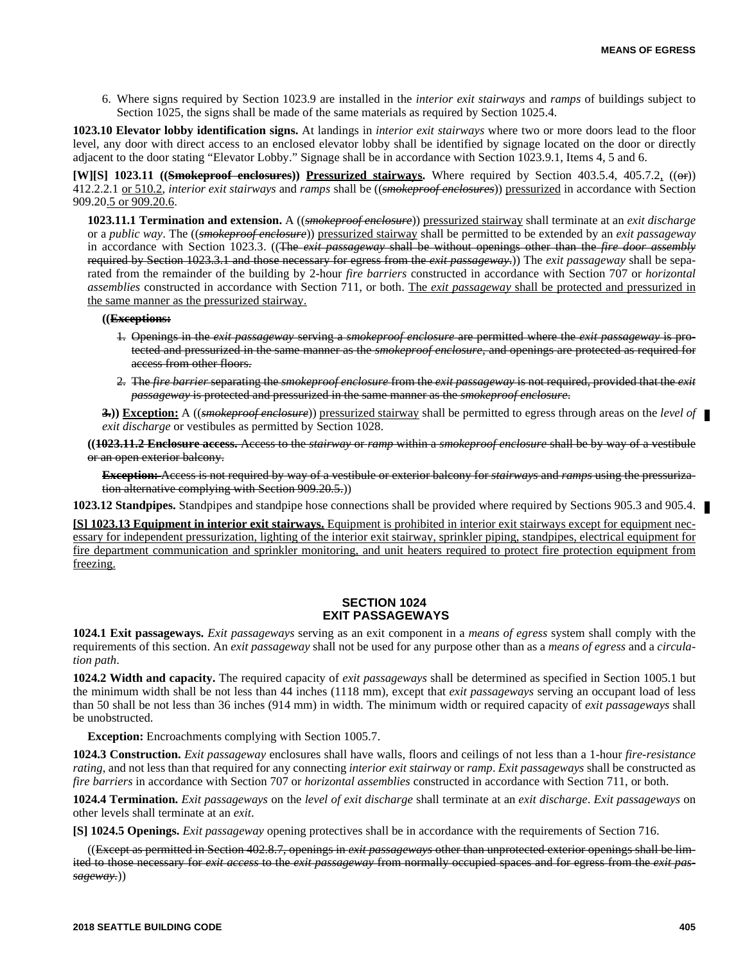6. Where signs required by Section 1023.9 are installed in the *interior exit stairways* and *ramps* of buildings subject to Section 1025, the signs shall be made of the same materials as required by Section 1025.4.

**1023.10 Elevator lobby identification signs.** At landings in *interior exit stairways* where two or more doors lead to the floor level, any door with direct access to an enclosed elevator lobby shall be identified by signage located on the door or directly adjacent to the door stating "Elevator Lobby." Signage shall be in accordance with Section 1023.9.1, Items 4, 5 and 6.

**[W][S] 1023.11 ((Smokeproof enclosures)) Pressurized stairways.** Where required by Section 403.5.4, 405.7.2, ((or)) 412.2.2.1 or 510.2, *interior exit stairways* and *ramps* shall be ((*smokeproof enclosures*)) pressurized in accordance with Section 909.20.5 or 909.20.6.

**1023.11.1 Termination and extension.** A ((*smokeproof enclosure*)) pressurized stairway shall terminate at an *exit discharge* or a *public way*. The ((*smokeproof enclosure*)) pressurized stairway shall be permitted to be extended by an *exit passageway* in accordance with Section 1023.3. ((The *exit passageway* shall be without openings other than the *fire door assembly* required by Section 1023.3.1 and those necessary for egress from the *exit passageway*.)) The *exit passageway* shall be separated from the remainder of the building by 2-hour *fire barriers* constructed in accordance with Section 707 or *horizontal assemblies* constructed in accordance with Section 711, or both. The *exit passageway* shall be protected and pressurized in the same manner as the pressurized stairway.

#### **((Exceptions:**

- 1. Openings in the *exit passageway* serving a *smokeproof enclosure* are permitted where the *exit passageway* is protected and pressurized in the same manner as the *smokeproof enclosure*, and openings are protected as required for access from other floors.
- 2. The *fire barrier* separating the *smokeproof enclosure* from the *exit passageway* is not required, provided that the *exit passageway* is protected and pressurized in the same manner as the *smokeproof enclosure*.
- **3.)) Exception:** A ((*smokeproof enclosure*)) pressurized stairway shall be permitted to egress through areas on the *level of exit discharge* or vestibules as permitted by Section 1028.

**((1023.11.2 Enclosure access.** Access to the *stairway* or *ramp* within a *smokeproof enclosure* shall be by way of a vestibule or an open exterior balcony.

**Exception:** Access is not required by way of a vestibule or exterior balcony for *stairways* and *ramps* using the pressurization alternative complying with Section 909.20.5.))

**1023.12 Standpipes.** Standpipes and standpipe hose connections shall be provided where required by Sections 905.3 and 905.4.

**[S] 1023.13 Equipment in interior exit stairways.** Equipment is prohibited in interior exit stairways except for equipment necessary for independent pressurization, lighting of the interior exit stairway, sprinkler piping, standpipes, electrical equipment for fire department communication and sprinkler monitoring, and unit heaters required to protect fire protection equipment from freezing.

# **SECTION 1024 EXIT PASSAGEWAYS**

**1024.1 Exit passageways.** *Exit passageways* serving as an exit component in a *means of egress* system shall comply with the requirements of this section. An *exit passageway* shall not be used for any purpose other than as a *means of egress* and a *circulation path*.

**1024.2 Width and capacity.** The required capacity of *exit passageways* shall be determined as specified in Section 1005.1 but the minimum width shall be not less than 44 inches (1118 mm), except that *exit passageways* serving an occupant load of less than 50 shall be not less than 36 inches (914 mm) in width. The minimum width or required capacity of *exit passageways* shall be unobstructed.

**Exception:** Encroachments complying with Section 1005.7.

**1024.3 Construction.** *Exit passageway* enclosures shall have walls, floors and ceilings of not less than a 1-hour *fire-resistance rating*, and not less than that required for any connecting *interior exit stairway* or *ramp*. *Exit passageways* shall be constructed as *fire barriers* in accordance with Section 707 or *horizontal assemblies* constructed in accordance with Section 711, or both.

**1024.4 Termination.** *Exit passageways* on the *level of exit discharge* shall terminate at an *exit discharge*. *Exit passageways* on other levels shall terminate at an *exit*.

**[S] 1024.5 Openings.** *Exit passageway* opening protectives shall be in accordance with the requirements of Section 716.

((Except as permitted in Section 402.8.7, openings in *exit passageways* other than unprotected exterior openings shall be limited to those necessary for *exit access* to the *exit passageway* from normally occupied spaces and for egress from the *exit passageway.*))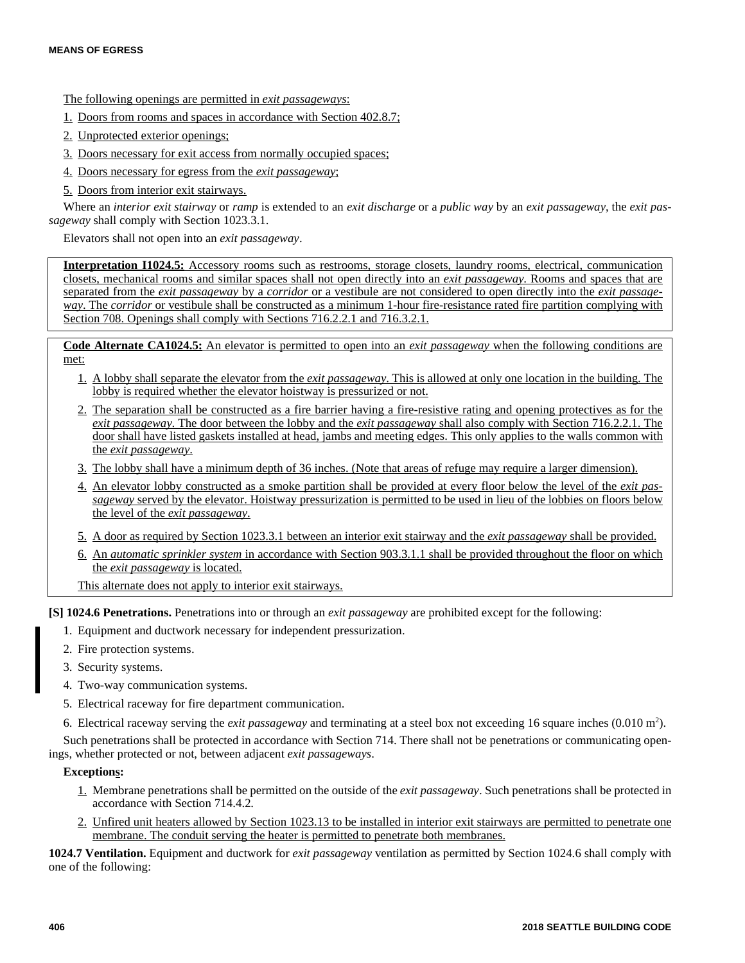# The following openings are permitted in *exit passageways*:

- 1. Doors from rooms and spaces in accordance with Section 402.8.7;
- 2. Unprotected exterior openings;
- 3. Doors necessary for exit access from normally occupied spaces;
- 4. Doors necessary for egress from the *exit passageway*;
- 5. Doors from interior exit stairways.

Where an *interior exit stairway* or *ramp* is extended to an *exit discharge* or a *public way* by an *exit passageway*, the *exit passageway* shall comply with Section 1023.3.1.

Elevators shall not open into an *exit passageway*.

**Interpretation I1024.5:** Accessory rooms such as restrooms, storage closets, laundry rooms, electrical, communication closets, mechanical rooms and similar spaces shall not open directly into an *exit passageway*. Rooms and spaces that are separated from the *exit passageway* by a *corridor* or a vestibule are not considered to open directly into the *exit passageway*. The *corridor* or vestibule shall be constructed as a minimum 1-hour fire-resistance rated fire partition complying with Section 708. Openings shall comply with Sections 716.2.2.1 and 716.3.2.1.

**Code Alternate CA1024.5:** An elevator is permitted to open into an *exit passageway* when the following conditions are met:

- 1. A lobby shall separate the elevator from the *exit passageway*. This is allowed at only one location in the building. The lobby is required whether the elevator hoistway is pressurized or not.
- 2. The separation shall be constructed as a fire barrier having a fire-resistive rating and opening protectives as for the *exit passageway*. The door between the lobby and the *exit passageway* shall also comply with Section 716.2.2.1. The door shall have listed gaskets installed at head, jambs and meeting edges. This only applies to the walls common with the *exit passageway*.
- 3. The lobby shall have a minimum depth of 36 inches. (Note that areas of refuge may require a larger dimension).
- 4. An elevator lobby constructed as a smoke partition shall be provided at every floor below the level of the *exit passageway* served by the elevator. Hoistway pressurization is permitted to be used in lieu of the lobbies on floors below the level of the *exit passageway*.
- 5. A door as required by Section 1023.3.1 between an interior exit stairway and the *exit passageway* shall be provided.
- 6. An *automatic sprinkler system* in accordance with Section 903.3.1.1 shall be provided throughout the floor on which the *exit passageway* is located.
- This alternate does not apply to interior exit stairways.

**[S] 1024.6 Penetrations.** Penetrations into or through an *exit passageway* are prohibited except for the following:

- 1. Equipment and ductwork necessary for independent pressurization.
- 2. Fire protection systems.
- 3. Security systems.
- 4. Two-way communication systems.
- 5. Electrical raceway for fire department communication.
- 6. Electrical raceway serving the *exit passageway* and terminating at a steel box not exceeding 16 square inches (0.010 m<sup>2</sup>).

Such penetrations shall be protected in accordance with Section 714. There shall not be penetrations or communicating openings, whether protected or not, between adjacent *exit passageways*.

# **Exceptions:**

- 1. Membrane penetrations shall be permitted on the outside of the *exit passageway*. Such penetrations shall be protected in accordance with Section 714.4.2.
- 2. Unfired unit heaters allowed by Section 1023.13 to be installed in interior exit stairways are permitted to penetrate one membrane. The conduit serving the heater is permitted to penetrate both membranes.

**1024.7 Ventilation.** Equipment and ductwork for *exit passageway* ventilation as permitted by Section 1024.6 shall comply with one of the following: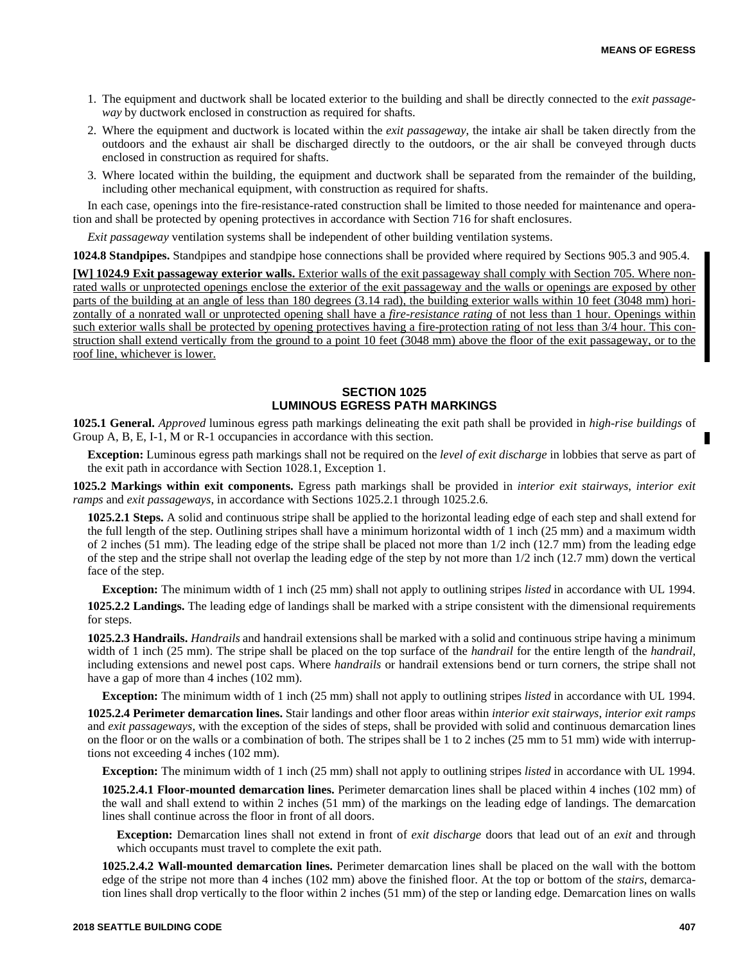- 1. The equipment and ductwork shall be located exterior to the building and shall be directly connected to the *exit passageway* by ductwork enclosed in construction as required for shafts.
- 2. Where the equipment and ductwork is located within the *exit passageway*, the intake air shall be taken directly from the outdoors and the exhaust air shall be discharged directly to the outdoors, or the air shall be conveyed through ducts enclosed in construction as required for shafts.
- 3. Where located within the building, the equipment and ductwork shall be separated from the remainder of the building, including other mechanical equipment, with construction as required for shafts.

In each case, openings into the fire-resistance-rated construction shall be limited to those needed for maintenance and operation and shall be protected by opening protectives in accordance with Section 716 for shaft enclosures.

*Exit passageway* ventilation systems shall be independent of other building ventilation systems.

**1024.8 Standpipes.** Standpipes and standpipe hose connections shall be provided where required by Sections 905.3 and 905.4.

**[W] 1024.9 Exit passageway exterior walls.** Exterior walls of the exit passageway shall comply with Section 705. Where nonrated walls or unprotected openings enclose the exterior of the exit passageway and the walls or openings are exposed by other parts of the building at an angle of less than 180 degrees (3.14 rad), the building exterior walls within 10 feet (3048 mm) horizontally of a nonrated wall or unprotected opening shall have a *fire-resistance rating* of not less than 1 hour. Openings within such exterior walls shall be protected by opening protectives having a fire-protection rating of not less than 3/4 hour. This construction shall extend vertically from the ground to a point 10 feet (3048 mm) above the floor of the exit passageway, or to the roof line, whichever is lower.

# **SECTION 1025 LUMINOUS EGRESS PATH MARKINGS**

**1025.1 General.** *Approved* luminous egress path markings delineating the exit path shall be provided in *high-rise buildings* of Group A, B, E, I-1, M or R-1 occupancies in accordance with this section.

**Exception:** Luminous egress path markings shall not be required on the *level of exit discharge* in lobbies that serve as part of the exit path in accordance with Section 1028.1, Exception 1.

**1025.2 Markings within exit components.** Egress path markings shall be provided in *interior exit stairways*, *interior exit ramps* and *exit passageways*, in accordance with Sections 1025.2.1 through 1025.2.6.

**1025.2.1 Steps.** A solid and continuous stripe shall be applied to the horizontal leading edge of each step and shall extend for the full length of the step. Outlining stripes shall have a minimum horizontal width of 1 inch (25 mm) and a maximum width of 2 inches (51 mm). The leading edge of the stripe shall be placed not more than 1/2 inch (12.7 mm) from the leading edge of the step and the stripe shall not overlap the leading edge of the step by not more than 1/2 inch (12.7 mm) down the vertical face of the step.

**Exception:** The minimum width of 1 inch (25 mm) shall not apply to outlining stripes *listed* in accordance with UL 1994. **1025.2.2 Landings.** The leading edge of landings shall be marked with a stripe consistent with the dimensional requirements for steps.

**1025.2.3 Handrails.** *Handrails* and handrail extensions shall be marked with a solid and continuous stripe having a minimum width of 1 inch (25 mm). The stripe shall be placed on the top surface of the *handrail* for the entire length of the *handrail*, including extensions and newel post caps. Where *handrails* or handrail extensions bend or turn corners, the stripe shall not have a gap of more than 4 inches (102 mm).

**Exception:** The minimum width of 1 inch (25 mm) shall not apply to outlining stripes *listed* in accordance with UL 1994.

**1025.2.4 Perimeter demarcation lines.** Stair landings and other floor areas within *interior exit stairways*, *interior exit ramps* and *exit passageways*, with the exception of the sides of steps, shall be provided with solid and continuous demarcation lines on the floor or on the walls or a combination of both. The stripes shall be 1 to 2 inches (25 mm to 51 mm) wide with interruptions not exceeding 4 inches (102 mm).

**Exception:** The minimum width of 1 inch (25 mm) shall not apply to outlining stripes *listed* in accordance with UL 1994.

**1025.2.4.1 Floor-mounted demarcation lines.** Perimeter demarcation lines shall be placed within 4 inches (102 mm) of the wall and shall extend to within 2 inches (51 mm) of the markings on the leading edge of landings. The demarcation lines shall continue across the floor in front of all doors.

**Exception:** Demarcation lines shall not extend in front of *exit discharge* doors that lead out of an *exit* and through which occupants must travel to complete the exit path.

**1025.2.4.2 Wall-mounted demarcation lines.** Perimeter demarcation lines shall be placed on the wall with the bottom edge of the stripe not more than 4 inches (102 mm) above the finished floor. At the top or bottom of the *stairs*, demarcation lines shall drop vertically to the floor within 2 inches (51 mm) of the step or landing edge. Demarcation lines on walls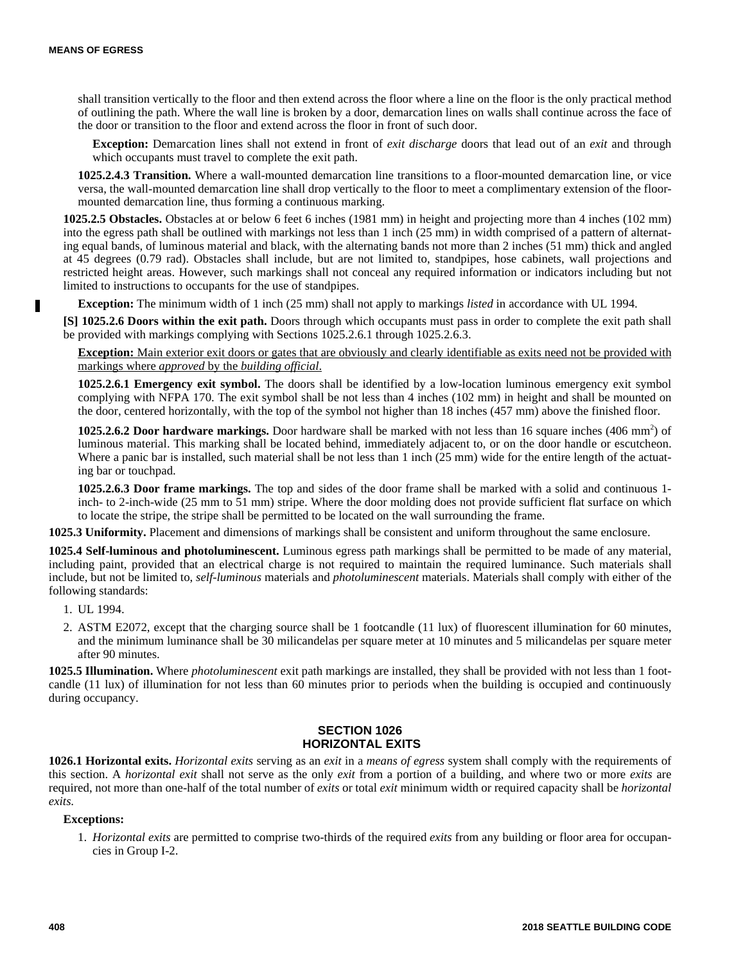ш

shall transition vertically to the floor and then extend across the floor where a line on the floor is the only practical method of outlining the path. Where the wall line is broken by a door, demarcation lines on walls shall continue across the face of the door or transition to the floor and extend across the floor in front of such door.

**Exception:** Demarcation lines shall not extend in front of *exit discharge* doors that lead out of an *exit* and through which occupants must travel to complete the exit path.

**1025.2.4.3 Transition.** Where a wall-mounted demarcation line transitions to a floor-mounted demarcation line, or vice versa, the wall-mounted demarcation line shall drop vertically to the floor to meet a complimentary extension of the floormounted demarcation line, thus forming a continuous marking.

**1025.2.5 Obstacles.** Obstacles at or below 6 feet 6 inches (1981 mm) in height and projecting more than 4 inches (102 mm) into the egress path shall be outlined with markings not less than 1 inch (25 mm) in width comprised of a pattern of alternating equal bands, of luminous material and black, with the alternating bands not more than 2 inches (51 mm) thick and angled at 45 degrees (0.79 rad). Obstacles shall include, but are not limited to, standpipes, hose cabinets, wall projections and restricted height areas. However, such markings shall not conceal any required information or indicators including but not limited to instructions to occupants for the use of standpipes.

**Exception:** The minimum width of 1 inch (25 mm) shall not apply to markings *listed* in accordance with UL 1994.

**[S] 1025.2.6 Doors within the exit path.** Doors through which occupants must pass in order to complete the exit path shall be provided with markings complying with Sections 1025.2.6.1 through 1025.2.6.3.

**Exception:** Main exterior exit doors or gates that are obviously and clearly identifiable as exits need not be provided with markings where *approved* by the *building official*.

**1025.2.6.1 Emergency exit symbol.** The doors shall be identified by a low-location luminous emergency exit symbol complying with NFPA 170. The exit symbol shall be not less than 4 inches (102 mm) in height and shall be mounted on the door, centered horizontally, with the top of the symbol not higher than 18 inches (457 mm) above the finished floor.

1025.2.6.2 Door hardware markings. Door hardware shall be marked with not less than 16 square inches (406 mm<sup>2</sup>) of luminous material. This marking shall be located behind, immediately adjacent to, or on the door handle or escutcheon. Where a panic bar is installed, such material shall be not less than 1 inch (25 mm) wide for the entire length of the actuating bar or touchpad.

**1025.2.6.3 Door frame markings.** The top and sides of the door frame shall be marked with a solid and continuous 1 inch- to 2-inch-wide (25 mm to 51 mm) stripe. Where the door molding does not provide sufficient flat surface on which to locate the stripe, the stripe shall be permitted to be located on the wall surrounding the frame.

**1025.3 Uniformity.** Placement and dimensions of markings shall be consistent and uniform throughout the same enclosure.

**1025.4 Self-luminous and photoluminescent.** Luminous egress path markings shall be permitted to be made of any material, including paint, provided that an electrical charge is not required to maintain the required luminance. Such materials shall include, but not be limited to, *self-luminous* materials and *photoluminescent* materials. Materials shall comply with either of the following standards:

- 1. UL 1994.
- 2. ASTM E2072, except that the charging source shall be 1 footcandle (11 lux) of fluorescent illumination for 60 minutes, and the minimum luminance shall be 30 milicandelas per square meter at 10 minutes and 5 milicandelas per square meter after 90 minutes.

**1025.5 Illumination.** Where *photoluminescent* exit path markings are installed, they shall be provided with not less than 1 footcandle (11 lux) of illumination for not less than 60 minutes prior to periods when the building is occupied and continuously during occupancy.

# **SECTION 1026 HORIZONTAL EXITS**

**1026.1 Horizontal exits.** *Horizontal exits* serving as an *exit* in a *means of egress* system shall comply with the requirements of this section. A *horizontal exit* shall not serve as the only *exit* from a portion of a building, and where two or more *exits* are required, not more than one-half of the total number of *exits* or total *exit* minimum width or required capacity shall be *horizontal exits*.

# **Exceptions:**

1. *Horizontal exits* are permitted to comprise two-thirds of the required *exits* from any building or floor area for occupancies in Group I-2.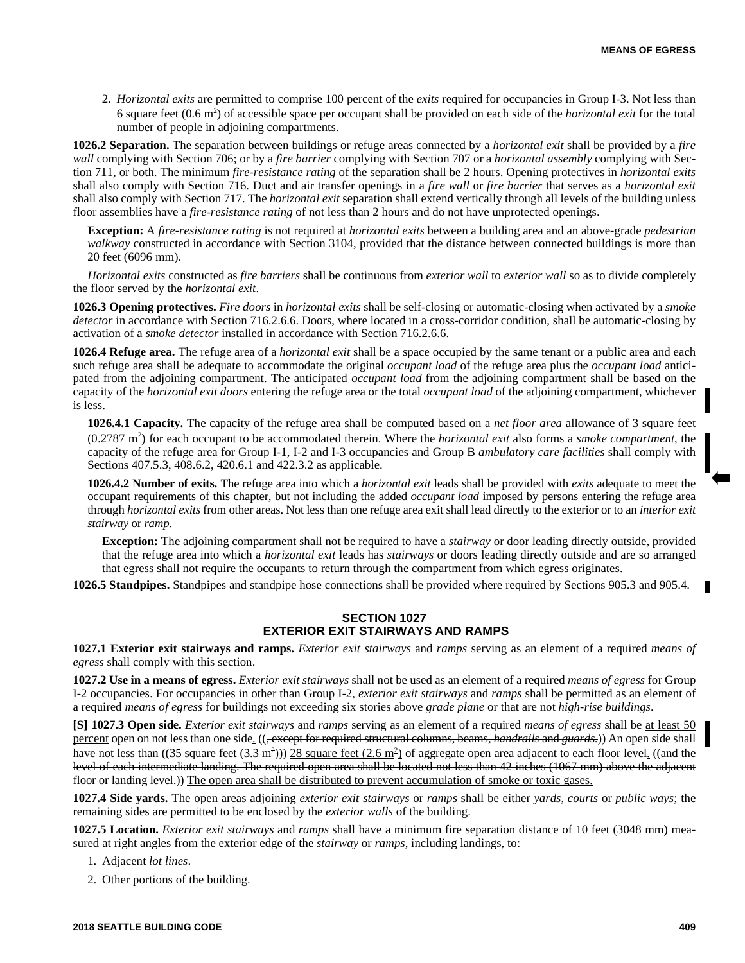2. *Horizontal exits* are permitted to comprise 100 percent of the *exits* required for occupancies in Group I-3. Not less than 6 square feet  $(0.6 \text{ m}^2)$  of accessible space per occupant shall be provided on each side of the *horizontal exit* for the total number of people in adjoining compartments.

**1026.2 Separation.** The separation between buildings or refuge areas connected by a *horizontal exit* shall be provided by a *fire wall* complying with Section 706; or by a *fire barrier* complying with Section 707 or a *horizontal assembly* complying with Section 711, or both. The minimum *fire-resistance rating* of the separation shall be 2 hours. Opening protectives in *horizontal exits* shall also comply with Section 716. Duct and air transfer openings in a *fire wall* or *fire barrier* that serves as a *horizontal exit* shall also comply with Section 717. The *horizontal exit* separation shall extend vertically through all levels of the building unless floor assemblies have a *fire-resistance rating* of not less than 2 hours and do not have unprotected openings.

**Exception:** A *fire-resistance rating* is not required at *horizontal exits* between a building area and an above-grade *pedestrian walkway* constructed in accordance with Section 3104, provided that the distance between connected buildings is more than 20 feet (6096 mm).

*Horizontal exits* constructed as *fire barriers* shall be continuous from *exterior wall* to *exterior wall* so as to divide completely the floor served by the *horizontal exit*.

**1026.3 Opening protectives.** *Fire doors* in *horizontal exits* shall be self-closing or automatic-closing when activated by a *smoke detector* in accordance with Section 716.2.6.6. Doors, where located in a cross-corridor condition, shall be automatic-closing by activation of a *smoke detector* installed in accordance with Section 716.2.6.6.

**1026.4 Refuge area.** The refuge area of a *horizontal exit* shall be a space occupied by the same tenant or a public area and each such refuge area shall be adequate to accommodate the original *occupant load* of the refuge area plus the *occupant load* anticipated from the adjoining compartment. The anticipated *occupant load* from the adjoining compartment shall be based on the capacity of the *horizontal exit doors* entering the refuge area or the total *occupant load* of the adjoining compartment, whichever is less.

**1026.4.1 Capacity.** The capacity of the refuge area shall be computed based on a *net floor area* allowance of 3 square feet (0.2787 m<sup>2</sup> ) for each occupant to be accommodated therein. Where the *horizontal exit* also forms a *smoke compartment*, the capacity of the refuge area for Group I-1, I-2 and I-3 occupancies and Group B *ambulatory care facilities* shall comply with Sections 407.5.3, 408.6.2, 420.6.1 and 422.3.2 as applicable.

**1026.4.2 Number of exits.** The refuge area into which a *horizontal exit* leads shall be provided with *exits* adequate to meet the occupant requirements of this chapter, but not including the added *occupant load* imposed by persons entering the refuge area through *horizontal exits* from other areas. Not less than one refuge area exit shall lead directly to the exterior or to an *interior exit stairway* or *ramp.*

**Exception:** The adjoining compartment shall not be required to have a *stairway* or door leading directly outside, provided that the refuge area into which a *horizontal exit* leads has *stairways* or doors leading directly outside and are so arranged that egress shall not require the occupants to return through the compartment from which egress originates.

**1026.5 Standpipes.** Standpipes and standpipe hose connections shall be provided where required by Sections 905.3 and 905.4.

# **SECTION 1027 EXTERIOR EXIT STAIRWAYS AND RAMPS**

**1027.1 Exterior exit stairways and ramps.** *Exterior exit stairways* and *ramps* serving as an element of a required *means of egress* shall comply with this section.

**1027.2 Use in a means of egress.** *Exterior exit stairways* shall not be used as an element of a required *means of egress* for Group I-2 occupancies. For occupancies in other than Group I-2, *exterior exit stairways* and *ramps* shall be permitted as an element of a required *means of egress* for buildings not exceeding six stories above *grade plane* or that are not *high-rise buildings*.

**[S] 1027.3 Open side.** *Exterior exit stairways* and *ramps* serving as an element of a required *means of egress* shall be at least 50 percent open on not less than one side. ((, except for required structural columns, beams, *handrails* and *guards*.)) An open side shall have not less than ((<del>35 square feet (3.3 m<sup>2</sup>)</del>)) 28 square feet (2.6 m<sup>2</sup>) of aggregate open area adjacent to each floor level. ((<del>and the</del> level of each intermediate landing. The required open area shall be located not less than 42 inches (1067 mm) above the adjacent floor or landing level.)) The open area shall be distributed to prevent accumulation of smoke or toxic gases.

**1027.4 Side yards.** The open areas adjoining *exterior exit stairways* or *ramps* shall be either *yards*, *courts* or *public ways*; the remaining sides are permitted to be enclosed by the *exterior walls* of the building.

**1027.5 Location.** *Exterior exit stairways* and *ramps* shall have a minimum fire separation distance of 10 feet (3048 mm) measured at right angles from the exterior edge of the *stairway* or *ramps*, including landings, to:

1. Adjacent *lot lines*.

2. Other portions of the building.

П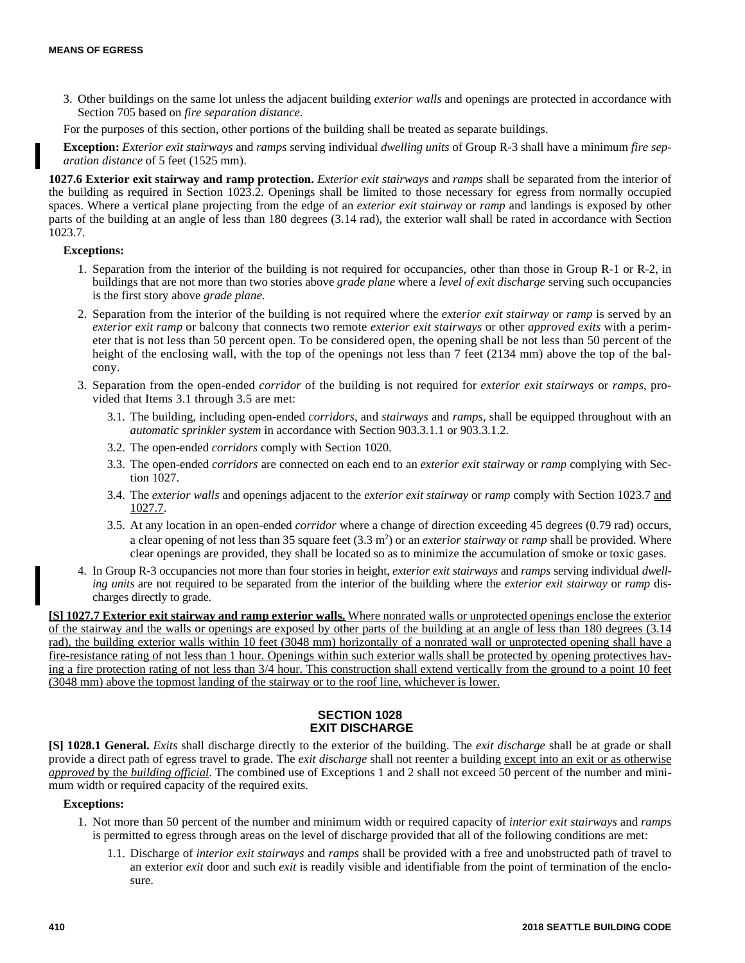3. Other buildings on the same lot unless the adjacent building *exterior walls* and openings are protected in accordance with Section 705 based on *fire separation distance.*

For the purposes of this section, other portions of the building shall be treated as separate buildings.

**Exception:** *Exterior exit stairways* and *ramps* serving individual *dwelling units* of Group R-3 shall have a minimum *fire separation distance* of 5 feet (1525 mm).

**1027.6 Exterior exit stairway and ramp protection.** *Exterior exit stairways* and *ramps* shall be separated from the interior of the building as required in Section 1023.2. Openings shall be limited to those necessary for egress from normally occupied spaces. Where a vertical plane projecting from the edge of an *exterior exit stairway* or *ramp* and landings is exposed by other parts of the building at an angle of less than 180 degrees (3.14 rad), the exterior wall shall be rated in accordance with Section 1023.7.

# **Exceptions:**

- 1. Separation from the interior of the building is not required for occupancies, other than those in Group R-1 or R-2, in buildings that are not more than two stories above *grade plane* where a *level of exit discharge* serving such occupancies is the first story above *grade plane*.
- 2. Separation from the interior of the building is not required where the *exterior exit stairway* or *ramp* is served by an *exterior exit ramp* or balcony that connects two remote *exterior exit stairways* or other *approved exits* with a perimeter that is not less than 50 percent open. To be considered open, the opening shall be not less than 50 percent of the height of the enclosing wall, with the top of the openings not less than 7 feet (2134 mm) above the top of the balcony.
- 3. Separation from the open-ended *corridor* of the building is not required for *exterior exit stairways* or *ramps*, provided that Items 3.1 through 3.5 are met:
	- 3.1. The building, including open-ended *corridors*, and *stairways* and *ramps*, shall be equipped throughout with an *automatic sprinkler system* in accordance with Section 903.3.1.1 or 903.3.1.2.
	- 3.2. The open-ended *corridors* comply with Section 1020.
	- 3.3. The open-ended *corridors* are connected on each end to an *exterior exit stairway* or *ramp* complying with Section 1027.
	- 3.4. The *exterior walls* and openings adjacent to the *exterior exit stairway* or *ramp* comply with Section 1023.7 and 1027.7.
	- 3.5. At any location in an open-ended *corridor* where a change of direction exceeding 45 degrees (0.79 rad) occurs, a clear opening of not less than 35 square feet (3.3 m<sup>2</sup>) or an *exterior stairway* or *ramp* shall be provided. Where clear openings are provided, they shall be located so as to minimize the accumulation of smoke or toxic gases.
- 4. In Group R-3 occupancies not more than four stories in height, *exterior exit stairways* and *ramps* serving individual *dwelling units* are not required to be separated from the interior of the building where the *exterior exit stairway* or *ramp* discharges directly to grade.

**[S] 1027.7 Exterior exit stairway and ramp exterior walls.** Where nonrated walls or unprotected openings enclose the exterior of the stairway and the walls or openings are exposed by other parts of the building at an angle of less than 180 degrees (3.14 rad), the building exterior walls within 10 feet (3048 mm) horizontally of a nonrated wall or unprotected opening shall have a fire-resistance rating of not less than 1 hour. Openings within such exterior walls shall be protected by opening protectives having a fire protection rating of not less than 3/4 hour. This construction shall extend vertically from the ground to a point 10 feet (3048 mm) above the topmost landing of the stairway or to the roof line, whichever is lower.

# **SECTION 1028 EXIT DISCHARGE**

**[S] 1028.1 General.** *Exits* shall discharge directly to the exterior of the building. The *exit discharge* shall be at grade or shall provide a direct path of egress travel to grade. The *exit discharge* shall not reenter a building except into an exit or as otherwise *approved* by the *building official*. The combined use of Exceptions 1 and 2 shall not exceed 50 percent of the number and minimum width or required capacity of the required exits.

# **Exceptions:**

- 1. Not more than 50 percent of the number and minimum width or required capacity of *interior exit stairways* and *ramps* is permitted to egress through areas on the level of discharge provided that all of the following conditions are met:
	- 1.1. Discharge of *interior exit stairways* and *ramps* shall be provided with a free and unobstructed path of travel to an exterior *exit* door and such *exit* is readily visible and identifiable from the point of termination of the enclosure.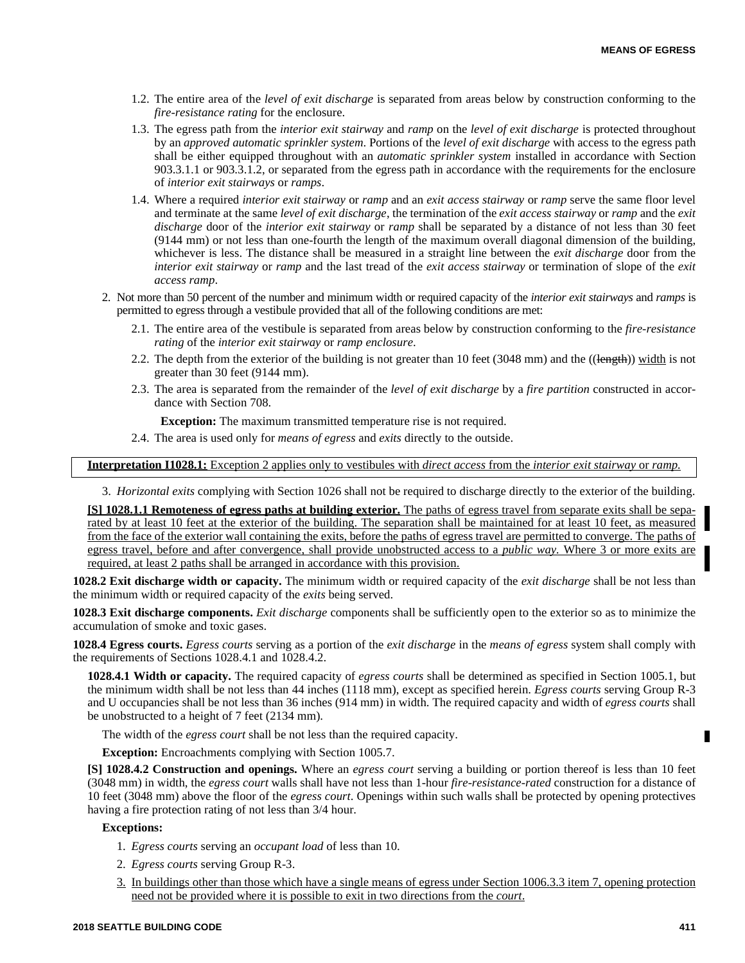- 1.2. The entire area of the *level of exit discharge* is separated from areas below by construction conforming to the *fire-resistance rating* for the enclosure.
- 1.3. The egress path from the *interior exit stairway* and *ramp* on the *level of exit discharge* is protected throughout by an *approved automatic sprinkler system*. Portions of the *level of exit discharge* with access to the egress path shall be either equipped throughout with an *automatic sprinkler system* installed in accordance with Section 903.3.1.1 or 903.3.1.2, or separated from the egress path in accordance with the requirements for the enclosure of *interior exit stairways* or *ramps*.
- 1.4. Where a required *interior exit stairway* or *ramp* and an *exit access stairway* or *ramp* serve the same floor level and terminate at the same *level of exit discharge*, the termination of the *exit access stairway* or *ramp* and the *exit discharge* door of the *interior exit stairway* or *ramp* shall be separated by a distance of not less than 30 feet (9144 mm) or not less than one-fourth the length of the maximum overall diagonal dimension of the building, whichever is less. The distance shall be measured in a straight line between the *exit discharge* door from the *interior exit stairway* or *ramp* and the last tread of the *exit access stairway* or termination of slope of the *exit access ramp*.
- 2. Not more than 50 percent of the number and minimum width or required capacity of the *interior exit stairways* and *ramps* is permitted to egress through a vestibule provided that all of the following conditions are met:
	- 2.1. The entire area of the vestibule is separated from areas below by construction conforming to the *fire-resistance rating* of the *interior exit stairway* or *ramp enclosure*.
	- 2.2. The depth from the exterior of the building is not greater than 10 feet (3048 mm) and the ((length)) width is not greater than 30 feet (9144 mm).
	- 2.3. The area is separated from the remainder of the *level of exit discharge* by a *fire partition* constructed in accordance with Section 708.

**Exception:** The maximum transmitted temperature rise is not required.

2.4. The area is used only for *means of egress* and *exits* directly to the outside.

**Interpretation I1028.1:** Exception 2 applies only to vestibules with *direct access* from the *interior exit stairway* or *ramp.*

3. *Horizontal exits* complying with Section 1026 shall not be required to discharge directly to the exterior of the building.

**[S] 1028.1.1 Remoteness of egress paths at building exterior.** The paths of egress travel from separate exits shall be separated by at least 10 feet at the exterior of the building. The separation shall be maintained for at least 10 feet, as measured from the face of the exterior wall containing the exits, before the paths of egress travel are permitted to converge. The paths of egress travel, before and after convergence, shall provide unobstructed access to a *public way.* Where 3 or more exits are required, at least 2 paths shall be arranged in accordance with this provision.

**1028.2 Exit discharge width or capacity.** The minimum width or required capacity of the *exit discharge* shall be not less than the minimum width or required capacity of the *exits* being served.

**1028.3 Exit discharge components.** *Exit discharge* components shall be sufficiently open to the exterior so as to minimize the accumulation of smoke and toxic gases.

**1028.4 Egress courts.** *Egress courts* serving as a portion of the *exit discharge* in the *means of egress* system shall comply with the requirements of Sections 1028.4.1 and 1028.4.2.

**1028.4.1 Width or capacity.** The required capacity of *egress courts* shall be determined as specified in Section 1005.1, but the minimum width shall be not less than 44 inches (1118 mm), except as specified herein. *Egress courts* serving Group R-3 and U occupancies shall be not less than 36 inches (914 mm) in width. The required capacity and width of *egress courts* shall be unobstructed to a height of 7 feet (2134 mm).

The width of the *egress court* shall be not less than the required capacity.

**Exception:** Encroachments complying with Section 1005.7.

**[S] 1028.4.2 Construction and openings.** Where an *egress court* serving a building or portion thereof is less than 10 feet (3048 mm) in width, the *egress court* walls shall have not less than 1-hour *fire-resistance-rated* construction for a distance of 10 feet (3048 mm) above the floor of the *egress court*. Openings within such walls shall be protected by opening protectives having a fire protection rating of not less than 3/4 hour.

#### **Exceptions:**

- 1. *Egress courts* serving an *occupant load* of less than 10.
- 2. *Egress courts* serving Group R-3.
- 3. In buildings other than those which have a single means of egress under Section 1006.3.3 item 7, opening protection need not be provided where it is possible to exit in two directions from the *court*.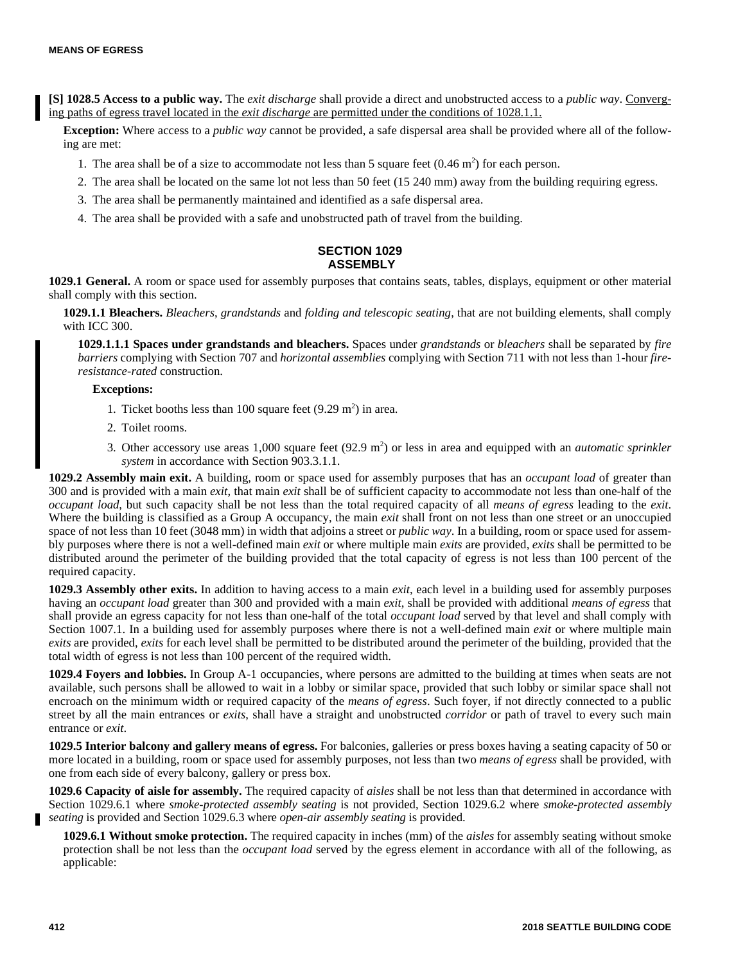**[S] 1028.5 Access to a public way.** The *exit discharge* shall provide a direct and unobstructed access to a *public way*. Converging paths of egress travel located in the *exit discharge* are permitted under the conditions of 1028.1.1.

**Exception:** Where access to a *public way* cannot be provided, a safe dispersal area shall be provided where all of the following are met:

- 1. The area shall be of a size to accommodate not less than 5 square feet  $(0.46 \text{ m}^2)$  for each person.
- 2. The area shall be located on the same lot not less than 50 feet (15 240 mm) away from the building requiring egress.
- 3. The area shall be permanently maintained and identified as a safe dispersal area.
- 4. The area shall be provided with a safe and unobstructed path of travel from the building.

# **SECTION 1029 ASSEMBLY**

**1029.1 General.** A room or space used for assembly purposes that contains seats, tables, displays, equipment or other material shall comply with this section.

**1029.1.1 Bleachers.** *Bleachers*, *grandstands* and *folding and telescopic seating*, that are not building elements, shall comply with ICC 300.

**1029.1.1.1 Spaces under grandstands and bleachers.** Spaces under *grandstands* or *bleachers* shall be separated by *fire barriers* complying with Section 707 and *horizontal assemblies* complying with Section 711 with not less than 1-hour *fireresistance-rated* construction.

## **Exceptions:**

- 1. Ticket booths less than 100 square feet  $(9.29 \text{ m}^2)$  in area.
- 2. Toilet rooms.
- 3. Other accessory use areas 1,000 square feet (92.9 m<sup>2</sup>) or less in area and equipped with an *automatic sprinkler system* in accordance with Section 903.3.1.1.

**1029.2 Assembly main exit.** A building, room or space used for assembly purposes that has an *occupant load* of greater than 300 and is provided with a main *exit*, that main *exit* shall be of sufficient capacity to accommodate not less than one-half of the *occupant load*, but such capacity shall be not less than the total required capacity of all *means of egress* leading to the *exit*. Where the building is classified as a Group A occupancy, the main *exit* shall front on not less than one street or an unoccupied space of not less than 10 feet (3048 mm) in width that adjoins a street or *public way*. In a building, room or space used for assembly purposes where there is not a well-defined main *exit* or where multiple main *exits* are provided, *exits* shall be permitted to be distributed around the perimeter of the building provided that the total capacity of egress is not less than 100 percent of the required capacity.

**1029.3 Assembly other exits.** In addition to having access to a main *exit*, each level in a building used for assembly purposes having an *occupant load* greater than 300 and provided with a main *exit*, shall be provided with additional *means of egress* that shall provide an egress capacity for not less than one-half of the total *occupant load* served by that level and shall comply with Section 1007.1. In a building used for assembly purposes where there is not a well-defined main *exit* or where multiple main *exits* are provided, *exits* for each level shall be permitted to be distributed around the perimeter of the building, provided that the total width of egress is not less than 100 percent of the required width.

**1029.4 Foyers and lobbies.** In Group A-1 occupancies, where persons are admitted to the building at times when seats are not available, such persons shall be allowed to wait in a lobby or similar space, provided that such lobby or similar space shall not encroach on the minimum width or required capacity of the *means of egress*. Such foyer, if not directly connected to a public street by all the main entrances or *exits*, shall have a straight and unobstructed *corridor* or path of travel to every such main entrance or *exit*.

**1029.5 Interior balcony and gallery means of egress.** For balconies, galleries or press boxes having a seating capacity of 50 or more located in a building, room or space used for assembly purposes, not less than two *means of egress* shall be provided, with one from each side of every balcony, gallery or press box.

**1029.6 Capacity of aisle for assembly.** The required capacity of *aisles* shall be not less than that determined in accordance with Section 1029.6.1 where *smoke-protected assembly seating* is not provided, Section 1029.6.2 where *smoke-protected assembly seating* is provided and Section 1029.6.3 where *open-air assembly seating* is provided.

**1029.6.1 Without smoke protection.** The required capacity in inches (mm) of the *aisles* for assembly seating without smoke protection shall be not less than the *occupant load* served by the egress element in accordance with all of the following, as applicable: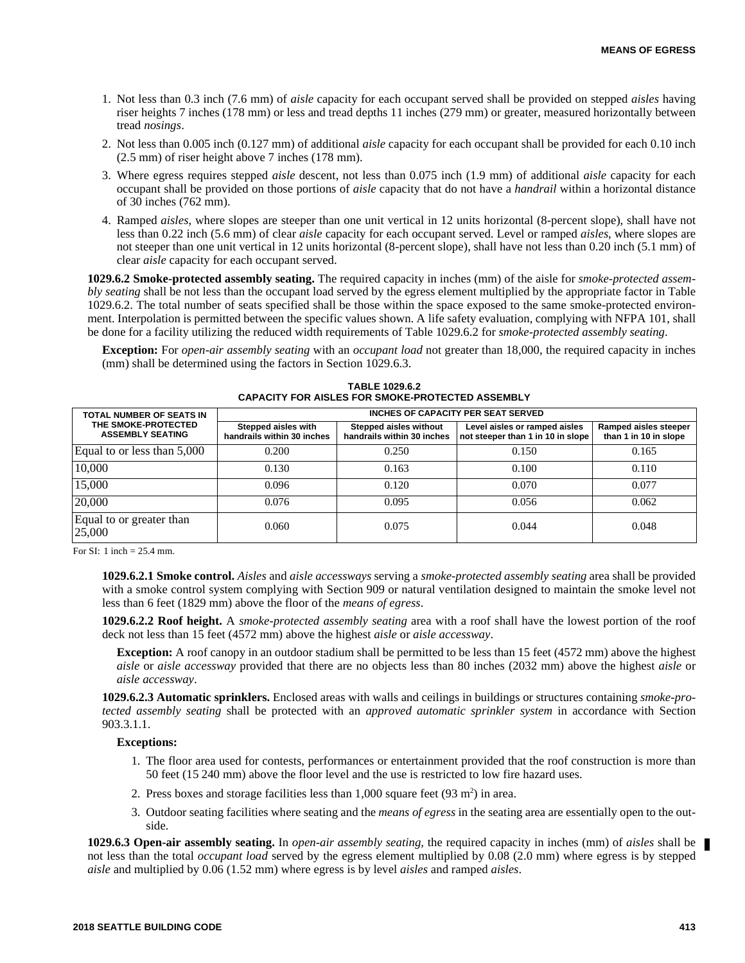- 1. Not less than 0.3 inch (7.6 mm) of *aisle* capacity for each occupant served shall be provided on stepped *aisles* having riser heights 7 inches (178 mm) or less and tread depths 11 inches (279 mm) or greater, measured horizontally between tread *nosings*.
- 2. Not less than 0.005 inch (0.127 mm) of additional *aisle* capacity for each occupant shall be provided for each 0.10 inch (2.5 mm) of riser height above 7 inches (178 mm).
- 3. Where egress requires stepped *aisle* descent, not less than 0.075 inch (1.9 mm) of additional *aisle* capacity for each occupant shall be provided on those portions of *aisle* capacity that do not have a *handrail* within a horizontal distance of 30 inches (762 mm).
- 4. Ramped *aisles*, where slopes are steeper than one unit vertical in 12 units horizontal (8-percent slope), shall have not less than 0.22 inch (5.6 mm) of clear *aisle* capacity for each occupant served. Level or ramped *aisles*, where slopes are not steeper than one unit vertical in 12 units horizontal (8-percent slope), shall have not less than 0.20 inch (5.1 mm) of clear *aisle* capacity for each occupant served.

**1029.6.2 Smoke-protected assembly seating.** The required capacity in inches (mm) of the aisle for *smoke-protected assembly seating* shall be not less than the occupant load served by the egress element multiplied by the appropriate factor in Table 1029.6.2. The total number of seats specified shall be those within the space exposed to the same smoke-protected environment. Interpolation is permitted between the specific values shown. A life safety evaluation, complying with NFPA 101, shall be done for a facility utilizing the reduced width requirements of Table 1029.6.2 for *smoke-protected assembly seating*.

**Exception:** For *open-air assembly seating* with an *occupant load* not greater than 18,000, the required capacity in inches (mm) shall be determined using the factors in Section 1029.6.3.

| TOTAL NUMBER OF SEATS IN                       | INCHES OF CAPACITY PER SEAT SERVED                |                                                      |                                                                    |                                                |  |
|------------------------------------------------|---------------------------------------------------|------------------------------------------------------|--------------------------------------------------------------------|------------------------------------------------|--|
| THE SMOKE-PROTECTED<br><b>ASSEMBLY SEATING</b> | Stepped aisles with<br>handrails within 30 inches | Stepped aisles without<br>handrails within 30 inches | Level aisles or ramped aisles<br>not steeper than 1 in 10 in slope | Ramped aisles steeper<br>than 1 in 10 in slope |  |
| Equal to or less than 5,000                    | 0.200                                             | 0.250                                                | 0.150                                                              | 0.165                                          |  |
| 10,000                                         | 0.130                                             | 0.163                                                | 0.100                                                              | 0.110                                          |  |
| 15,000                                         | 0.096                                             | 0.120                                                | 0.070                                                              | 0.077                                          |  |
| 20,000                                         | 0.076                                             | 0.095                                                | 0.056                                                              | 0.062                                          |  |
| Equal to or greater than<br>25,000             | 0.060                                             | 0.075                                                | 0.044                                                              | 0.048                                          |  |

| <b>TABLE 1029.6.2</b>                            |  |
|--------------------------------------------------|--|
| CAPACITY FOR AISLES FOR SMOKE-PROTECTED ASSEMBLY |  |

For SI: 1 inch  $= 25.4$  mm.

**1029.6.2.1 Smoke control.** *Aisles* and *aisle accessways* serving a *smoke-protected assembly seating* area shall be provided with a smoke control system complying with Section 909 or natural ventilation designed to maintain the smoke level not less than 6 feet (1829 mm) above the floor of the *means of egress*.

**1029.6.2.2 Roof height.** A *smoke-protected assembly seating* area with a roof shall have the lowest portion of the roof deck not less than 15 feet (4572 mm) above the highest *aisle* or *aisle accessway*.

**Exception:** A roof canopy in an outdoor stadium shall be permitted to be less than 15 feet (4572 mm) above the highest *aisle* or *aisle accessway* provided that there are no objects less than 80 inches (2032 mm) above the highest *aisle* or *aisle accessway*.

**1029.6.2.3 Automatic sprinklers.** Enclosed areas with walls and ceilings in buildings or structures containing *smoke-protected assembly seating* shall be protected with an *approved automatic sprinkler system* in accordance with Section 903.3.1.1.

#### **Exceptions:**

- 1. The floor area used for contests, performances or entertainment provided that the roof construction is more than 50 feet (15 240 mm) above the floor level and the use is restricted to low fire hazard uses.
- 2. Press boxes and storage facilities less than  $1,000$  square feet  $(93 \text{ m}^2)$  in area.
- 3. Outdoor seating facilities where seating and the *means of egress* in the seating area are essentially open to the outside.

**1029.6.3 Open-air assembly seating.** In *open-air assembly seating,* the required capacity in inches (mm) of *aisles* shall be not less than the total *occupant load* served by the egress element multiplied by 0.08 (2.0 mm) where egress is by stepped *aisle* and multiplied by 0.06 (1.52 mm) where egress is by level *aisles* and ramped *aisles*.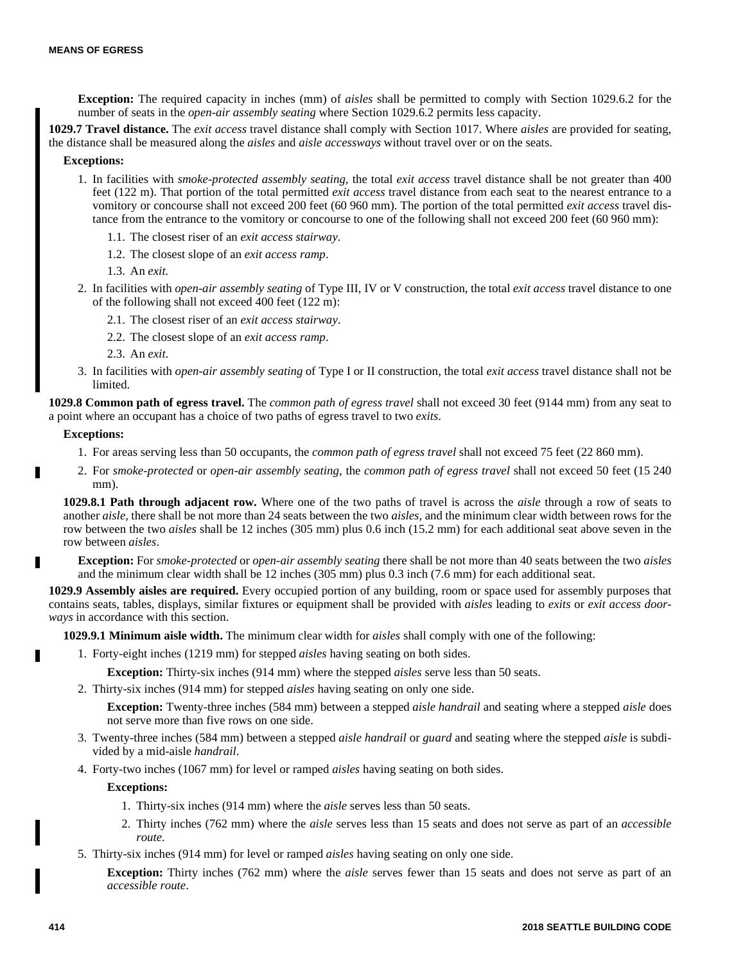**Exception:** The required capacity in inches (mm) of *aisles* shall be permitted to comply with Section 1029.6.2 for the number of seats in the *open-air assembly seating* where Section 1029.6.2 permits less capacity.

**1029.7 Travel distance.** The *exit access* travel distance shall comply with Section 1017. Where *aisles* are provided for seating, the distance shall be measured along the *aisles* and *aisle accessways* without travel over or on the seats.

# **Exceptions:**

- 1. In facilities with *smoke-protected assembly seating,* the total *exit access* travel distance shall be not greater than 400 feet (122 m). That portion of the total permitted *exit access* travel distance from each seat to the nearest entrance to a vomitory or concourse shall not exceed 200 feet (60 960 mm). The portion of the total permitted *exit access* travel distance from the entrance to the vomitory or concourse to one of the following shall not exceed 200 feet (60 960 mm):
	- 1.1. The closest riser of an *exit access stairway*.
	- 1.2. The closest slope of an *exit access ramp*.
	- 1.3. An *exit.*
- 2. In facilities with *open-air assembly seating* of Type III, IV or V construction, the total *exit access* travel distance to one of the following shall not exceed 400 feet (122 m):
	- 2.1. The closest riser of an *exit access stairway*.
	- 2.2. The closest slope of an *exit access ramp*.
	- 2.3. An *exit*.
- 3. In facilities with *open-air assembly seating* of Type I or II construction, the total *exit access* travel distance shall not be limited.

**1029.8 Common path of egress travel.** The *common path of egress travel* shall not exceed 30 feet (9144 mm) from any seat to a point where an occupant has a choice of two paths of egress travel to two *exits*.

## **Exceptions:**

п

- 1. For areas serving less than 50 occupants, the *common path of egress travel* shall not exceed 75 feet (22 860 mm).
- 2. For *smoke-protected* or *open-air assembly seating*, the *common path of egress travel* shall not exceed 50 feet (15 240 mm).

**1029.8.1 Path through adjacent row.** Where one of the two paths of travel is across the *aisle* through a row of seats to another *aisle*, there shall be not more than 24 seats between the two *aisles*, and the minimum clear width between rows for the row between the two *aisles* shall be 12 inches (305 mm) plus 0.6 inch (15.2 mm) for each additional seat above seven in the row between *aisles*.

**Exception:** For *smoke-protected* or *open-air assembly seating* there shall be not more than 40 seats between the two *aisles* and the minimum clear width shall be 12 inches (305 mm) plus 0.3 inch (7.6 mm) for each additional seat.

**1029.9 Assembly aisles are required.** Every occupied portion of any building, room or space used for assembly purposes that contains seats, tables, displays, similar fixtures or equipment shall be provided with *aisles* leading to *exits* or *exit access doorways* in accordance with this section.

**1029.9.1 Minimum aisle width.** The minimum clear width for *aisles* shall comply with one of the following:

1. Forty-eight inches (1219 mm) for stepped *aisles* having seating on both sides.

**Exception:** Thirty-six inches (914 mm) where the stepped *aisles* serve less than 50 seats.

2. Thirty-six inches (914 mm) for stepped *aisles* having seating on only one side.

**Exception:** Twenty-three inches (584 mm) between a stepped *aisle handrail* and seating where a stepped *aisle* does not serve more than five rows on one side.

- 3. Twenty-three inches (584 mm) between a stepped *aisle handrail* or *guard* and seating where the stepped *aisle* is subdivided by a mid-aisle *handrail*.
- 4. Forty-two inches (1067 mm) for level or ramped *aisles* having seating on both sides.

# **Exceptions:**

- 1. Thirty-six inches (914 mm) where the *aisle* serves less than 50 seats.
- 2. Thirty inches (762 mm) where the *aisle* serves less than 15 seats and does not serve as part of an *accessible route.*
- 5. Thirty-six inches (914 mm) for level or ramped *aisles* having seating on only one side.

**Exception:** Thirty inches (762 mm) where the *aisle* serves fewer than 15 seats and does not serve as part of an *accessible route*.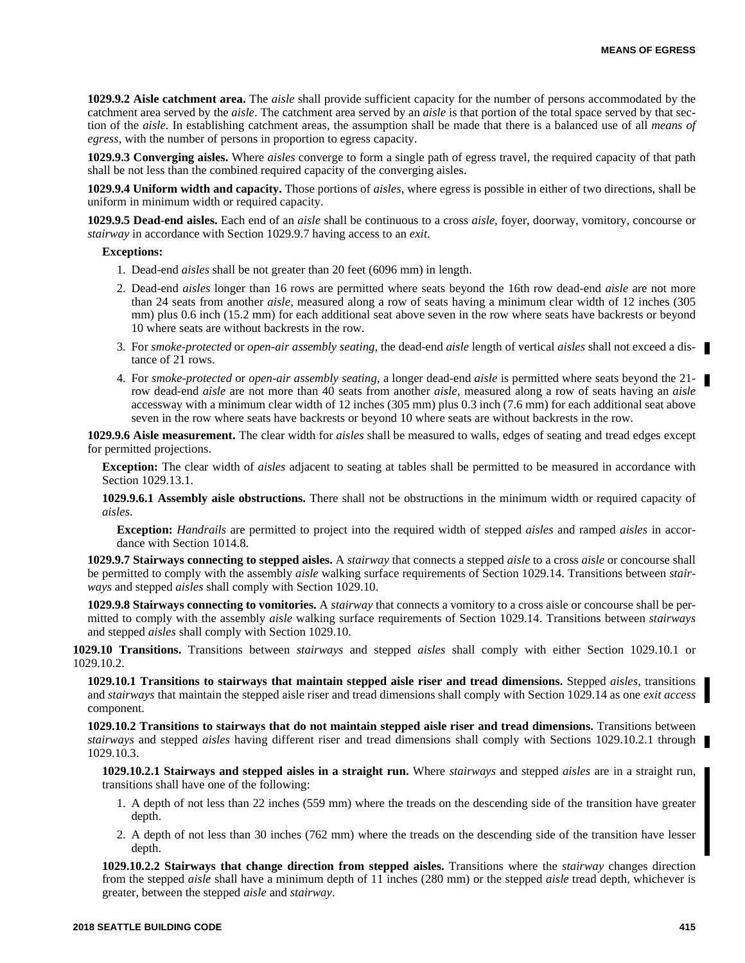**1029.9.2 Aisle catchment area.** The *aisle* shall provide sufficient capacity for the number of persons accommodated by the catchment area served by the *aisle*. The catchment area served by an *aisle* is that portion of the total space served by that section of the *aisle*. In establishing catchment areas, the assumption shall be made that there is a balanced use of all *means of egress*, with the number of persons in proportion to egress capacity.

**1029.9.3 Converging aisles.** Where *aisles* converge to form a single path of egress travel, the required capacity of that path shall be not less than the combined required capacity of the converging aisles.

**1029.9.4 Uniform width and capacity.** Those portions of *aisles*, where egress is possible in either of two directions, shall be uniform in minimum width or required capacity.

**1029.9.5 Dead-end aisles.** Each end of an *aisle* shall be continuous to a cross *aisle*, foyer, doorway, vomitory, concourse or *stairway* in accordance with Section 1029.9.7 having access to an *exit*.

# **Exceptions:**

- 1. Dead-end *aisles* shall be not greater than 20 feet (6096 mm) in length.
- 2. Dead-end *aisles* longer than 16 rows are permitted where seats beyond the 16th row dead-end *aisle* are not more than 24 seats from another *aisle*, measured along a row of seats having a minimum clear width of 12 inches (305 mm) plus 0.6 inch (15.2 mm) for each additional seat above seven in the row where seats have backrests or beyond 10 where seats are without backrests in the row.
- 3. For *smoke-protected* or *open-air assembly seating*, the dead-end *aisle* length of vertical *aisles* shall not exceed a distance of 21 rows.
- 4. For *smoke-protected* or *open-air assembly seating*, a longer dead-end *aisle* is permitted where seats beyond the 21 row dead-end *aisle* are not more than 40 seats from another *aisle*, measured along a row of seats having an *aisle* accessway with a minimum clear width of 12 inches (305 mm) plus 0.3 inch (7.6 mm) for each additional seat above seven in the row where seats have backrests or beyond 10 where seats are without backrests in the row.

**1029.9.6 Aisle measurement.** The clear width for *aisles* shall be measured to walls, edges of seating and tread edges except for permitted projections.

**Exception:** The clear width of *aisles* adjacent to seating at tables shall be permitted to be measured in accordance with Section 1029.13.1.

**1029.9.6.1 Assembly aisle obstructions.** There shall not be obstructions in the minimum width or required capacity of *aisles*.

**Exception:** *Handrails* are permitted to project into the required width of stepped *aisles* and ramped *aisles* in accordance with Section 1014.8.

**1029.9.7 Stairways connecting to stepped aisles.** A *stairway* that connects a stepped *aisle* to a cross *aisle* or concourse shall be permitted to comply with the assembly *aisle* walking surface requirements of Section 1029.14. Transitions between *stairways* and stepped *aisles* shall comply with Section 1029.10.

**1029.9.8 Stairways connecting to vomitories.** A *stairway* that connects a vomitory to a cross aisle or concourse shall be permitted to comply with the assembly *aisle* walking surface requirements of Section 1029.14. Transitions between *stairways* and stepped *aisles* shall comply with Section 1029.10.

**1029.10 Transitions.** Transitions between *stairways* and stepped *aisles* shall comply with either Section 1029.10.1 or 1029.10.2.

**1029.10.1 Transitions to stairways that maintain stepped aisle riser and tread dimensions.** Stepped *aisles*, transitions and *stairways* that maintain the stepped aisle riser and tread dimensions shall comply with Section 1029.14 as one *exit access* component.

**1029.10.2 Transitions to stairways that do not maintain stepped aisle riser and tread dimensions.** Transitions between *stairways* and stepped *aisles* having different riser and tread dimensions shall comply with Sections 1029.10.2.1 through 1029.10.3.

**1029.10.2.1 Stairways and stepped aisles in a straight run.** Where *stairways* and stepped *aisles* are in a straight run, transitions shall have one of the following:

- 1. A depth of not less than 22 inches (559 mm) where the treads on the descending side of the transition have greater depth.
- 2. A depth of not less than 30 inches (762 mm) where the treads on the descending side of the transition have lesser depth.

**1029.10.2.2 Stairways that change direction from stepped aisles.** Transitions where the *stairway* changes direction from the stepped *aisle* shall have a minimum depth of 11 inches (280 mm) or the stepped *aisle* tread depth, whichever is greater, between the stepped *aisle* and *stairway*.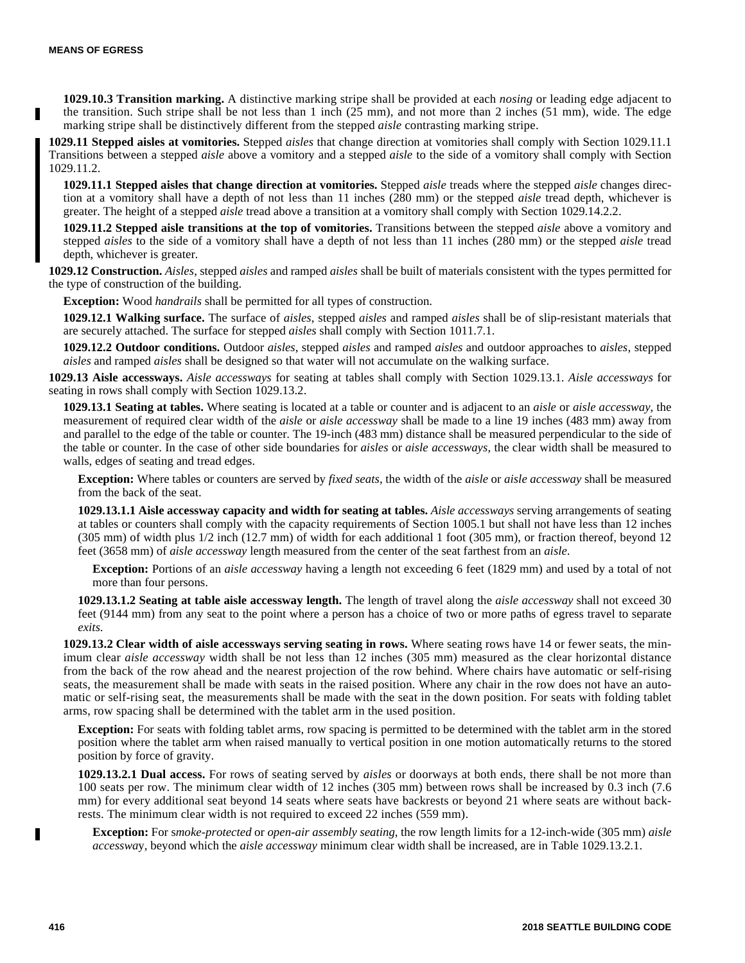**1029.10.3 Transition marking.** A distinctive marking stripe shall be provided at each *nosing* or leading edge adjacent to the transition. Such stripe shall be not less than 1 inch (25 mm), and not more than 2 inches (51 mm), wide. The edge marking stripe shall be distinctively different from the stepped *aisle* contrasting marking stripe.

**1029.11 Stepped aisles at vomitories.** Stepped *aisles* that change direction at vomitories shall comply with Section 1029.11.1 Transitions between a stepped *aisle* above a vomitory and a stepped *aisle* to the side of a vomitory shall comply with Section 1029.11.2.

**1029.11.1 Stepped aisles that change direction at vomitories.** Stepped *aisle* treads where the stepped *aisle* changes direction at a vomitory shall have a depth of not less than 11 inches (280 mm) or the stepped *aisle* tread depth, whichever is greater. The height of a stepped *aisle* tread above a transition at a vomitory shall comply with Section 1029.14.2.2.

**1029.11.2 Stepped aisle transitions at the top of vomitories.** Transitions between the stepped *aisle* above a vomitory and stepped *aisles* to the side of a vomitory shall have a depth of not less than 11 inches (280 mm) or the stepped *aisle* tread depth, whichever is greater.

**1029.12 Construction.** *Aisles*, stepped *aisles* and ramped *aisles* shall be built of materials consistent with the types permitted for the type of construction of the building.

**Exception:** Wood *handrails* shall be permitted for all types of construction.

**1029.12.1 Walking surface.** The surface of *aisles*, stepped *aisles* and ramped *aisles* shall be of slip-resistant materials that are securely attached. The surface for stepped *aisles* shall comply with Section 1011.7.1.

**1029.12.2 Outdoor conditions.** Outdoor *aisles*, stepped *aisles* and ramped *aisles* and outdoor approaches to *aisles*, stepped *aisles* and ramped *aisles* shall be designed so that water will not accumulate on the walking surface.

**1029.13 Aisle accessways.** *Aisle accessways* for seating at tables shall comply with Section 1029.13.1. *Aisle accessways* for seating in rows shall comply with Section 1029.13.2.

**1029.13.1 Seating at tables.** Where seating is located at a table or counter and is adjacent to an *aisle* or *aisle accessway*, the measurement of required clear width of the *aisle* or *aisle accessway* shall be made to a line 19 inches (483 mm) away from and parallel to the edge of the table or counter. The 19-inch (483 mm) distance shall be measured perpendicular to the side of the table or counter. In the case of other side boundaries for *aisles* or *aisle accessways*, the clear width shall be measured to walls, edges of seating and tread edges.

**Exception:** Where tables or counters are served by *fixed seats*, the width of the *aisle* or *aisle accessway* shall be measured from the back of the seat.

**1029.13.1.1 Aisle accessway capacity and width for seating at tables.** *Aisle accessways* serving arrangements of seating at tables or counters shall comply with the capacity requirements of Section 1005.1 but shall not have less than 12 inches (305 mm) of width plus 1/2 inch (12.7 mm) of width for each additional 1 foot (305 mm), or fraction thereof, beyond 12 feet (3658 mm) of *aisle accessway* length measured from the center of the seat farthest from an *aisle*.

**Exception:** Portions of an *aisle accessway* having a length not exceeding 6 feet (1829 mm) and used by a total of not more than four persons.

**1029.13.1.2 Seating at table aisle accessway length.** The length of travel along the *aisle accessway* shall not exceed 30 feet (9144 mm) from any seat to the point where a person has a choice of two or more paths of egress travel to separate *exits*.

**1029.13.2 Clear width of aisle accessways serving seating in rows.** Where seating rows have 14 or fewer seats, the minimum clear *aisle accessway* width shall be not less than 12 inches (305 mm) measured as the clear horizontal distance from the back of the row ahead and the nearest projection of the row behind. Where chairs have automatic or self-rising seats, the measurement shall be made with seats in the raised position. Where any chair in the row does not have an automatic or self-rising seat, the measurements shall be made with the seat in the down position. For seats with folding tablet arms, row spacing shall be determined with the tablet arm in the used position.

**Exception:** For seats with folding tablet arms, row spacing is permitted to be determined with the tablet arm in the stored position where the tablet arm when raised manually to vertical position in one motion automatically returns to the stored position by force of gravity.

**1029.13.2.1 Dual access.** For rows of seating served by *aisles* or doorways at both ends, there shall be not more than 100 seats per row. The minimum clear width of 12 inches (305 mm) between rows shall be increased by 0.3 inch (7.6 mm) for every additional seat beyond 14 seats where seats have backrests or beyond 21 where seats are without backrests. The minimum clear width is not required to exceed 22 inches (559 mm).

**Exception:** For s*moke-protected* or *open-air assembly seating*, the row length limits for a 12-inch-wide (305 mm) *aisle accesswa*y, beyond which the *aisle accessway* minimum clear width shall be increased, are in Table 1029.13.2.1.

п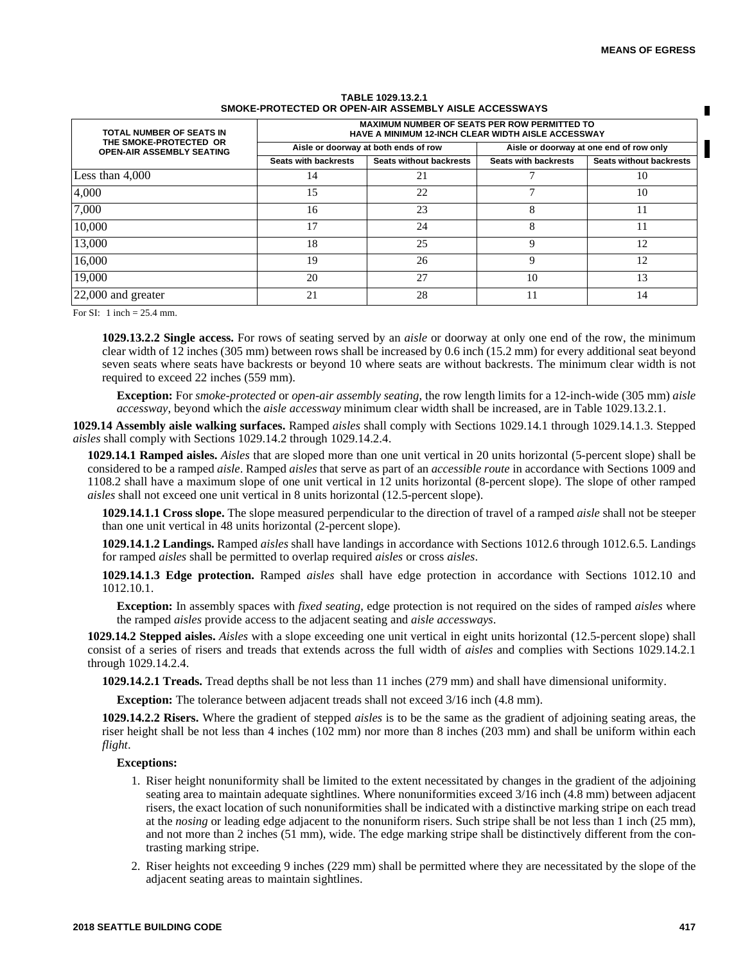| TOTAL NUMBER OF SEATS IN<br>THE SMOKE-PROTECTED OR<br><b>OPEN-AIR ASSEMBLY SEATING</b> | <b>MAXIMUM NUMBER OF SEATS PER ROW PERMITTED TO</b><br><b>HAVE A MINIMUM 12-INCH CLEAR WIDTH AISLE ACCESSWAY</b> |                                |                                         |                                |
|----------------------------------------------------------------------------------------|------------------------------------------------------------------------------------------------------------------|--------------------------------|-----------------------------------------|--------------------------------|
|                                                                                        | Aisle or doorway at both ends of row                                                                             |                                | Aisle or doorway at one end of row only |                                |
|                                                                                        | <b>Seats with backrests</b>                                                                                      | <b>Seats without backrests</b> | <b>Seats with backrests</b>             | <b>Seats without backrests</b> |
| Less than $4,000$                                                                      | 14                                                                                                               | 21                             |                                         | 10                             |
| 4,000                                                                                  | 15                                                                                                               | 22                             |                                         | 10                             |
| 7,000                                                                                  | 16                                                                                                               | 23                             |                                         |                                |
| 10,000                                                                                 | 17                                                                                                               | 24                             |                                         | 11                             |
| 13,000                                                                                 | 18                                                                                                               | 25                             | Q                                       | 12                             |
| 16,000                                                                                 | 19                                                                                                               | 26                             | Q                                       | 12                             |
| 19,000                                                                                 | 20                                                                                                               | 27                             | 10                                      | 13                             |
| 22,000 and greater                                                                     | 21                                                                                                               | 28                             |                                         | 14                             |

#### **TABLE 1029.13.2.1 SMOKE-PROTECTED OR OPEN-AIR ASSEMBLY AISLE ACCESSWAYS**

For  $SI: 1$  inch = 25.4 mm.

**1029.13.2.2 Single access.** For rows of seating served by an *aisle* or doorway at only one end of the row, the minimum clear width of 12 inches (305 mm) between rows shall be increased by 0.6 inch (15.2 mm) for every additional seat beyond seven seats where seats have backrests or beyond 10 where seats are without backrests. The minimum clear width is not required to exceed 22 inches (559 mm).

**Exception:** For *smoke-protected* or *open-air assembly seating*, the row length limits for a 12-inch-wide (305 mm) *aisle accessway*, beyond which the *aisle accessway* minimum clear width shall be increased, are in Table 1029.13.2.1.

**1029.14 Assembly aisle walking surfaces.** Ramped *aisles* shall comply with Sections 1029.14.1 through 1029.14.1.3. Stepped *aisles* shall comply with Sections 1029.14.2 through 1029.14.2.4.

**1029.14.1 Ramped aisles.** *Aisles* that are sloped more than one unit vertical in 20 units horizontal (5-percent slope) shall be considered to be a ramped *aisle*. Ramped *aisles* that serve as part of an *accessible route* in accordance with Sections 1009 and 1108.2 shall have a maximum slope of one unit vertical in 12 units horizontal (8-percent slope). The slope of other ramped *aisles* shall not exceed one unit vertical in 8 units horizontal (12.5-percent slope).

**1029.14.1.1 Cross slope.** The slope measured perpendicular to the direction of travel of a ramped *aisle* shall not be steeper than one unit vertical in 48 units horizontal (2-percent slope).

**1029.14.1.2 Landings.** Ramped *aisles* shall have landings in accordance with Sections 1012.6 through 1012.6.5. Landings for ramped *aisles* shall be permitted to overlap required *aisles* or cross *aisles*.

**1029.14.1.3 Edge protection.** Ramped *aisles* shall have edge protection in accordance with Sections 1012.10 and 1012.10.1.

**Exception:** In assembly spaces with *fixed seating*, edge protection is not required on the sides of ramped *aisles* where the ramped *aisles* provide access to the adjacent seating and *aisle accessways*.

**1029.14.2 Stepped aisles.** *Aisles* with a slope exceeding one unit vertical in eight units horizontal (12.5-percent slope) shall consist of a series of risers and treads that extends across the full width of *aisles* and complies with Sections 1029.14.2.1 through 1029.14.2.4.

**1029.14.2.1 Treads.** Tread depths shall be not less than 11 inches (279 mm) and shall have dimensional uniformity.

**Exception:** The tolerance between adjacent treads shall not exceed  $3/16$  inch (4.8 mm).

**1029.14.2.2 Risers.** Where the gradient of stepped *aisles* is to be the same as the gradient of adjoining seating areas, the riser height shall be not less than 4 inches (102 mm) nor more than 8 inches (203 mm) and shall be uniform within each *flight*.

# **Exceptions:**

- 1. Riser height nonuniformity shall be limited to the extent necessitated by changes in the gradient of the adjoining seating area to maintain adequate sightlines. Where nonuniformities exceed 3/16 inch (4.8 mm) between adjacent risers, the exact location of such nonuniformities shall be indicated with a distinctive marking stripe on each tread at the *nosing* or leading edge adjacent to the nonuniform risers. Such stripe shall be not less than 1 inch (25 mm), and not more than 2 inches (51 mm), wide. The edge marking stripe shall be distinctively different from the contrasting marking stripe.
- 2. Riser heights not exceeding 9 inches (229 mm) shall be permitted where they are necessitated by the slope of the adjacent seating areas to maintain sightlines.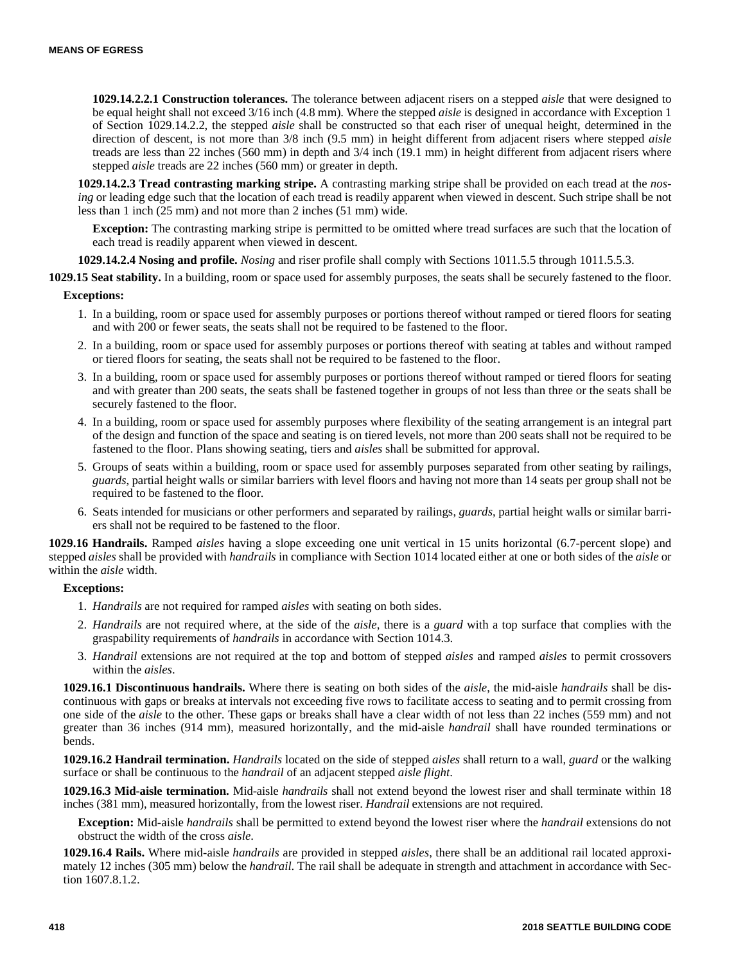**1029.14.2.2.1 Construction tolerances.** The tolerance between adjacent risers on a stepped *aisle* that were designed to be equal height shall not exceed 3/16 inch (4.8 mm). Where the stepped *aisle* is designed in accordance with Exception 1 of Section 1029.14.2.2, the stepped *aisle* shall be constructed so that each riser of unequal height, determined in the direction of descent, is not more than 3/8 inch (9.5 mm) in height different from adjacent risers where stepped *aisle* treads are less than 22 inches (560 mm) in depth and 3/4 inch (19.1 mm) in height different from adjacent risers where stepped *aisle* treads are 22 inches (560 mm) or greater in depth.

**1029.14.2.3 Tread contrasting marking stripe.** A contrasting marking stripe shall be provided on each tread at the *nosing* or leading edge such that the location of each tread is readily apparent when viewed in descent. Such stripe shall be not less than 1 inch (25 mm) and not more than 2 inches (51 mm) wide.

**Exception:** The contrasting marking stripe is permitted to be omitted where tread surfaces are such that the location of each tread is readily apparent when viewed in descent.

**1029.14.2.4 Nosing and profile.** *Nosing* and riser profile shall comply with Sections 1011.5.5 through 1011.5.5.3.

**1029.15 Seat stability.** In a building, room or space used for assembly purposes, the seats shall be securely fastened to the floor.

# **Exceptions:**

- 1. In a building, room or space used for assembly purposes or portions thereof without ramped or tiered floors for seating and with 200 or fewer seats, the seats shall not be required to be fastened to the floor.
- 2. In a building, room or space used for assembly purposes or portions thereof with seating at tables and without ramped or tiered floors for seating, the seats shall not be required to be fastened to the floor.
- 3. In a building, room or space used for assembly purposes or portions thereof without ramped or tiered floors for seating and with greater than 200 seats, the seats shall be fastened together in groups of not less than three or the seats shall be securely fastened to the floor.
- 4. In a building, room or space used for assembly purposes where flexibility of the seating arrangement is an integral part of the design and function of the space and seating is on tiered levels, not more than 200 seats shall not be required to be fastened to the floor. Plans showing seating, tiers and *aisles* shall be submitted for approval.
- 5. Groups of seats within a building, room or space used for assembly purposes separated from other seating by railings, *guards*, partial height walls or similar barriers with level floors and having not more than 14 seats per group shall not be required to be fastened to the floor.
- 6. Seats intended for musicians or other performers and separated by railings, *guards*, partial height walls or similar barriers shall not be required to be fastened to the floor.

**1029.16 Handrails.** Ramped *aisles* having a slope exceeding one unit vertical in 15 units horizontal (6.7-percent slope) and stepped *aisles* shall be provided with *handrails* in compliance with Section 1014 located either at one or both sides of the *aisle* or within the *aisle* width.

# **Exceptions:**

- 1. *Handrails* are not required for ramped *aisles* with seating on both sides.
- 2. *Handrails* are not required where, at the side of the *aisle*, there is a *guard* with a top surface that complies with the graspability requirements of *handrails* in accordance with Section 1014.3.
- 3. *Handrail* extensions are not required at the top and bottom of stepped *aisles* and ramped *aisles* to permit crossovers within the *aisles*.

**1029.16.1 Discontinuous handrails.** Where there is seating on both sides of the *aisle*, the mid-aisle *handrails* shall be discontinuous with gaps or breaks at intervals not exceeding five rows to facilitate access to seating and to permit crossing from one side of the *aisle* to the other. These gaps or breaks shall have a clear width of not less than 22 inches (559 mm) and not greater than 36 inches (914 mm), measured horizontally, and the mid-aisle *handrail* shall have rounded terminations or bends.

**1029.16.2 Handrail termination.** *Handrails* located on the side of stepped *aisles* shall return to a wall, *guard* or the walking surface or shall be continuous to the *handrail* of an adjacent stepped *aisle flight*.

**1029.16.3 Mid-aisle termination.** Mid-aisle *handrails* shall not extend beyond the lowest riser and shall terminate within 18 inches (381 mm), measured horizontally, from the lowest riser. *Handrail* extensions are not required.

**Exception:** Mid-aisle *handrails* shall be permitted to extend beyond the lowest riser where the *handrail* extensions do not obstruct the width of the cross *aisle*.

**1029.16.4 Rails.** Where mid-aisle *handrails* are provided in stepped *aisles*, there shall be an additional rail located approximately 12 inches (305 mm) below the *handrail*. The rail shall be adequate in strength and attachment in accordance with Section 1607.8.1.2.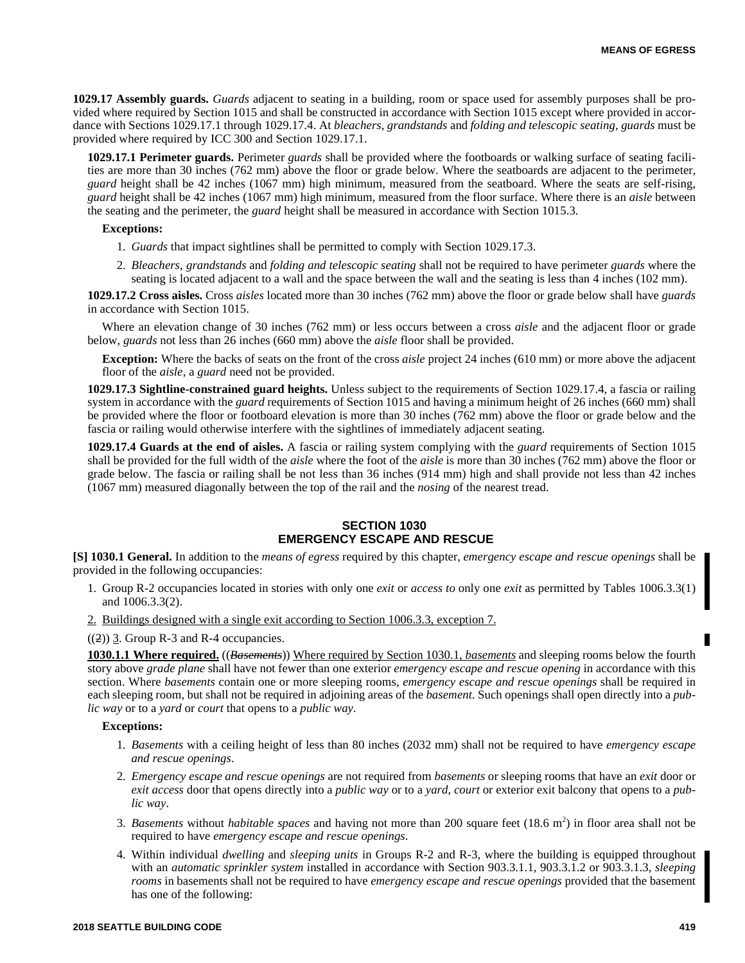**1029.17 Assembly guards.** *Guards* adjacent to seating in a building, room or space used for assembly purposes shall be provided where required by Section 1015 and shall be constructed in accordance with Section 1015 except where provided in accordance with Sections 1029.17.1 through 1029.17.4. At *bleachers*, *grandstands* and *folding and telescopic seating*, *guards* must be provided where required by ICC 300 and Section 1029.17.1.

**1029.17.1 Perimeter guards.** Perimeter *guards* shall be provided where the footboards or walking surface of seating facilities are more than 30 inches (762 mm) above the floor or grade below. Where the seatboards are adjacent to the perimeter, *guard* height shall be 42 inches (1067 mm) high minimum, measured from the seatboard. Where the seats are self-rising, *guard* height shall be 42 inches (1067 mm) high minimum, measured from the floor surface. Where there is an *aisle* between the seating and the perimeter, the *guard* height shall be measured in accordance with Section 1015.3.

## **Exceptions:**

- 1. *Guards* that impact sightlines shall be permitted to comply with Section 1029.17.3.
- 2. *Bleachers*, *grandstands* and *folding and telescopic seating* shall not be required to have perimeter *guards* where the seating is located adjacent to a wall and the space between the wall and the seating is less than 4 inches (102 mm).

**1029.17.2 Cross aisles.** Cross *aisles* located more than 30 inches (762 mm) above the floor or grade below shall have *guards* in accordance with Section 1015.

Where an elevation change of 30 inches (762 mm) or less occurs between a cross *aisle* and the adjacent floor or grade below, *guards* not less than 26 inches (660 mm) above the *aisle* floor shall be provided.

**Exception:** Where the backs of seats on the front of the cross *aisle* project 24 inches (610 mm) or more above the adjacent floor of the *aisle*, a *guard* need not be provided.

**1029.17.3 Sightline-constrained guard heights.** Unless subject to the requirements of Section 1029.17.4, a fascia or railing system in accordance with the *guard* requirements of Section 1015 and having a minimum height of 26 inches (660 mm) shall be provided where the floor or footboard elevation is more than 30 inches (762 mm) above the floor or grade below and the fascia or railing would otherwise interfere with the sightlines of immediately adjacent seating.

**1029.17.4 Guards at the end of aisles.** A fascia or railing system complying with the *guard* requirements of Section 1015 shall be provided for the full width of the *aisle* where the foot of the *aisle* is more than 30 inches (762 mm) above the floor or grade below. The fascia or railing shall be not less than 36 inches (914 mm) high and shall provide not less than 42 inches (1067 mm) measured diagonally between the top of the rail and the *nosing* of the nearest tread.

# **SECTION 1030 EMERGENCY ESCAPE AND RESCUE**

**[S] 1030.1 General.** In addition to the *means of egress* required by this chapter, *emergency escape and rescue openings* shall be provided in the following occupancies:

- 1. Group R-2 occupancies located in stories with only one *exit* or *access to* only one *exit* as permitted by Tables 1006.3.3(1) and 1006.3.3(2).
- 2. Buildings designed with a single exit according to Section 1006.3.3, exception 7.

#### $((2))$  3. Group R-3 and R-4 occupancies.

**1030.1.1 Where required.** ((*Basements*)) Where required by Section 1030.1, *basements* and sleeping rooms below the fourth story above *grade plane* shall have not fewer than one exterior *emergency escape and rescue opening* in accordance with this section. Where *basements* contain one or more sleeping rooms, *emergency escape and rescue openings* shall be required in each sleeping room, but shall not be required in adjoining areas of the *basement*. Such openings shall open directly into a *public way* or to a *yard* or *court* that opens to a *public way*.

#### **Exceptions:**

- 1. *Basements* with a ceiling height of less than 80 inches (2032 mm) shall not be required to have *emergency escape and rescue openings*.
- 2. *Emergency escape and rescue openings* are not required from *basements* or sleeping rooms that have an *exit* door or *exit access* door that opens directly into a *public way* or to a *yard*, *court* or exterior exit balcony that opens to a *public way*.
- 3. *Basements* without *habitable spaces* and having not more than 200 square feet (18.6 m<sup>2</sup>) in floor area shall not be required to have *emergency escape and rescue openings*.
- 4. Within individual *dwelling* and *sleeping units* in Groups R-2 and R-3, where the building is equipped throughout with an *automatic sprinkler system* installed in accordance with Section 903.3.1.1, 903.3.1.2 or 903.3.1.3, *sleeping rooms* in basements shall not be required to have *emergency escape and rescue openings* provided that the basement has one of the following: